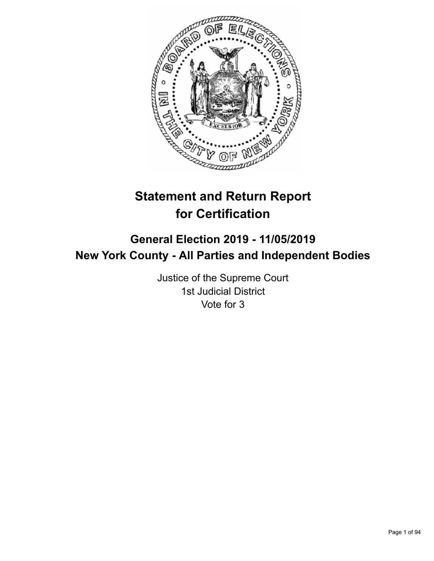

# **Statement and Return Report for Certification**

## **General Election 2019 - 11/05/2019 New York County - All Parties and Independent Bodies**

Justice of the Supreme Court 1st Judicial District Vote for 3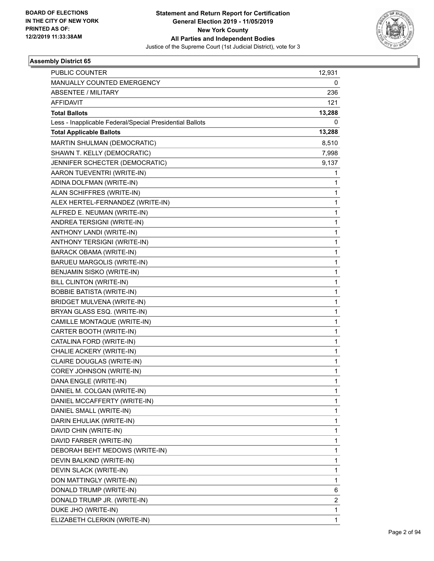

| PUBLIC COUNTER                                           | 12,931       |
|----------------------------------------------------------|--------------|
| MANUALLY COUNTED EMERGENCY                               | 0            |
| <b>ABSENTEE / MILITARY</b>                               | 236          |
| <b>AFFIDAVIT</b>                                         | 121          |
| <b>Total Ballots</b>                                     | 13,288       |
| Less - Inapplicable Federal/Special Presidential Ballots | 0            |
| <b>Total Applicable Ballots</b>                          | 13,288       |
| MARTIN SHULMAN (DEMOCRATIC)                              | 8,510        |
| SHAWN T. KELLY (DEMOCRATIC)                              | 7,998        |
| JENNIFER SCHECTER (DEMOCRATIC)                           | 9,137        |
| AARON TUEVENTRI (WRITE-IN)                               | 1            |
| ADINA DOLFMAN (WRITE-IN)                                 | 1            |
| ALAN SCHIFFRES (WRITE-IN)                                | 1            |
| ALEX HERTEL-FERNANDEZ (WRITE-IN)                         | $\mathbf{1}$ |
| ALFRED E. NEUMAN (WRITE-IN)                              | 1            |
| ANDREA TERSIGNI (WRITE-IN)                               | 1            |
| ANTHONY LANDI (WRITE-IN)                                 | $\mathbf{1}$ |
| ANTHONY TERSIGNI (WRITE-IN)                              | 1            |
| <b>BARACK OBAMA (WRITE-IN)</b>                           | 1            |
| BARUEU MARGOLIS (WRITE-IN)                               | $\mathbf{1}$ |
| BENJAMIN SISKO (WRITE-IN)                                | 1            |
| BILL CLINTON (WRITE-IN)                                  | 1            |
| <b>BOBBIE BATISTA (WRITE-IN)</b>                         | $\mathbf{1}$ |
| <b>BRIDGET MULVENA (WRITE-IN)</b>                        | 1            |
| BRYAN GLASS ESQ. (WRITE-IN)                              | 1            |
| CAMILLE MONTAQUE (WRITE-IN)                              | $\mathbf{1}$ |
| CARTER BOOTH (WRITE-IN)                                  | 1            |
| CATALINA FORD (WRITE-IN)                                 | 1            |
| CHALIE ACKERY (WRITE-IN)                                 | $\mathbf{1}$ |
| CLAIRE DOUGLAS (WRITE-IN)                                | 1            |
| COREY JOHNSON (WRITE-IN)                                 | 1            |
| DANA ENGLE (WRITE-IN)                                    | 1            |
| DANIEL M. COLGAN (WRITE-IN)                              | 1            |
| DANIEL MCCAFFERTY (WRITE-IN)                             | 1            |
| DANIEL SMALL (WRITE-IN)                                  | 1            |
| DARIN EHULIAK (WRITE-IN)                                 | 1            |
| DAVID CHIN (WRITE-IN)                                    | 1            |
| DAVID FARBER (WRITE-IN)                                  | 1            |
| DEBORAH BEHT MEDOWS (WRITE-IN)                           | 1            |
| DEVIN BALKIND (WRITE-IN)                                 | 1            |
| DEVIN SLACK (WRITE-IN)                                   | $\mathbf 1$  |
| DON MATTINGLY (WRITE-IN)                                 | 1            |
| DONALD TRUMP (WRITE-IN)                                  | 6            |
| DONALD TRUMP JR. (WRITE-IN)                              | 2            |
| DUKE JHO (WRITE-IN)                                      | 1            |
| ELIZABETH CLERKIN (WRITE-IN)                             | 1            |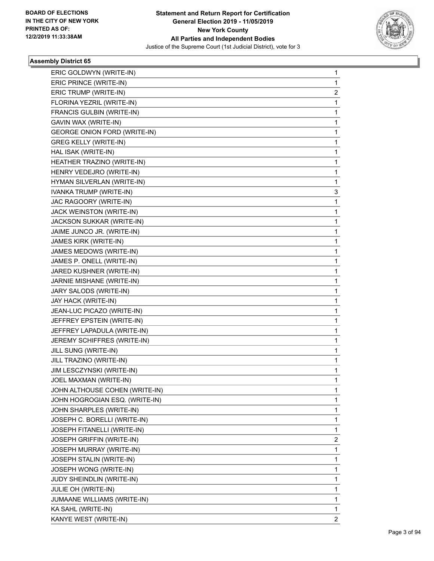

| ERIC GOLDWYN (WRITE-IN)             | 1              |
|-------------------------------------|----------------|
| ERIC PRINCE (WRITE-IN)              | 1              |
| ERIC TRUMP (WRITE-IN)               | 2              |
| FLORINA YEZRIL (WRITE-IN)           | 1              |
| FRANCIS GULBIN (WRITE-IN)           | 1              |
| GAVIN WAX (WRITE-IN)                | 1              |
| <b>GEORGE ONION FORD (WRITE-IN)</b> | 1              |
| <b>GREG KELLY (WRITE-IN)</b>        | 1              |
| HAL ISAK (WRITE-IN)                 | 1              |
| HEATHER TRAZINO (WRITE-IN)          | 1              |
| HENRY VEDEJRO (WRITE-IN)            | 1              |
| HYMAN SILVERLAN (WRITE-IN)          | 1              |
| IVANKA TRUMP (WRITE-IN)             | 3              |
| JAC RAGOORY (WRITE-IN)              | 1              |
| JACK WEINSTON (WRITE-IN)            | 1              |
| JACKSON SUKKAR (WRITE-IN)           | 1              |
| JAIME JUNCO JR. (WRITE-IN)          | 1              |
| JAMES KIRK (WRITE-IN)               | 1              |
| JAMES MEDOWS (WRITE-IN)             | 1              |
| JAMES P. ONELL (WRITE-IN)           | 1              |
| JARED KUSHNER (WRITE-IN)            | 1              |
| JARNIE MISHANE (WRITE-IN)           | 1              |
| JARY SALODS (WRITE-IN)              | 1              |
| JAY HACK (WRITE-IN)                 | 1              |
| JEAN-LUC PICAZO (WRITE-IN)          | 1              |
| JEFFREY EPSTEIN (WRITE-IN)          | 1              |
| JEFFREY LAPADULA (WRITE-IN)         | 1              |
| JEREMY SCHIFFRES (WRITE-IN)         | 1              |
| JILL SUNG (WRITE-IN)                | 1              |
| JILL TRAZINO (WRITE-IN)             | $\mathbf{1}$   |
| JIM LESCZYNSKI (WRITE-IN)           | 1              |
| JOEL MAXMAN (WRITE-IN)              | 1              |
| JOHN ALTHOUSE COHEN (WRITE-IN)      | 1              |
| JOHN HOGROGIAN ESQ. (WRITE-IN)      | 1              |
| JOHN SHARPLES (WRITE-IN)            | 1              |
| JOSEPH C. BORELLI (WRITE-IN)        | 1              |
| JOSEPH FITANELLI (WRITE-IN)         | 1              |
| <b>JOSEPH GRIFFIN (WRITE-IN)</b>    | 2              |
| <b>JOSEPH MURRAY (WRITE-IN)</b>     | 1              |
| JOSEPH STALIN (WRITE-IN)            | 1              |
| JOSEPH WONG (WRITE-IN)              | 1              |
| JUDY SHEINDLIN (WRITE-IN)           | 1              |
| JULIE OH (WRITE-IN)                 | 1              |
| JUMAANE WILLIAMS (WRITE-IN)         | 1              |
| KA SAHL (WRITE-IN)                  | 1              |
| KANYE WEST (WRITE-IN)               | $\overline{2}$ |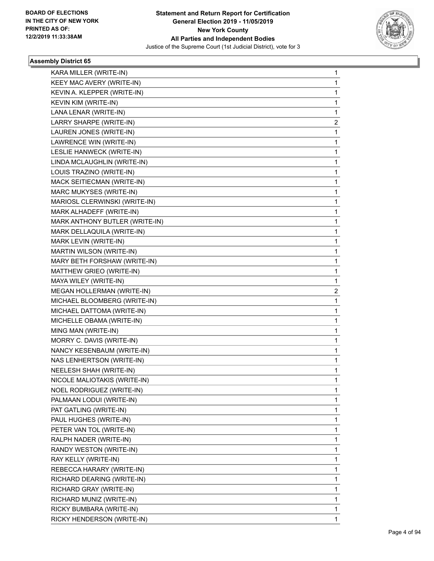

| KARA MILLER (WRITE-IN)         | 1 |
|--------------------------------|---|
| KEEY MAC AVERY (WRITE-IN)      | 1 |
| KEVIN A. KLEPPER (WRITE-IN)    | 1 |
| KEVIN KIM (WRITE-IN)           | 1 |
| LANA LENAR (WRITE-IN)          | 1 |
| LARRY SHARPE (WRITE-IN)        | 2 |
| LAUREN JONES (WRITE-IN)        | 1 |
| LAWRENCE WIN (WRITE-IN)        | 1 |
| LESLIE HANWECK (WRITE-IN)      | 1 |
| LINDA MCLAUGHLIN (WRITE-IN)    | 1 |
| LOUIS TRAZINO (WRITE-IN)       | 1 |
| MACK SEITIECMAN (WRITE-IN)     | 1 |
| MARC MUKYSES (WRITE-IN)        | 1 |
| MARIOSL CLERWINSKI (WRITE-IN)  | 1 |
| MARK ALHADEFF (WRITE-IN)       | 1 |
| MARK ANTHONY BUTLER (WRITE-IN) | 1 |
| MARK DELLAQUILA (WRITE-IN)     | 1 |
| MARK LEVIN (WRITE-IN)          | 1 |
| MARTIN WILSON (WRITE-IN)       | 1 |
| MARY BETH FORSHAW (WRITE-IN)   | 1 |
| MATTHEW GRIEO (WRITE-IN)       | 1 |
| MAYA WILEY (WRITE-IN)          | 1 |
| MEGAN HOLLERMAN (WRITE-IN)     | 2 |
| MICHAEL BLOOMBERG (WRITE-IN)   | 1 |
| MICHAEL DATTOMA (WRITE-IN)     | 1 |
| MICHELLE OBAMA (WRITE-IN)      | 1 |
| MING MAN (WRITE-IN)            | 1 |
| MORRY C. DAVIS (WRITE-IN)      | 1 |
| NANCY KESENBAUM (WRITE-IN)     | 1 |
| NAS LENHERTSON (WRITE-IN)      | 1 |
| NEELESH SHAH (WRITE-IN)        | 1 |
| NICOLE MALIOTAKIS (WRITE-IN)   | 1 |
| NOEL RODRIGUEZ (WRITE-IN)      | 1 |
| PALMAAN LODUI (WRITE-IN)       | 1 |
| PAT GATLING (WRITE-IN)         | 1 |
| PAUL HUGHES (WRITE-IN)         | 1 |
| PETER VAN TOL (WRITE-IN)       | 1 |
| RALPH NADER (WRITE-IN)         | 1 |
| RANDY WESTON (WRITE-IN)        | 1 |
| RAY KELLY (WRITE-IN)           | 1 |
| REBECCA HARARY (WRITE-IN)      | 1 |
| RICHARD DEARING (WRITE-IN)     | 1 |
| RICHARD GRAY (WRITE-IN)        | 1 |
| RICHARD MUNIZ (WRITE-IN)       | 1 |
| RICKY BUMBARA (WRITE-IN)       | 1 |
| RICKY HENDERSON (WRITE-IN)     | 1 |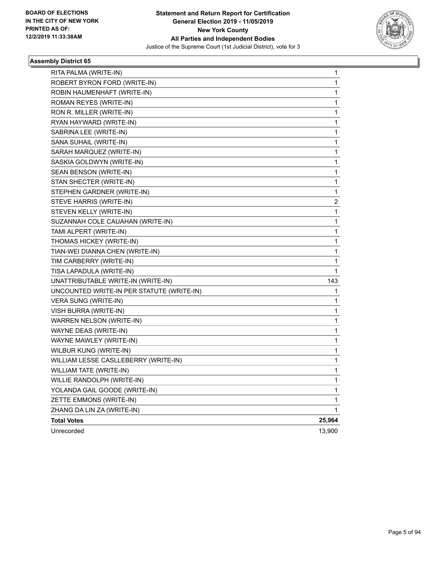

| RITA PALMA (WRITE-IN)                     | 1      |
|-------------------------------------------|--------|
| ROBERT BYRON FORD (WRITE-IN)              | 1      |
| ROBIN HAUMENHAFT (WRITE-IN)               | 1      |
| ROMAN REYES (WRITE-IN)                    | 1      |
| RON R. MILLER (WRITE-IN)                  | 1      |
| RYAN HAYWARD (WRITE-IN)                   | 1      |
| SABRINA LEE (WRITE-IN)                    | 1      |
| SANA SUHAIL (WRITE-IN)                    | 1      |
| SARAH MARQUEZ (WRITE-IN)                  | 1      |
| SASKIA GOLDWYN (WRITE-IN)                 | 1      |
| SEAN BENSON (WRITE-IN)                    | 1      |
| STAN SHECTER (WRITE-IN)                   | 1      |
| STEPHEN GARDNER (WRITE-IN)                | 1      |
| STEVE HARRIS (WRITE-IN)                   | 2      |
| STEVEN KELLY (WRITE-IN)                   | 1      |
| SUZANNAH COLE CAUAHAN (WRITE-IN)          | 1      |
| TAMI ALPERT (WRITE-IN)                    | 1      |
| THOMAS HICKEY (WRITE-IN)                  | 1      |
| TIAN-WEI DIANNA CHEN (WRITE-IN)           | 1      |
| TIM CARBERRY (WRITE-IN)                   | 1      |
| TISA LAPADULA (WRITE-IN)                  | 1      |
| UNATTRIBUTABLE WRITE-IN (WRITE-IN)        | 143    |
| UNCOUNTED WRITE-IN PER STATUTE (WRITE-IN) | 1      |
| VERA SUNG (WRITE-IN)                      | 1      |
| VISH BURRA (WRITE-IN)                     | 1      |
| WARREN NELSON (WRITE-IN)                  | 1      |
| WAYNE DEAS (WRITE-IN)                     | 1      |
| WAYNE MAWLEY (WRITE-IN)                   | 1      |
| WILBUR KUNG (WRITE-IN)                    | 1      |
| WILLIAM LESSE CASLLEBERRY (WRITE-IN)      | 1      |
| WILLIAM TATE (WRITE-IN)                   | 1      |
| WILLIE RANDOLPH (WRITE-IN)                | 1      |
| YOLANDA GAIL GOODE (WRITE-IN)             | 1      |
| ZETTE EMMONS (WRITE-IN)                   | 1      |
| ZHANG DA LIN ZA (WRITE-IN)                | 1      |
| <b>Total Votes</b>                        | 25,964 |
| Unrecorded                                | 13,900 |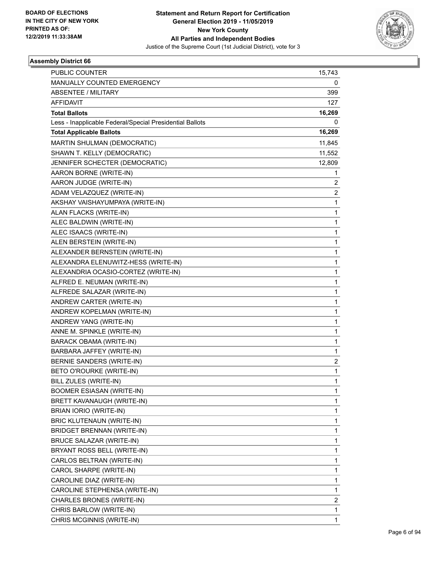

| <b>PUBLIC COUNTER</b>                                    | 15,743 |
|----------------------------------------------------------|--------|
| MANUALLY COUNTED EMERGENCY                               | 0      |
| <b>ABSENTEE / MILITARY</b>                               | 399    |
| AFFIDAVIT                                                | 127    |
| <b>Total Ballots</b>                                     | 16,269 |
| Less - Inapplicable Federal/Special Presidential Ballots | 0      |
| <b>Total Applicable Ballots</b>                          | 16,269 |
| MARTIN SHULMAN (DEMOCRATIC)                              | 11,845 |
| SHAWN T. KELLY (DEMOCRATIC)                              | 11,552 |
| JENNIFER SCHECTER (DEMOCRATIC)                           | 12,809 |
| AARON BORNE (WRITE-IN)                                   | 1      |
| AARON JUDGE (WRITE-IN)                                   | 2      |
| ADAM VELAZQUEZ (WRITE-IN)                                | 2      |
| AKSHAY VAISHAYUMPAYA (WRITE-IN)                          | 1      |
| ALAN FLACKS (WRITE-IN)                                   | 1      |
| ALEC BALDWIN (WRITE-IN)                                  | 1      |
| ALEC ISAACS (WRITE-IN)                                   | 1      |
| ALEN BERSTEIN (WRITE-IN)                                 | 1      |
| ALEXANDER BERNSTEIN (WRITE-IN)                           | 1      |
| ALEXANDRA ELENUWITZ-HESS (WRITE-IN)                      | 1      |
| ALEXANDRIA OCASIO-CORTEZ (WRITE-IN)                      | 1      |
| ALFRED E. NEUMAN (WRITE-IN)                              | 1      |
| ALFREDE SALAZAR (WRITE-IN)                               | 1      |
| ANDREW CARTER (WRITE-IN)                                 | 1      |
| ANDREW KOPELMAN (WRITE-IN)                               | 1      |
| ANDREW YANG (WRITE-IN)                                   | 1      |
| ANNE M. SPINKLE (WRITE-IN)                               | 1      |
| BARACK OBAMA (WRITE-IN)                                  | 1      |
| BARBARA JAFFEY (WRITE-IN)                                | 1      |
| <b>BERNIE SANDERS (WRITE-IN)</b>                         | 2      |
| BETO O'ROURKE (WRITE-IN)                                 | 1      |
| BILL ZULES (WRITE-IN)                                    | 1      |
| <b>BOOMER ESIASAN (WRITE-IN)</b>                         | 1      |
| BRETT KAVANAUGH (WRITE-IN)                               | 1      |
| BRIAN IORIO (WRITE-IN)                                   | 1      |
| <b>BRIC KLUTENAUN (WRITE-IN)</b>                         | 1      |
| <b>BRIDGET BRENNAN (WRITE-IN)</b>                        | 1      |
| BRUCE SALAZAR (WRITE-IN)                                 | 1      |
| BRYANT ROSS BELL (WRITE-IN)                              | 1      |
| CARLOS BELTRAN (WRITE-IN)                                | 1      |
| CAROL SHARPE (WRITE-IN)                                  | 1      |
| CAROLINE DIAZ (WRITE-IN)                                 | 1      |
| CAROLINE STEPHENSA (WRITE-IN)                            | 1      |
| CHARLES BRONES (WRITE-IN)                                | 2      |
| CHRIS BARLOW (WRITE-IN)                                  | 1      |
| CHRIS MCGINNIS (WRITE-IN)                                | 1      |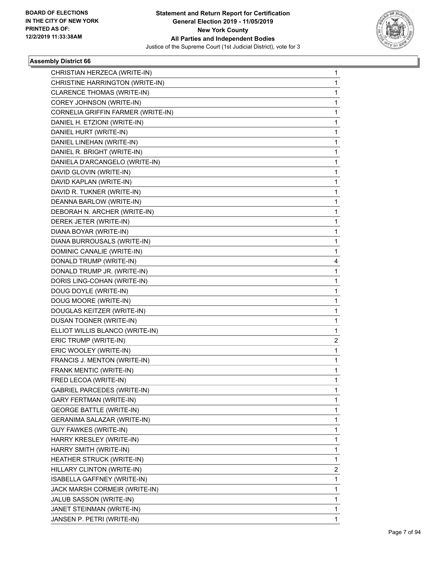

| CHRISTIAN HERZECA (WRITE-IN)       | 1 |
|------------------------------------|---|
| CHRISTINE HARRINGTON (WRITE-IN)    | 1 |
| CLARENCE THOMAS (WRITE-IN)         | 1 |
| COREY JOHNSON (WRITE-IN)           | 1 |
| CORNELIA GRIFFIN FARMER (WRITE-IN) | 1 |
| DANIEL H. ETZIONI (WRITE-IN)       | 1 |
| DANIEL HURT (WRITE-IN)             | 1 |
| DANIEL LINEHAN (WRITE-IN)          | 1 |
| DANIEL R. BRIGHT (WRITE-IN)        | 1 |
| DANIELA D'ARCANGELO (WRITE-IN)     | 1 |
| DAVID GLOVIN (WRITE-IN)            | 1 |
| DAVID KAPLAN (WRITE-IN)            | 1 |
| DAVID R. TUKNER (WRITE-IN)         | 1 |
| DEANNA BARLOW (WRITE-IN)           | 1 |
| DEBORAH N. ARCHER (WRITE-IN)       | 1 |
| DEREK JETER (WRITE-IN)             | 1 |
| DIANA BOYAR (WRITE-IN)             | 1 |
| DIANA BURROUSALS (WRITE-IN)        | 1 |
| DOMINIC CANALIE (WRITE-IN)         | 1 |
| DONALD TRUMP (WRITE-IN)            | 4 |
| DONALD TRUMP JR. (WRITE-IN)        | 1 |
| DORIS LING-COHAN (WRITE-IN)        | 1 |
| DOUG DOYLE (WRITE-IN)              | 1 |
| DOUG MOORE (WRITE-IN)              | 1 |
| DOUGLAS KEITZER (WRITE-IN)         | 1 |
| DUSAN TOGNER (WRITE-IN)            | 1 |
| ELLIOT WILLIS BLANCO (WRITE-IN)    | 1 |
| ERIC TRUMP (WRITE-IN)              | 2 |
| ERIC WOOLEY (WRITE-IN)             | 1 |
| FRANCIS J. MENTON (WRITE-IN)       | 1 |
| FRANK MENTIC (WRITE-IN)            | 1 |
| FRED LECOA (WRITE-IN)              | 1 |
| GABRIEL PARCEDES (WRITE-IN)        | 1 |
| <b>GARY FERTMAN (WRITE-IN)</b>     | 1 |
| <b>GEORGE BATTLE (WRITE-IN)</b>    | 1 |
| GERANIMA SALAZAR (WRITE-IN)        | 1 |
| GUY FAWKES (WRITE-IN)              | 1 |
| HARRY KRESLEY (WRITE-IN)           | 1 |
| HARRY SMITH (WRITE-IN)             | 1 |
| HEATHER STRUCK (WRITE-IN)          | 1 |
| HILLARY CLINTON (WRITE-IN)         | 2 |
| ISABELLA GAFFNEY (WRITE-IN)        | 1 |
| JACK MARSH CORMEIR (WRITE-IN)      | 1 |
| JALUB SASSON (WRITE-IN)            | 1 |
| JANET STEINMAN (WRITE-IN)          | 1 |
| JANSEN P. PETRI (WRITE-IN)         | 1 |
|                                    |   |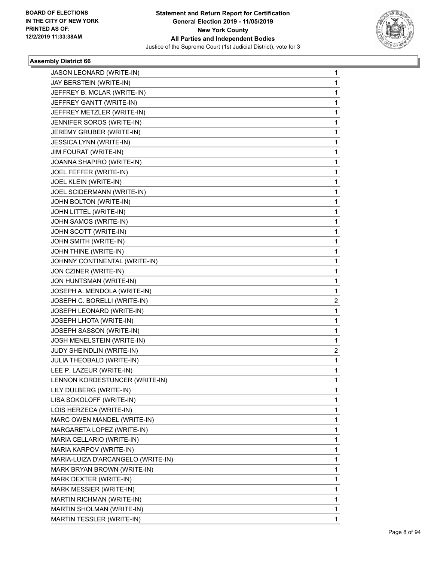

| JASON LEONARD (WRITE-IN)           | 1            |
|------------------------------------|--------------|
| JAY BERSTEIN (WRITE-IN)            | 1            |
| JEFFREY B. MCLAR (WRITE-IN)        | 1            |
| JEFFREY GANTT (WRITE-IN)           | 1            |
| JEFFREY METZLER (WRITE-IN)         | 1            |
| JENNIFER SOROS (WRITE-IN)          | 1            |
| JEREMY GRUBER (WRITE-IN)           | 1            |
| JESSICA LYNN (WRITE-IN)            | 1            |
| JIM FOURAT (WRITE-IN)              | 1            |
| JOANNA SHAPIRO (WRITE-IN)          | 1            |
| JOEL FEFFER (WRITE-IN)             | 1            |
| JOEL KLEIN (WRITE-IN)              | 1            |
| JOEL SCIDERMANN (WRITE-IN)         | 1            |
| JOHN BOLTON (WRITE-IN)             | 1            |
| JOHN LITTEL (WRITE-IN)             | 1            |
| JOHN SAMOS (WRITE-IN)              | 1            |
| JOHN SCOTT (WRITE-IN)              | 1            |
| JOHN SMITH (WRITE-IN)              | 1            |
| JOHN THINE (WRITE-IN)              | 1            |
| JOHNNY CONTINENTAL (WRITE-IN)      | 1            |
| JON CZINER (WRITE-IN)              | 1            |
| JON HUNTSMAN (WRITE-IN)            | 1            |
| JOSEPH A. MENDOLA (WRITE-IN)       | 1            |
| JOSEPH C. BORELLI (WRITE-IN)       | 2            |
| JOSEPH LEONARD (WRITE-IN)          | 1            |
| JOSEPH LHOTA (WRITE-IN)            | 1            |
| JOSEPH SASSON (WRITE-IN)           | 1            |
| JOSH MENELSTEIN (WRITE-IN)         | 1            |
| JUDY SHEINDLIN (WRITE-IN)          | 2            |
| JULIA THEOBALD (WRITE-IN)          | $\mathbf{1}$ |
| LEE P. LAZEUR (WRITE-IN)           | 1            |
| LENNON KORDESTUNCER (WRITE-IN)     | 1            |
| LILY DULBERG (WRITE-IN)            | 1            |
| LISA SOKOLOFF (WRITE-IN)           | 1            |
| LOIS HERZECA (WRITE-IN)            | 1            |
| MARC OWEN MANDEL (WRITE-IN)        | 1            |
| MARGARETA LOPEZ (WRITE-IN)         | 1            |
| MARIA CELLARIO (WRITE-IN)          | 1            |
| MARIA KARPOV (WRITE-IN)            | 1            |
| MARIA-LUIZA D'ARCANGELO (WRITE-IN) | 1            |
| MARK BRYAN BROWN (WRITE-IN)        | 1            |
| MARK DEXTER (WRITE-IN)             | 1            |
| MARK MESSIER (WRITE-IN)            | 1            |
| MARTIN RICHMAN (WRITE-IN)          | 1            |
| MARTIN SHOLMAN (WRITE-IN)          | 1            |
| MARTIN TESSLER (WRITE-IN)          | 1            |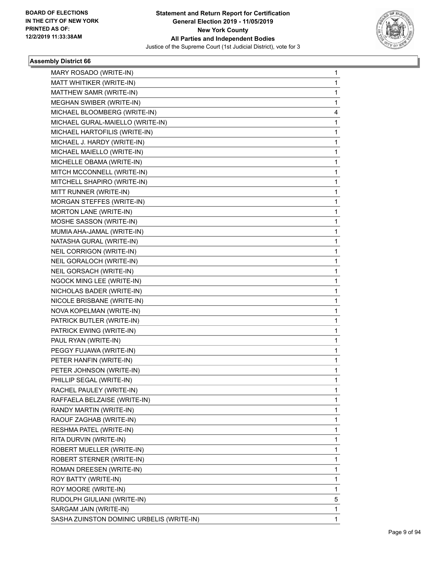

| MARY ROSADO (WRITE-IN)                    | 1            |
|-------------------------------------------|--------------|
| MATT WHITIKER (WRITE-IN)                  | 1            |
| MATTHEW SAMR (WRITE-IN)                   | 1            |
| MEGHAN SWIBER (WRITE-IN)                  | 1.           |
| MICHAEL BLOOMBERG (WRITE-IN)              | 4            |
| MICHAEL GURAL-MAIELLO (WRITE-IN)          | 1            |
| MICHAEL HARTOFILIS (WRITE-IN)             | $\mathbf{1}$ |
| MICHAEL J. HARDY (WRITE-IN)               | 1            |
| MICHAEL MAIELLO (WRITE-IN)                | 1            |
| MICHELLE OBAMA (WRITE-IN)                 | 1.           |
| MITCH MCCONNELL (WRITE-IN)                | 1            |
| MITCHELL SHAPIRO (WRITE-IN)               | 1            |
| MITT RUNNER (WRITE-IN)                    | 1            |
| MORGAN STEFFES (WRITE-IN)                 | 1            |
| MORTON LANE (WRITE-IN)                    | 1            |
| MOSHE SASSON (WRITE-IN)                   | 1.           |
| MUMIA AHA-JAMAL (WRITE-IN)                | 1            |
| NATASHA GURAL (WRITE-IN)                  | 1            |
| NEIL CORRIGON (WRITE-IN)                  | 1            |
| NEIL GORALOCH (WRITE-IN)                  | 1            |
| NEIL GORSACH (WRITE-IN)                   | 1            |
| NGOCK MING LEE (WRITE-IN)                 | 1.           |
| NICHOLAS BADER (WRITE-IN)                 | 1            |
| NICOLE BRISBANE (WRITE-IN)                | 1            |
| NOVA KOPELMAN (WRITE-IN)                  | 1            |
| PATRICK BUTLER (WRITE-IN)                 | 1            |
| PATRICK EWING (WRITE-IN)                  | 1            |
| PAUL RYAN (WRITE-IN)                      | 1.           |
| PEGGY FUJAWA (WRITE-IN)                   | 1            |
| PETER HANFIN (WRITE-IN)                   | 1            |
| PETER JOHNSON (WRITE-IN)                  | 1            |
| PHILLIP SEGAL (WRITE-IN)                  | 1            |
| RACHEL PAULEY (WRITE-IN)                  | 1            |
| RAFFAELA BELZAISE (WRITE-IN)              | 1.           |
| RANDY MARTIN (WRITE-IN)                   | 1            |
| RAOUF ZAGHAB (WRITE-IN)                   | 1            |
| RESHMA PATEL (WRITE-IN)                   | 1.           |
| RITA DURVIN (WRITE-IN)                    | 1            |
| ROBERT MUELLER (WRITE-IN)                 | 1            |
| ROBERT STERNER (WRITE-IN)                 | 1.           |
| ROMAN DREESEN (WRITE-IN)                  | 1            |
| ROY BATTY (WRITE-IN)                      | 1            |
| ROY MOORE (WRITE-IN)                      | 1            |
| RUDOLPH GIULIANI (WRITE-IN)               | 5            |
| SARGAM JAIN (WRITE-IN)                    | 1            |
| SASHA ZUINSTON DOMINIC URBELIS (WRITE-IN) | 1.           |
|                                           |              |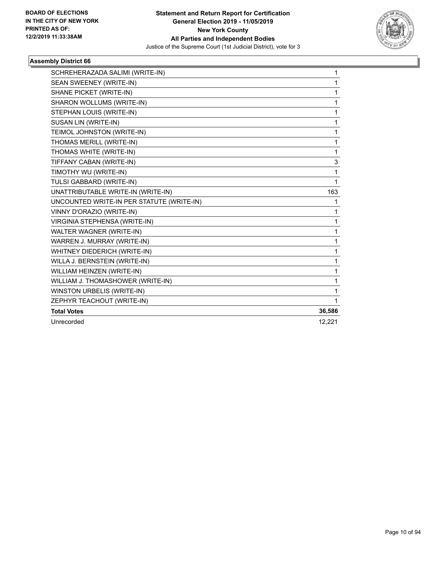

| SCHREHERAZADA SALIMI (WRITE-IN)           | 1            |
|-------------------------------------------|--------------|
| SEAN SWEENEY (WRITE-IN)                   | 1            |
| SHANE PICKET (WRITE-IN)                   | $\mathbf{1}$ |
| SHARON WOLLUMS (WRITE-IN)                 | 1            |
| STEPHAN LOUIS (WRITE-IN)                  | 1            |
| SUSAN LIN (WRITE-IN)                      | 1            |
| TEIMOL JOHNSTON (WRITE-IN)                | 1            |
| THOMAS MERILL (WRITE-IN)                  | 1            |
| THOMAS WHITE (WRITE-IN)                   | 1            |
| TIFFANY CABAN (WRITE-IN)                  | 3            |
| TIMOTHY WU (WRITE-IN)                     | 1            |
| TULSI GABBARD (WRITE-IN)                  | 1            |
| UNATTRIBUTABLE WRITE-IN (WRITE-IN)        | 163          |
| UNCOUNTED WRITE-IN PER STATUTE (WRITE-IN) | 1            |
| VINNY D'ORAZIO (WRITE-IN)                 | 1            |
| VIRGINIA STEPHENSA (WRITE-IN)             | 1            |
| <b>WALTER WAGNER (WRITE-IN)</b>           | $\mathbf{1}$ |
| WARREN J. MURRAY (WRITE-IN)               | $\mathbf{1}$ |
| WHITNEY DIEDERICH (WRITE-IN)              | $\mathbf 1$  |
| WILLA J. BERNSTEIN (WRITE-IN)             | 1            |
| WILLIAM HEINZEN (WRITE-IN)                | 1            |
| WILLIAM J. THOMASHOWER (WRITE-IN)         | 1            |
| WINSTON URBELIS (WRITE-IN)                | 1            |
| ZEPHYR TEACHOUT (WRITE-IN)                | $\mathbf{1}$ |
| <b>Total Votes</b>                        | 36,586       |
| Unrecorded                                | 12,221       |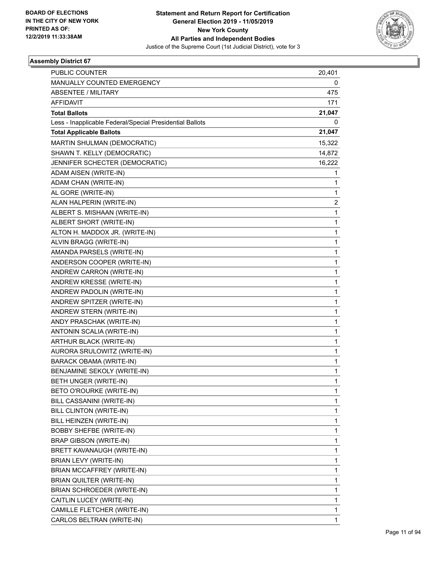

| PUBLIC COUNTER                                           | 20,401         |
|----------------------------------------------------------|----------------|
| MANUALLY COUNTED EMERGENCY                               | 0              |
| <b>ABSENTEE / MILITARY</b>                               | 475            |
| <b>AFFIDAVIT</b>                                         | 171            |
| <b>Total Ballots</b>                                     | 21,047         |
| Less - Inapplicable Federal/Special Presidential Ballots | 0              |
| <b>Total Applicable Ballots</b>                          | 21,047         |
| MARTIN SHULMAN (DEMOCRATIC)                              | 15,322         |
| SHAWN T. KELLY (DEMOCRATIC)                              | 14,872         |
| JENNIFER SCHECTER (DEMOCRATIC)                           | 16,222         |
| ADAM AISEN (WRITE-IN)                                    | 1              |
| ADAM CHAN (WRITE-IN)                                     | 1              |
| AL GORE (WRITE-IN)                                       | $\mathbf{1}$   |
| ALAN HALPERIN (WRITE-IN)                                 | $\overline{c}$ |
| ALBERT S. MISHAAN (WRITE-IN)                             | 1              |
| ALBERT SHORT (WRITE-IN)                                  | $\mathbf{1}$   |
| ALTON H. MADDOX JR. (WRITE-IN)                           | $\mathbf{1}$   |
| ALVIN BRAGG (WRITE-IN)                                   | 1              |
| AMANDA PARSELS (WRITE-IN)                                | $\mathbf{1}$   |
| ANDERSON COOPER (WRITE-IN)                               | $\mathbf{1}$   |
| ANDREW CARRON (WRITE-IN)                                 | 1              |
| ANDREW KRESSE (WRITE-IN)                                 | $\mathbf{1}$   |
| ANDREW PADOLIN (WRITE-IN)                                | $\mathbf{1}$   |
| ANDREW SPITZER (WRITE-IN)                                | 1              |
| ANDREW STERN (WRITE-IN)                                  | $\mathbf{1}$   |
| ANDY PRASCHAK (WRITE-IN)                                 | $\mathbf{1}$   |
| ANTONIN SCALIA (WRITE-IN)                                | 1              |
| ARTHUR BLACK (WRITE-IN)                                  | $\mathbf{1}$   |
| AURORA SRULOWITZ (WRITE-IN)                              | $\mathbf{1}$   |
| <b>BARACK OBAMA (WRITE-IN)</b>                           | 1              |
| BENJAMINE SEKOLY (WRITE-IN)                              | $\mathbf{1}$   |
| BETH UNGER (WRITE-IN)                                    | $\mathbf{1}$   |
| BETO O'ROURKE (WRITE-IN)                                 | 1              |
| BILL CASSANINI (WRITE-IN)                                | $\mathbf{1}$   |
| BILL CLINTON (WRITE-IN)                                  | $\mathbf{1}$   |
| BILL HEINZEN (WRITE-IN)                                  | 1              |
| <b>BOBBY SHEFBE (WRITE-IN)</b>                           | $\mathbf{1}$   |
| <b>BRAP GIBSON (WRITE-IN)</b>                            | $\mathbf{1}$   |
| BRETT KAVANAUGH (WRITE-IN)                               | 1              |
| BRIAN LEVY (WRITE-IN)                                    | $\mathbf{1}$   |
| BRIAN MCCAFFREY (WRITE-IN)                               | $\mathbf{1}$   |
| BRIAN QUILTER (WRITE-IN)                                 | 1              |
| BRIAN SCHROEDER (WRITE-IN)                               | $\mathbf{1}$   |
| CAITLIN LUCEY (WRITE-IN)                                 | $\mathbf{1}$   |
| CAMILLE FLETCHER (WRITE-IN)                              | 1              |
| CARLOS BELTRAN (WRITE-IN)                                | $\mathbf{1}$   |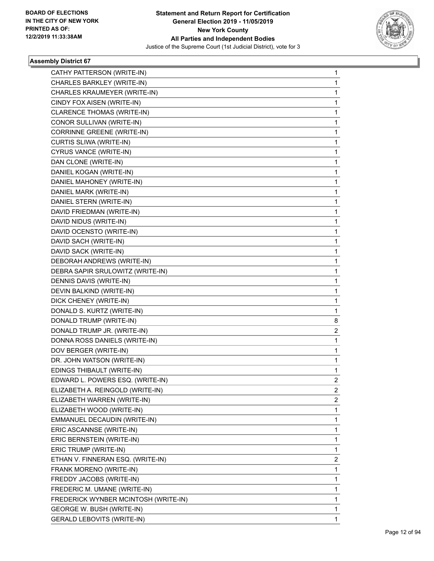

| CATHY PATTERSON (WRITE-IN)           | 1 |
|--------------------------------------|---|
| CHARLES BARKLEY (WRITE-IN)           | 1 |
| CHARLES KRAUMEYER (WRITE-IN)         | 1 |
| CINDY FOX AISEN (WRITE-IN)           | 1 |
| CLARENCE THOMAS (WRITE-IN)           | 1 |
| CONOR SULLIVAN (WRITE-IN)            | 1 |
| CORRINNE GREENE (WRITE-IN)           | 1 |
| CURTIS SLIWA (WRITE-IN)              | 1 |
| CYRUS VANCE (WRITE-IN)               | 1 |
| DAN CLONE (WRITE-IN)                 | 1 |
| DANIEL KOGAN (WRITE-IN)              | 1 |
| DANIEL MAHONEY (WRITE-IN)            | 1 |
| DANIEL MARK (WRITE-IN)               | 1 |
| DANIEL STERN (WRITE-IN)              | 1 |
| DAVID FRIEDMAN (WRITE-IN)            | 1 |
| DAVID NIDUS (WRITE-IN)               | 1 |
| DAVID OCENSTO (WRITE-IN)             | 1 |
| DAVID SACH (WRITE-IN)                | 1 |
| DAVID SACK (WRITE-IN)                | 1 |
| DEBORAH ANDREWS (WRITE-IN)           | 1 |
| DEBRA SAPIR SRULOWITZ (WRITE-IN)     | 1 |
| DENNIS DAVIS (WRITE-IN)              | 1 |
| DEVIN BALKIND (WRITE-IN)             | 1 |
| DICK CHENEY (WRITE-IN)               | 1 |
| DONALD S. KURTZ (WRITE-IN)           | 1 |
| DONALD TRUMP (WRITE-IN)              | 8 |
| DONALD TRUMP JR. (WRITE-IN)          | 2 |
| DONNA ROSS DANIELS (WRITE-IN)        | 1 |
| DOV BERGER (WRITE-IN)                | 1 |
| DR. JOHN WATSON (WRITE-IN)           | 1 |
| EDINGS THIBAULT (WRITE-IN)           | 1 |
| EDWARD L. POWERS ESQ. (WRITE-IN)     | 2 |
| ELIZABETH A. REINGOLD (WRITE-IN)     | 2 |
| ELIZABETH WARREN (WRITE-IN)          | 2 |
| ELIZABETH WOOD (WRITE-IN)            | 1 |
| EMMANUEL DECAUDIN (WRITE-IN)         | 1 |
| ERIC ASCANNSE (WRITE-IN)             | 1 |
| ERIC BERNSTEIN (WRITE-IN)            | 1 |
| ERIC TRUMP (WRITE-IN)                | 1 |
| ETHAN V. FINNERAN ESQ. (WRITE-IN)    | 2 |
| FRANK MORENO (WRITE-IN)              | 1 |
| FREDDY JACOBS (WRITE-IN)             | 1 |
| FREDERIC M. UMANE (WRITE-IN)         | 1 |
| FREDERICK WYNBER MCINTOSH (WRITE-IN) | 1 |
| GEORGE W. BUSH (WRITE-IN)            | 1 |
| <b>GERALD LEBOVITS (WRITE-IN)</b>    | 1 |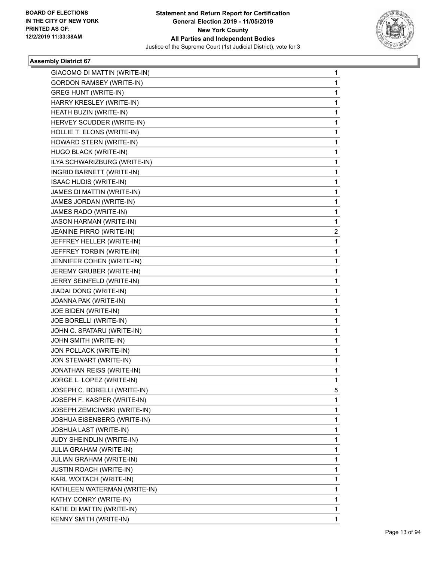

| GIACOMO DI MATTIN (WRITE-IN)     | 1 |
|----------------------------------|---|
| <b>GORDON RAMSEY (WRITE-IN)</b>  | 1 |
| <b>GREG HUNT (WRITE-IN)</b>      | 1 |
| HARRY KRESLEY (WRITE-IN)         | 1 |
| HEATH BUZIN (WRITE-IN)           | 1 |
| HERVEY SCUDDER (WRITE-IN)        | 1 |
| HOLLIE T. ELONS (WRITE-IN)       | 1 |
| HOWARD STERN (WRITE-IN)          | 1 |
| HUGO BLACK (WRITE-IN)            | 1 |
| ILYA SCHWARIZBURG (WRITE-IN)     | 1 |
| INGRID BARNETT (WRITE-IN)        | 1 |
| <b>ISAAC HUDIS (WRITE-IN)</b>    | 1 |
| JAMES DI MATTIN (WRITE-IN)       | 1 |
| JAMES JORDAN (WRITE-IN)          | 1 |
| JAMES RADO (WRITE-IN)            | 1 |
| JASON HARMAN (WRITE-IN)          | 1 |
| JEANINE PIRRO (WRITE-IN)         | 2 |
| JEFFREY HELLER (WRITE-IN)        | 1 |
| JEFFREY TORBIN (WRITE-IN)        | 1 |
| JENNIFER COHEN (WRITE-IN)        | 1 |
| JEREMY GRUBER (WRITE-IN)         | 1 |
| JERRY SEINFELD (WRITE-IN)        | 1 |
| JIADAI DONG (WRITE-IN)           | 1 |
| JOANNA PAK (WRITE-IN)            | 1 |
| JOE BIDEN (WRITE-IN)             | 1 |
| JOE BORELLI (WRITE-IN)           | 1 |
| JOHN C. SPATARU (WRITE-IN)       | 1 |
| JOHN SMITH (WRITE-IN)            | 1 |
| JON POLLACK (WRITE-IN)           | 1 |
| JON STEWART (WRITE-IN)           | 1 |
| <b>JONATHAN REISS (WRITE-IN)</b> | 1 |
| JORGE L. LOPEZ (WRITE-IN)        | 1 |
| JOSEPH C. BORELLI (WRITE-IN)     | 5 |
| JOSEPH F. KASPER (WRITE-IN)      | 1 |
| JOSEPH ZEMICIWSKI (WRITE-IN)     | 1 |
| JOSHUA EISENBERG (WRITE-IN)      | 1 |
| JOSHUA LAST (WRITE-IN)           | 1 |
| <b>JUDY SHEINDLIN (WRITE-IN)</b> | 1 |
| JULIA GRAHAM (WRITE-IN)          | 1 |
| JULIAN GRAHAM (WRITE-IN)         | 1 |
| <b>JUSTIN ROACH (WRITE-IN)</b>   | 1 |
| KARL WOITACH (WRITE-IN)          | 1 |
| KATHLEEN WATERMAN (WRITE-IN)     | 1 |
| KATHY CONRY (WRITE-IN)           | 1 |
| KATIE DI MATTIN (WRITE-IN)       | 1 |
| KENNY SMITH (WRITE-IN)           | 1 |
|                                  |   |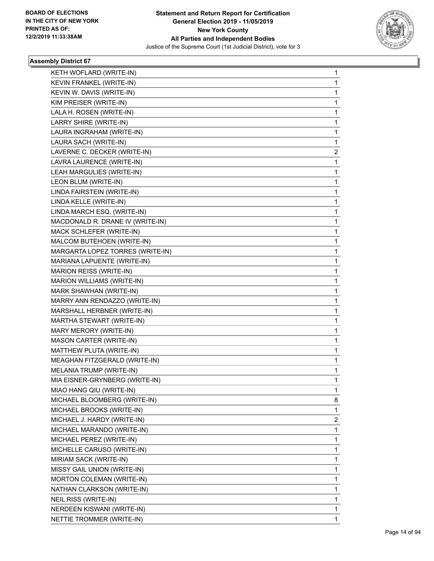

| KETH WOFLARD (WRITE-IN)          | 1                                |
|----------------------------------|----------------------------------|
| KEVIN FRANKEL (WRITE-IN)         | 1                                |
| KEVIN W. DAVIS (WRITE-IN)        | 1                                |
| KIM PREISER (WRITE-IN)           | 1                                |
| LALA H. ROSEN (WRITE-IN)         | 1                                |
| LARRY SHIRE (WRITE-IN)           | 1                                |
| LAURA INGRAHAM (WRITE-IN)        | 1                                |
| LAURA SACH (WRITE-IN)            | 1                                |
| LAVERNE C. DECKER (WRITE-IN)     | 2                                |
| LAVRA LAURENCE (WRITE-IN)        | 1                                |
| LEAH MARGULIES (WRITE-IN)        | 1                                |
| LEON BLUM (WRITE-IN)             | 1                                |
| LINDA FAIRSTEIN (WRITE-IN)       | 1                                |
| LINDA KELLE (WRITE-IN)           | 1                                |
| LINDA MARCH ESQ. (WRITE-IN)      | 1                                |
| MACDONALD R. DRANE IV (WRITE-IN) | 1                                |
| MACK SCHLEFER (WRITE-IN)         | 1                                |
| MALCOM BUTEHOEN (WRITE-IN)       | 1                                |
|                                  | 1                                |
| MARIANA LAPUENTE (WRITE-IN)      | 1                                |
| MARION REISS (WRITE-IN)          | 1                                |
| MARION WILLIAMS (WRITE-IN)       | 1                                |
| MARK SHAWHAN (WRITE-IN)          | 1                                |
| MARRY ANN RENDAZZO (WRITE-IN)    | 1                                |
| MARSHALL HERBNER (WRITE-IN)      | 1                                |
| MARTHA STEWART (WRITE-IN)        | 1                                |
| MARY MERORY (WRITE-IN)           | 1                                |
| <b>MASON CARTER (WRITE-IN)</b>   | 1                                |
| MATTHEW PLUTA (WRITE-IN)         | 1                                |
| MEAGHAN FITZGERALD (WRITE-IN)    | 1                                |
| MELANIA TRUMP (WRITE-IN)         | 1                                |
| MIA EISNER-GRYNBERG (WRITE-IN)   | 1                                |
| MIAO HANG QIU (WRITE-IN)         | 1                                |
| MICHAEL BLOOMBERG (WRITE-IN)     | 8                                |
| MICHAEL BROOKS (WRITE-IN)        | 1                                |
| MICHAEL J. HARDY (WRITE-IN)      | 2                                |
| MICHAEL MARANDO (WRITE-IN)       | 1                                |
| MICHAEL PEREZ (WRITE-IN)         | 1                                |
| MICHELLE CARUSO (WRITE-IN)       | 1                                |
| MIRIAM SACK (WRITE-IN)           | 1                                |
| MISSY GAIL UNION (WRITE-IN)      | 1                                |
| MORTON COLEMAN (WRITE-IN)        | 1                                |
| NATHAN CLARKSON (WRITE-IN)       | 1                                |
| NEIL RISS (WRITE-IN)             | 1                                |
| NERDEEN KISWANI (WRITE-IN)       | 1                                |
| NETTIE TROMMER (WRITE-IN)        | 1                                |
|                                  | MARGARTA LOPEZ TORRES (WRITE-IN) |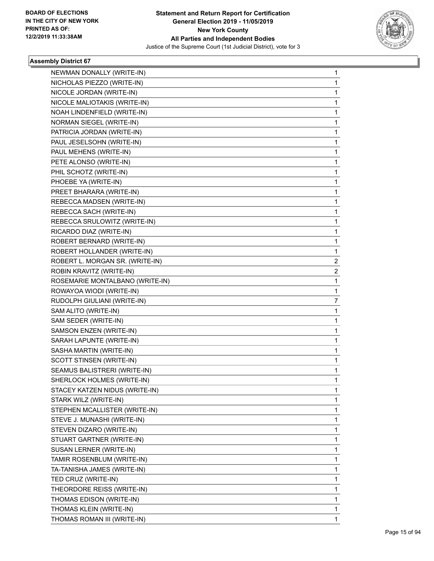

| NEWMAN DONALLY (WRITE-IN)       | 1 |
|---------------------------------|---|
| NICHOLAS PIEZZO (WRITE-IN)      | 1 |
| NICOLE JORDAN (WRITE-IN)        | 1 |
| NICOLE MALIOTAKIS (WRITE-IN)    | 1 |
| NOAH LINDENFIELD (WRITE-IN)     | 1 |
| NORMAN SIEGEL (WRITE-IN)        | 1 |
| PATRICIA JORDAN (WRITE-IN)      | 1 |
| PAUL JESELSOHN (WRITE-IN)       | 1 |
| PAUL MEHENS (WRITE-IN)          | 1 |
| PETE ALONSO (WRITE-IN)          | 1 |
| PHIL SCHOTZ (WRITE-IN)          | 1 |
| PHOEBE YA (WRITE-IN)            | 1 |
| PREET BHARARA (WRITE-IN)        | 1 |
| REBECCA MADSEN (WRITE-IN)       | 1 |
| REBECCA SACH (WRITE-IN)         | 1 |
| REBECCA SRULOWITZ (WRITE-IN)    | 1 |
| RICARDO DIAZ (WRITE-IN)         | 1 |
| ROBERT BERNARD (WRITE-IN)       | 1 |
| ROBERT HOLLANDER (WRITE-IN)     | 1 |
| ROBERT L. MORGAN SR. (WRITE-IN) | 2 |
| ROBIN KRAVITZ (WRITE-IN)        | 2 |
| ROSEMARIE MONTALBANO (WRITE-IN) | 1 |
| ROWAYOA WIODI (WRITE-IN)        | 1 |
| RUDOLPH GIULIANI (WRITE-IN)     | 7 |
| SAM ALITO (WRITE-IN)            | 1 |
| SAM SEDER (WRITE-IN)            | 1 |
| SAMSON ENZEN (WRITE-IN)         | 1 |
| SARAH LAPUNTE (WRITE-IN)        | 1 |
| SASHA MARTIN (WRITE-IN)         | 1 |
| SCOTT STINSEN (WRITE-IN)        | 1 |
| SEAMUS BALISTRERI (WRITE-IN)    | 1 |
| SHERLOCK HOLMES (WRITE-IN)      | 1 |
| STACEY KATZEN NIDUS (WRITE-IN)  | 1 |
| STARK WILZ (WRITE-IN)           | 1 |
| STEPHEN MCALLISTER (WRITE-IN)   | 1 |
| STEVE J. MUNASHI (WRITE-IN)     | 1 |
| STEVEN DIZARO (WRITE-IN)        | 1 |
| STUART GARTNER (WRITE-IN)       | 1 |
| SUSAN LERNER (WRITE-IN)         | 1 |
| TAMIR ROSENBLUM (WRITE-IN)      | 1 |
| TA-TANISHA JAMES (WRITE-IN)     | 1 |
| TED CRUZ (WRITE-IN)             | 1 |
| THEORDORE REISS (WRITE-IN)      | 1 |
| THOMAS EDISON (WRITE-IN)        | 1 |
| THOMAS KLEIN (WRITE-IN)         | 1 |
| THOMAS ROMAN III (WRITE-IN)     | 1 |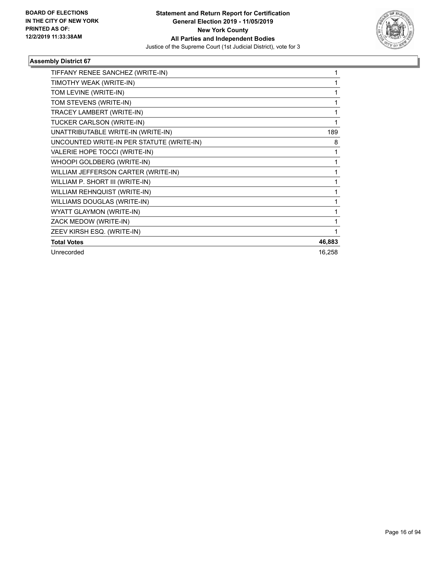

| TIFFANY RENEE SANCHEZ (WRITE-IN)          | 1      |
|-------------------------------------------|--------|
| TIMOTHY WEAK (WRITE-IN)                   |        |
| TOM LEVINE (WRITE-IN)                     |        |
| TOM STEVENS (WRITE-IN)                    | 1      |
| TRACEY LAMBERT (WRITE-IN)                 | 1      |
| TUCKER CARLSON (WRITE-IN)                 | 1      |
| UNATTRIBUTABLE WRITE-IN (WRITE-IN)        | 189    |
| UNCOUNTED WRITE-IN PER STATUTE (WRITE-IN) | 8      |
| VALERIE HOPE TOCCI (WRITE-IN)             | 1      |
| WHOOPI GOLDBERG (WRITE-IN)                | 1      |
| WILLIAM JEFFERSON CARTER (WRITE-IN)       | 1      |
| WILLIAM P. SHORT III (WRITE-IN)           | 1      |
| WILLIAM REHNQUIST (WRITE-IN)              |        |
| WILLIAMS DOUGLAS (WRITE-IN)               |        |
| WYATT GLAYMON (WRITE-IN)                  |        |
| ZACK MEDOW (WRITE-IN)                     |        |
| ZEEV KIRSH ESQ. (WRITE-IN)                | 1      |
| <b>Total Votes</b>                        | 46,883 |
| Unrecorded                                | 16,258 |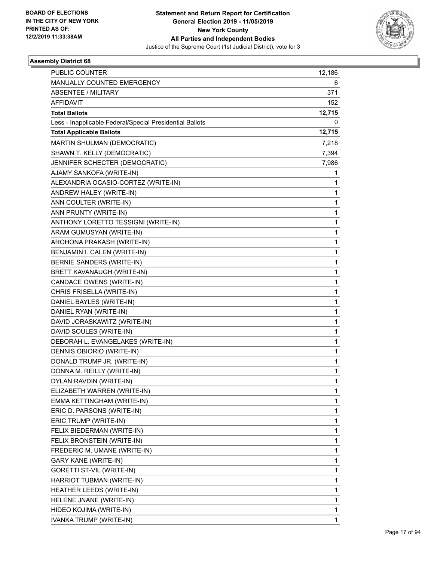

| PUBLIC COUNTER                                           | 12,186 |
|----------------------------------------------------------|--------|
| <b>MANUALLY COUNTED EMERGENCY</b>                        | 6      |
| <b>ABSENTEE / MILITARY</b>                               | 371    |
| <b>AFFIDAVIT</b>                                         | 152    |
| <b>Total Ballots</b>                                     | 12,715 |
| Less - Inapplicable Federal/Special Presidential Ballots | 0      |
| <b>Total Applicable Ballots</b>                          | 12,715 |
| MARTIN SHULMAN (DEMOCRATIC)                              | 7,218  |
| SHAWN T. KELLY (DEMOCRATIC)                              | 7,394  |
| JENNIFER SCHECTER (DEMOCRATIC)                           | 7,986  |
| AJAMY SANKOFA (WRITE-IN)                                 | 1      |
| ALEXANDRIA OCASIO-CORTEZ (WRITE-IN)                      | 1      |
| ANDREW HALEY (WRITE-IN)                                  | 1      |
| ANN COULTER (WRITE-IN)                                   | 1      |
| ANN PRUNTY (WRITE-IN)                                    | 1      |
| ANTHONY LORETTO TESSIGNI (WRITE-IN)                      | 1      |
| ARAM GUMUSYAN (WRITE-IN)                                 | 1      |
| AROHONA PRAKASH (WRITE-IN)                               | 1      |
| BENJAMIN I. CALEN (WRITE-IN)                             | 1      |
| BERNIE SANDERS (WRITE-IN)                                | 1      |
| BRETT KAVANAUGH (WRITE-IN)                               | 1      |
| CANDACE OWENS (WRITE-IN)                                 | 1      |
| CHRIS FRISELLA (WRITE-IN)                                | 1      |
| DANIEL BAYLES (WRITE-IN)                                 | 1      |
| DANIEL RYAN (WRITE-IN)                                   | 1      |
| DAVID JORASKAWITZ (WRITE-IN)                             | 1      |
| DAVID SOULES (WRITE-IN)                                  | 1      |
| DEBORAH L. EVANGELAKES (WRITE-IN)                        | 1      |
| DENNIS OBIORIO (WRITE-IN)                                | 1      |
| DONALD TRUMP JR. (WRITE-IN)                              | 1      |
| DONNA M. REILLY (WRITE-IN)                               | 1      |
| DYLAN RAVDIN (WRITE-IN)                                  | 1      |
| ELIZABETH WARREN (WRITE-IN)                              | 1      |
| EMMA KETTINGHAM (WRITE-IN)                               | 1      |
| ERIC D. PARSONS (WRITE-IN)                               | 1      |
| ERIC TRUMP (WRITE-IN)                                    | 1      |
| FELIX BIEDERMAN (WRITE-IN)                               | 1      |
| FELIX BRONSTEIN (WRITE-IN)                               | 1      |
| FREDERIC M. UMANE (WRITE-IN)                             | 1      |
| <b>GARY KANE (WRITE-IN)</b>                              | 1      |
| GORETTI ST-VIL (WRITE-IN)                                | 1      |
| HARRIOT TUBMAN (WRITE-IN)                                | 1      |
| HEATHER LEEDS (WRITE-IN)                                 | 1      |
| HELENE JNANE (WRITE-IN)                                  | 1      |
| HIDEO KOJIMA (WRITE-IN)                                  | 1      |
| IVANKA TRUMP (WRITE-IN)                                  | 1      |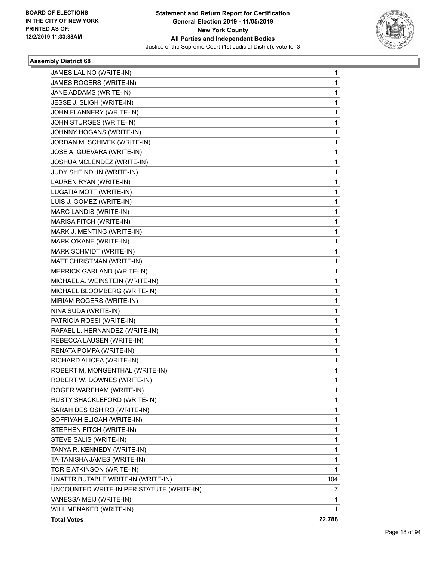

| JAMES LALINO (WRITE-IN)                   | 1            |
|-------------------------------------------|--------------|
| JAMES ROGERS (WRITE-IN)                   | 1            |
| JANE ADDAMS (WRITE-IN)                    | 1            |
| JESSE J. SLIGH (WRITE-IN)                 | 1            |
| JOHN FLANNERY (WRITE-IN)                  | 1            |
| JOHN STURGES (WRITE-IN)                   | 1            |
| JOHNNY HOGANS (WRITE-IN)                  | 1            |
| JORDAN M. SCHIVEK (WRITE-IN)              | 1            |
| JOSE A. GUEVARA (WRITE-IN)                | 1            |
| JOSHUA MCLENDEZ (WRITE-IN)                | 1            |
| JUDY SHEINDLIN (WRITE-IN)                 | 1            |
| LAUREN RYAN (WRITE-IN)                    | 1            |
| LUGATIA MOTT (WRITE-IN)                   | 1            |
| LUIS J. GOMEZ (WRITE-IN)                  | 1            |
| MARC LANDIS (WRITE-IN)                    | 1            |
| MARISA FITCH (WRITE-IN)                   | 1            |
| MARK J. MENTING (WRITE-IN)                | 1            |
| MARK O'KANE (WRITE-IN)                    | 1            |
| MARK SCHMIDT (WRITE-IN)                   | 1            |
| MATT CHRISTMAN (WRITE-IN)                 | 1            |
| MERRICK GARLAND (WRITE-IN)                | 1            |
| MICHAEL A. WEINSTEIN (WRITE-IN)           | 1            |
| MICHAEL BLOOMBERG (WRITE-IN)              | 1            |
| MIRIAM ROGERS (WRITE-IN)                  | 1            |
| NINA SUDA (WRITE-IN)                      | 1            |
| PATRICIA ROSSI (WRITE-IN)                 | 1            |
| RAFAEL L. HERNANDEZ (WRITE-IN)            | 1            |
| REBECCA LAUSEN (WRITE-IN)                 | 1            |
| RENATA POMPA (WRITE-IN)                   | 1            |
| RICHARD ALICEA (WRITE-IN)                 | 1            |
| ROBERT M. MONGENTHAL (WRITE-IN)           | 1            |
| ROBERT W. DOWNES (WRITE-IN)               | 1            |
| ROGER WAREHAM (WRITE-IN)                  | 1            |
| RUSTY SHACKLEFORD (WRITE-IN)              | 1            |
| SARAH DES OSHIRO (WRITE-IN)               | 1            |
| SOFFIYAH ELIGAH (WRITE-IN)                | 1            |
| STEPHEN FITCH (WRITE-IN)                  | 1            |
| STEVE SALIS (WRITE-IN)                    | 1            |
| TANYA R. KENNEDY (WRITE-IN)               | 1            |
| TA-TANISHA JAMES (WRITE-IN)               | 1            |
| TORIE ATKINSON (WRITE-IN)                 | $\mathbf{1}$ |
| UNATTRIBUTABLE WRITE-IN (WRITE-IN)        | 104          |
| UNCOUNTED WRITE-IN PER STATUTE (WRITE-IN) | 7            |
| VANESSA MEIJ (WRITE-IN)                   | 1            |
| WILL MENAKER (WRITE-IN)                   | 1            |
| <b>Total Votes</b>                        | 22,788       |
|                                           |              |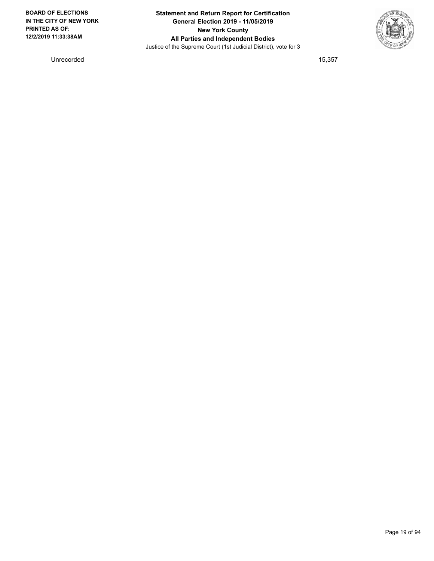

Unrecorded 15,357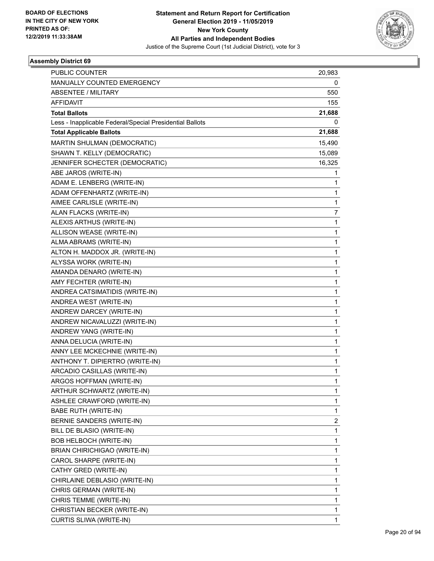

| PUBLIC COUNTER                                           | 20,983       |
|----------------------------------------------------------|--------------|
| MANUALLY COUNTED EMERGENCY                               | 0            |
| <b>ABSENTEE / MILITARY</b>                               | 550          |
| <b>AFFIDAVIT</b>                                         | 155          |
| <b>Total Ballots</b>                                     | 21,688       |
| Less - Inapplicable Federal/Special Presidential Ballots | 0            |
| <b>Total Applicable Ballots</b>                          | 21,688       |
| MARTIN SHULMAN (DEMOCRATIC)                              | 15,490       |
| SHAWN T. KELLY (DEMOCRATIC)                              | 15,089       |
| JENNIFER SCHECTER (DEMOCRATIC)                           | 16,325       |
| ABE JAROS (WRITE-IN)                                     | 1            |
| ADAM E. LENBERG (WRITE-IN)                               | 1            |
| ADAM OFFENHARTZ (WRITE-IN)                               | 1            |
| AIMEE CARLISLE (WRITE-IN)                                | 1            |
| ALAN FLACKS (WRITE-IN)                                   | 7            |
| ALEXIS ARTHUS (WRITE-IN)                                 | 1            |
| ALLISON WEASE (WRITE-IN)                                 | 1            |
| ALMA ABRAMS (WRITE-IN)                                   | 1            |
| ALTON H. MADDOX JR. (WRITE-IN)                           | $\mathbf{1}$ |
| ALYSSA WORK (WRITE-IN)                                   | 1            |
| AMANDA DENARO (WRITE-IN)                                 | 1            |
| AMY FECHTER (WRITE-IN)                                   | 1            |
| ANDREA CATSIMATIDIS (WRITE-IN)                           | 1            |
| ANDREA WEST (WRITE-IN)                                   | 1            |
| ANDREW DARCEY (WRITE-IN)                                 | $\mathbf{1}$ |
| ANDREW NICAVALUZZI (WRITE-IN)                            | 1            |
| ANDREW YANG (WRITE-IN)                                   | 1            |
| ANNA DELUCIA (WRITE-IN)                                  | 1            |
| ANNY LEE MCKECHNIE (WRITE-IN)                            | 1            |
| ANTHONY T. DIPIERTRO (WRITE-IN)                          | 1            |
| ARCADIO CASILLAS (WRITE-IN)                              | 1            |
| ARGOS HOFFMAN (WRITE-IN)                                 | 1            |
| ARTHUR SCHWARTZ (WRITE-IN)                               | 1            |
| ASHLEE CRAWFORD (WRITE-IN)                               | 1            |
| <b>BABE RUTH (WRITE-IN)</b>                              | 1            |
| BERNIE SANDERS (WRITE-IN)                                | 2            |
| BILL DE BLASIO (WRITE-IN)                                | $\mathbf{1}$ |
| BOB HELBOCH (WRITE-IN)                                   | 1            |
| <b>BRIAN CHIRICHIGAO (WRITE-IN)</b>                      | 1            |
| CAROL SHARPE (WRITE-IN)                                  | $\mathbf{1}$ |
| CATHY GRED (WRITE-IN)                                    | 1            |
| CHIRLAINE DEBLASIO (WRITE-IN)                            | 1            |
| CHRIS GERMAN (WRITE-IN)                                  | 1            |
| CHRIS TEMME (WRITE-IN)                                   | 1            |
| CHRISTIAN BECKER (WRITE-IN)                              | 1            |
| CURTIS SLIWA (WRITE-IN)                                  | $\mathbf{1}$ |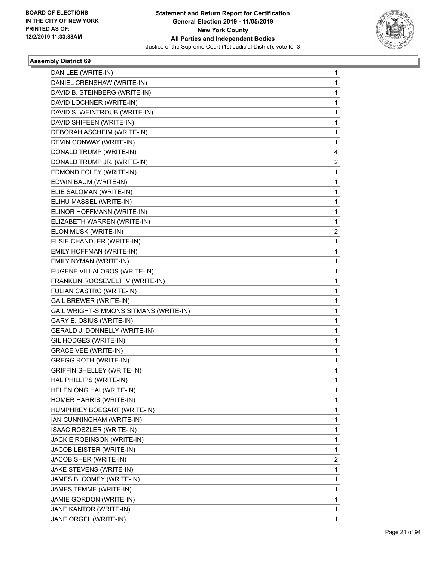

| DAN LEE (WRITE-IN)                     | $\mathbf{1}$   |
|----------------------------------------|----------------|
| DANIEL CRENSHAW (WRITE-IN)             | 1              |
| DAVID B. STEINBERG (WRITE-IN)          | 1              |
| DAVID LOCHNER (WRITE-IN)               | 1              |
| DAVID S. WEINTROUB (WRITE-IN)          | 1              |
| DAVID SHIFEEN (WRITE-IN)               | 1              |
| DEBORAH ASCHEIM (WRITE-IN)             | 1              |
| DEVIN CONWAY (WRITE-IN)                | 1              |
| DONALD TRUMP (WRITE-IN)                | 4              |
| DONALD TRUMP JR. (WRITE-IN)            | 2              |
| EDMOND FOLEY (WRITE-IN)                | 1              |
| EDWIN BAUM (WRITE-IN)                  | 1              |
| ELIE SALOMAN (WRITE-IN)                | 1              |
| ELIHU MASSEL (WRITE-IN)                | 1              |
| ELINOR HOFFMANN (WRITE-IN)             | 1              |
| ELIZABETH WARREN (WRITE-IN)            | 1              |
| ELON MUSK (WRITE-IN)                   | 2              |
| ELSIE CHANDLER (WRITE-IN)              | 1              |
| EMILY HOFFMAN (WRITE-IN)               | 1              |
| EMILY NYMAN (WRITE-IN)                 | 1              |
| EUGENE VILLALOBOS (WRITE-IN)           | 1              |
| FRANKLIN ROOSEVELT IV (WRITE-IN)       | 1              |
| FULIAN CASTRO (WRITE-IN)               | 1              |
| <b>GAIL BREWER (WRITE-IN)</b>          | 1              |
| GAIL WRIGHT-SIMMONS SITMANS (WRITE-IN) | 1              |
| GARY E. OSIUS (WRITE-IN)               | 1              |
| GERALD J. DONNELLY (WRITE-IN)          | 1              |
| GIL HODGES (WRITE-IN)                  | 1              |
| <b>GRACE VEE (WRITE-IN)</b>            | 1              |
| <b>GREGG ROTH (WRITE-IN)</b>           | 1              |
| <b>GRIFFIN SHELLEY (WRITE-IN)</b>      | 1              |
| HAL PHILLIPS (WRITE-IN)                | 1              |
| HELEN ONG HAI (WRITE-IN)               | 1              |
| HOMER HARRIS (WRITE-IN)                | 1              |
| HUMPHREY BOEGART (WRITE-IN)            | 1              |
| IAN CUNNINGHAM (WRITE-IN)              | 1              |
| ISAAC ROSZLER (WRITE-IN)               | 1              |
| JACKIE ROBINSON (WRITE-IN)             | 1              |
| JACOB LEISTER (WRITE-IN)               | 1              |
| JACOB SHER (WRITE-IN)                  | $\overline{c}$ |
| JAKE STEVENS (WRITE-IN)                | 1              |
| JAMES B. COMEY (WRITE-IN)              | 1              |
| JAMES TEMME (WRITE-IN)                 | 1              |
| JAMIE GORDON (WRITE-IN)                | 1              |
| JANE KANTOR (WRITE-IN)                 | 1              |
| JANE ORGEL (WRITE-IN)                  | $\mathbf{1}$   |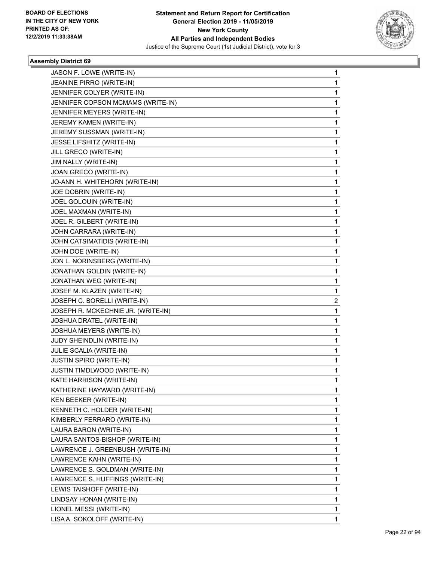

| JASON F. LOWE (WRITE-IN)<br>JEANINE PIRRO (WRITE-IN)<br>JENNIFER COLYER (WRITE-IN)<br>JENNIFER COPSON MCMAMS (WRITE-IN)<br>JENNIFER MEYERS (WRITE-IN)<br>JEREMY KAMEN (WRITE-IN)<br>JEREMY SUSSMAN (WRITE-IN)<br>JESSE LIFSHITZ (WRITE-IN)<br>JILL GRECO (WRITE-IN)<br>JIM NALLY (WRITE-IN)<br>JOAN GRECO (WRITE-IN)<br>JO-ANN H. WHITEHORN (WRITE-IN)<br>JOE DOBRIN (WRITE-IN)<br>JOEL GOLOUIN (WRITE-IN)<br>JOEL MAXMAN (WRITE-IN)<br>JOEL R. GILBERT (WRITE-IN)<br>JOHN CARRARA (WRITE-IN)<br>JOHN CATSIMATIDIS (WRITE-IN)<br>JOHN DOE (WRITE-IN)<br>JON L. NORINSBERG (WRITE-IN)<br>JONATHAN GOLDIN (WRITE-IN)<br>JONATHAN WEG (WRITE-IN)<br>JOSEF M. KLAZEN (WRITE-IN)<br>JOSEPH C. BORELLI (WRITE-IN)<br>JOSEPH R. MCKECHNIE JR. (WRITE-IN)<br>JOSHUA DRATEL (WRITE-IN)<br>JOSHUA MEYERS (WRITE-IN)<br>JUDY SHEINDLIN (WRITE-IN)<br>JULIE SCALIA (WRITE-IN)<br>JUSTIN SPIRO (WRITE-IN)<br>JUSTIN TIMDLWOOD (WRITE-IN)<br>KATE HARRISON (WRITE-IN)<br>KATHERINE HAYWARD (WRITE-IN)<br>KEN BEEKER (WRITE-IN)<br>KENNETH C. HOLDER (WRITE-IN)<br>KIMBERLY FERRARO (WRITE-IN)<br>LAURA BARON (WRITE-IN)<br>LAURA SANTOS-BISHOP (WRITE-IN)<br>LAWRENCE J. GREENBUSH (WRITE-IN)<br>LAWRENCE KAHN (WRITE-IN)<br>LAWRENCE S. GOLDMAN (WRITE-IN)<br>LAWRENCE S. HUFFINGS (WRITE-IN)<br>LEWIS TAISHOFF (WRITE-IN)<br>LINDSAY HONAN (WRITE-IN)<br>LIONEL MESSI (WRITE-IN) |   |
|----------------------------------------------------------------------------------------------------------------------------------------------------------------------------------------------------------------------------------------------------------------------------------------------------------------------------------------------------------------------------------------------------------------------------------------------------------------------------------------------------------------------------------------------------------------------------------------------------------------------------------------------------------------------------------------------------------------------------------------------------------------------------------------------------------------------------------------------------------------------------------------------------------------------------------------------------------------------------------------------------------------------------------------------------------------------------------------------------------------------------------------------------------------------------------------------------------------------------------------------------------------------------------------------------------------------------------------------------------------------|---|
|                                                                                                                                                                                                                                                                                                                                                                                                                                                                                                                                                                                                                                                                                                                                                                                                                                                                                                                                                                                                                                                                                                                                                                                                                                                                                                                                                                      | 1 |
|                                                                                                                                                                                                                                                                                                                                                                                                                                                                                                                                                                                                                                                                                                                                                                                                                                                                                                                                                                                                                                                                                                                                                                                                                                                                                                                                                                      | 1 |
|                                                                                                                                                                                                                                                                                                                                                                                                                                                                                                                                                                                                                                                                                                                                                                                                                                                                                                                                                                                                                                                                                                                                                                                                                                                                                                                                                                      | 1 |
|                                                                                                                                                                                                                                                                                                                                                                                                                                                                                                                                                                                                                                                                                                                                                                                                                                                                                                                                                                                                                                                                                                                                                                                                                                                                                                                                                                      | 1 |
|                                                                                                                                                                                                                                                                                                                                                                                                                                                                                                                                                                                                                                                                                                                                                                                                                                                                                                                                                                                                                                                                                                                                                                                                                                                                                                                                                                      | 1 |
|                                                                                                                                                                                                                                                                                                                                                                                                                                                                                                                                                                                                                                                                                                                                                                                                                                                                                                                                                                                                                                                                                                                                                                                                                                                                                                                                                                      | 1 |
|                                                                                                                                                                                                                                                                                                                                                                                                                                                                                                                                                                                                                                                                                                                                                                                                                                                                                                                                                                                                                                                                                                                                                                                                                                                                                                                                                                      | 1 |
|                                                                                                                                                                                                                                                                                                                                                                                                                                                                                                                                                                                                                                                                                                                                                                                                                                                                                                                                                                                                                                                                                                                                                                                                                                                                                                                                                                      | 1 |
|                                                                                                                                                                                                                                                                                                                                                                                                                                                                                                                                                                                                                                                                                                                                                                                                                                                                                                                                                                                                                                                                                                                                                                                                                                                                                                                                                                      | 1 |
|                                                                                                                                                                                                                                                                                                                                                                                                                                                                                                                                                                                                                                                                                                                                                                                                                                                                                                                                                                                                                                                                                                                                                                                                                                                                                                                                                                      | 1 |
|                                                                                                                                                                                                                                                                                                                                                                                                                                                                                                                                                                                                                                                                                                                                                                                                                                                                                                                                                                                                                                                                                                                                                                                                                                                                                                                                                                      | 1 |
|                                                                                                                                                                                                                                                                                                                                                                                                                                                                                                                                                                                                                                                                                                                                                                                                                                                                                                                                                                                                                                                                                                                                                                                                                                                                                                                                                                      | 1 |
|                                                                                                                                                                                                                                                                                                                                                                                                                                                                                                                                                                                                                                                                                                                                                                                                                                                                                                                                                                                                                                                                                                                                                                                                                                                                                                                                                                      | 1 |
|                                                                                                                                                                                                                                                                                                                                                                                                                                                                                                                                                                                                                                                                                                                                                                                                                                                                                                                                                                                                                                                                                                                                                                                                                                                                                                                                                                      | 1 |
|                                                                                                                                                                                                                                                                                                                                                                                                                                                                                                                                                                                                                                                                                                                                                                                                                                                                                                                                                                                                                                                                                                                                                                                                                                                                                                                                                                      | 1 |
|                                                                                                                                                                                                                                                                                                                                                                                                                                                                                                                                                                                                                                                                                                                                                                                                                                                                                                                                                                                                                                                                                                                                                                                                                                                                                                                                                                      | 1 |
|                                                                                                                                                                                                                                                                                                                                                                                                                                                                                                                                                                                                                                                                                                                                                                                                                                                                                                                                                                                                                                                                                                                                                                                                                                                                                                                                                                      | 1 |
|                                                                                                                                                                                                                                                                                                                                                                                                                                                                                                                                                                                                                                                                                                                                                                                                                                                                                                                                                                                                                                                                                                                                                                                                                                                                                                                                                                      | 1 |
|                                                                                                                                                                                                                                                                                                                                                                                                                                                                                                                                                                                                                                                                                                                                                                                                                                                                                                                                                                                                                                                                                                                                                                                                                                                                                                                                                                      | 1 |
|                                                                                                                                                                                                                                                                                                                                                                                                                                                                                                                                                                                                                                                                                                                                                                                                                                                                                                                                                                                                                                                                                                                                                                                                                                                                                                                                                                      | 1 |
|                                                                                                                                                                                                                                                                                                                                                                                                                                                                                                                                                                                                                                                                                                                                                                                                                                                                                                                                                                                                                                                                                                                                                                                                                                                                                                                                                                      | 1 |
|                                                                                                                                                                                                                                                                                                                                                                                                                                                                                                                                                                                                                                                                                                                                                                                                                                                                                                                                                                                                                                                                                                                                                                                                                                                                                                                                                                      | 1 |
|                                                                                                                                                                                                                                                                                                                                                                                                                                                                                                                                                                                                                                                                                                                                                                                                                                                                                                                                                                                                                                                                                                                                                                                                                                                                                                                                                                      | 1 |
|                                                                                                                                                                                                                                                                                                                                                                                                                                                                                                                                                                                                                                                                                                                                                                                                                                                                                                                                                                                                                                                                                                                                                                                                                                                                                                                                                                      | 2 |
|                                                                                                                                                                                                                                                                                                                                                                                                                                                                                                                                                                                                                                                                                                                                                                                                                                                                                                                                                                                                                                                                                                                                                                                                                                                                                                                                                                      | 1 |
|                                                                                                                                                                                                                                                                                                                                                                                                                                                                                                                                                                                                                                                                                                                                                                                                                                                                                                                                                                                                                                                                                                                                                                                                                                                                                                                                                                      | 1 |
|                                                                                                                                                                                                                                                                                                                                                                                                                                                                                                                                                                                                                                                                                                                                                                                                                                                                                                                                                                                                                                                                                                                                                                                                                                                                                                                                                                      | 1 |
|                                                                                                                                                                                                                                                                                                                                                                                                                                                                                                                                                                                                                                                                                                                                                                                                                                                                                                                                                                                                                                                                                                                                                                                                                                                                                                                                                                      | 1 |
|                                                                                                                                                                                                                                                                                                                                                                                                                                                                                                                                                                                                                                                                                                                                                                                                                                                                                                                                                                                                                                                                                                                                                                                                                                                                                                                                                                      | 1 |
|                                                                                                                                                                                                                                                                                                                                                                                                                                                                                                                                                                                                                                                                                                                                                                                                                                                                                                                                                                                                                                                                                                                                                                                                                                                                                                                                                                      | 1 |
|                                                                                                                                                                                                                                                                                                                                                                                                                                                                                                                                                                                                                                                                                                                                                                                                                                                                                                                                                                                                                                                                                                                                                                                                                                                                                                                                                                      | 1 |
|                                                                                                                                                                                                                                                                                                                                                                                                                                                                                                                                                                                                                                                                                                                                                                                                                                                                                                                                                                                                                                                                                                                                                                                                                                                                                                                                                                      | 1 |
|                                                                                                                                                                                                                                                                                                                                                                                                                                                                                                                                                                                                                                                                                                                                                                                                                                                                                                                                                                                                                                                                                                                                                                                                                                                                                                                                                                      | 1 |
|                                                                                                                                                                                                                                                                                                                                                                                                                                                                                                                                                                                                                                                                                                                                                                                                                                                                                                                                                                                                                                                                                                                                                                                                                                                                                                                                                                      | 1 |
|                                                                                                                                                                                                                                                                                                                                                                                                                                                                                                                                                                                                                                                                                                                                                                                                                                                                                                                                                                                                                                                                                                                                                                                                                                                                                                                                                                      | 1 |
|                                                                                                                                                                                                                                                                                                                                                                                                                                                                                                                                                                                                                                                                                                                                                                                                                                                                                                                                                                                                                                                                                                                                                                                                                                                                                                                                                                      | 1 |
|                                                                                                                                                                                                                                                                                                                                                                                                                                                                                                                                                                                                                                                                                                                                                                                                                                                                                                                                                                                                                                                                                                                                                                                                                                                                                                                                                                      | 1 |
|                                                                                                                                                                                                                                                                                                                                                                                                                                                                                                                                                                                                                                                                                                                                                                                                                                                                                                                                                                                                                                                                                                                                                                                                                                                                                                                                                                      | 1 |
|                                                                                                                                                                                                                                                                                                                                                                                                                                                                                                                                                                                                                                                                                                                                                                                                                                                                                                                                                                                                                                                                                                                                                                                                                                                                                                                                                                      | 1 |
|                                                                                                                                                                                                                                                                                                                                                                                                                                                                                                                                                                                                                                                                                                                                                                                                                                                                                                                                                                                                                                                                                                                                                                                                                                                                                                                                                                      | 1 |
|                                                                                                                                                                                                                                                                                                                                                                                                                                                                                                                                                                                                                                                                                                                                                                                                                                                                                                                                                                                                                                                                                                                                                                                                                                                                                                                                                                      | 1 |
|                                                                                                                                                                                                                                                                                                                                                                                                                                                                                                                                                                                                                                                                                                                                                                                                                                                                                                                                                                                                                                                                                                                                                                                                                                                                                                                                                                      | 1 |
|                                                                                                                                                                                                                                                                                                                                                                                                                                                                                                                                                                                                                                                                                                                                                                                                                                                                                                                                                                                                                                                                                                                                                                                                                                                                                                                                                                      | 1 |
|                                                                                                                                                                                                                                                                                                                                                                                                                                                                                                                                                                                                                                                                                                                                                                                                                                                                                                                                                                                                                                                                                                                                                                                                                                                                                                                                                                      | 1 |
|                                                                                                                                                                                                                                                                                                                                                                                                                                                                                                                                                                                                                                                                                                                                                                                                                                                                                                                                                                                                                                                                                                                                                                                                                                                                                                                                                                      | 1 |
| LISA A. SOKOLOFF (WRITE-IN)                                                                                                                                                                                                                                                                                                                                                                                                                                                                                                                                                                                                                                                                                                                                                                                                                                                                                                                                                                                                                                                                                                                                                                                                                                                                                                                                          | 1 |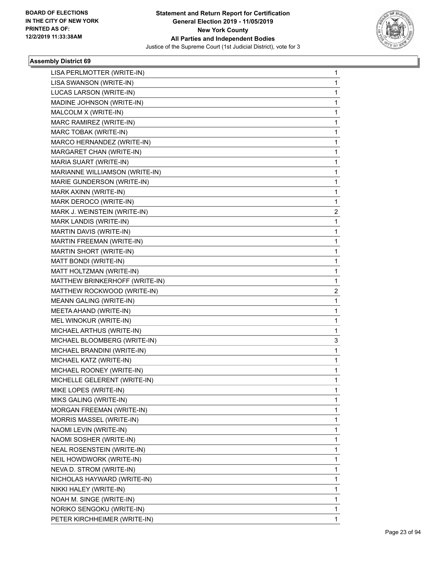

| LISA PERLMOTTER (WRITE-IN)     | 1 |
|--------------------------------|---|
| LISA SWANSON (WRITE-IN)        | 1 |
| LUCAS LARSON (WRITE-IN)        | 1 |
| MADINE JOHNSON (WRITE-IN)      | 1 |
| MALCOLM X (WRITE-IN)           | 1 |
| MARC RAMIREZ (WRITE-IN)        | 1 |
| MARC TOBAK (WRITE-IN)          | 1 |
| MARCO HERNANDEZ (WRITE-IN)     | 1 |
| MARGARET CHAN (WRITE-IN)       | 1 |
| MARIA SUART (WRITE-IN)         | 1 |
| MARIANNE WILLIAMSON (WRITE-IN) | 1 |
| MARIE GUNDERSON (WRITE-IN)     | 1 |
| MARK AXINN (WRITE-IN)          | 1 |
| MARK DEROCO (WRITE-IN)         | 1 |
| MARK J. WEINSTEIN (WRITE-IN)   | 2 |
| MARK LANDIS (WRITE-IN)         | 1 |
| MARTIN DAVIS (WRITE-IN)        | 1 |
| MARTIN FREEMAN (WRITE-IN)      | 1 |
| MARTIN SHORT (WRITE-IN)        | 1 |
| MATT BONDI (WRITE-IN)          | 1 |
| MATT HOLTZMAN (WRITE-IN)       | 1 |
| MATTHEW BRINKERHOFF (WRITE-IN) | 1 |
| MATTHEW ROCKWOOD (WRITE-IN)    | 2 |
| <b>MEANN GALING (WRITE-IN)</b> | 1 |
| MEETA AHAND (WRITE-IN)         | 1 |
| MEL WINOKUR (WRITE-IN)         | 1 |
| MICHAEL ARTHUS (WRITE-IN)      | 1 |
| MICHAEL BLOOMBERG (WRITE-IN)   | 3 |
| MICHAEL BRANDINI (WRITE-IN)    | 1 |
| MICHAEL KATZ (WRITE-IN)        | 1 |
| MICHAEL ROONEY (WRITE-IN)      | 1 |
| MICHELLE GELERENT (WRITE-IN)   | 1 |
| MIKE LOPES (WRITE-IN)          | 1 |
| MIKS GALING (WRITE-IN)         | 1 |
| MORGAN FREEMAN (WRITE-IN)      | 1 |
| MORRIS MASSEL (WRITE-IN)       | 1 |
| NAOMI LEVIN (WRITE-IN)         | 1 |
| NAOMI SOSHER (WRITE-IN)        | 1 |
| NEAL ROSENSTEIN (WRITE-IN)     | 1 |
| NEIL HOWDWORK (WRITE-IN)       | 1 |
| NEVA D. STROM (WRITE-IN)       | 1 |
| NICHOLAS HAYWARD (WRITE-IN)    | 1 |
| NIKKI HALEY (WRITE-IN)         | 1 |
| NOAH M. SINGE (WRITE-IN)       | 1 |
| NORIKO SENGOKU (WRITE-IN)      | 1 |
| PETER KIRCHHEIMER (WRITE-IN)   | 1 |
|                                |   |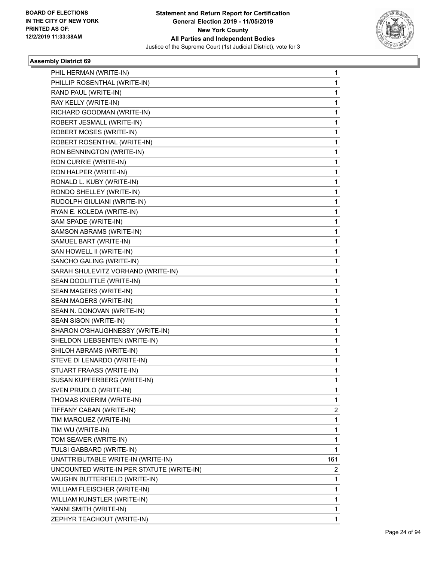

| PHIL HERMAN (WRITE-IN)                    | 1                       |
|-------------------------------------------|-------------------------|
| PHILLIP ROSENTHAL (WRITE-IN)              | 1                       |
| RAND PAUL (WRITE-IN)                      | 1                       |
| RAY KELLY (WRITE-IN)                      | 1                       |
| RICHARD GOODMAN (WRITE-IN)                | 1                       |
| ROBERT JESMALL (WRITE-IN)                 | 1                       |
| ROBERT MOSES (WRITE-IN)                   | 1                       |
| ROBERT ROSENTHAL (WRITE-IN)               | 1                       |
| RON BENNINGTON (WRITE-IN)                 | 1                       |
| RON CURRIE (WRITE-IN)                     | 1                       |
| RON HALPER (WRITE-IN)                     | 1                       |
| RONALD L. KUBY (WRITE-IN)                 | 1                       |
| RONDO SHELLEY (WRITE-IN)                  | 1                       |
| RUDOLPH GIULIANI (WRITE-IN)               | 1                       |
| RYAN E. KOLEDA (WRITE-IN)                 | 1                       |
| SAM SPADE (WRITE-IN)                      | 1                       |
| SAMSON ABRAMS (WRITE-IN)                  | 1                       |
| SAMUEL BART (WRITE-IN)                    | 1                       |
| SAN HOWELL II (WRITE-IN)                  | 1                       |
| SANCHO GALING (WRITE-IN)                  | 1                       |
| SARAH SHULEVITZ VORHAND (WRITE-IN)        | 1                       |
| SEAN DOOLITTLE (WRITE-IN)                 | 1                       |
| SEAN MAGERS (WRITE-IN)                    | 1                       |
| SEAN MAQERS (WRITE-IN)                    | 1                       |
| SEAN N. DONOVAN (WRITE-IN)                | 1                       |
| SEAN SISON (WRITE-IN)                     | 1                       |
| SHARON O'SHAUGHNESSY (WRITE-IN)           | 1                       |
| SHELDON LIEBSENTEN (WRITE-IN)             | 1                       |
| SHILOH ABRAMS (WRITE-IN)                  | 1                       |
| STEVE DI LENARDO (WRITE-IN)               | 1                       |
| STUART FRAASS (WRITE-IN)                  | 1                       |
| SUSAN KUPFERBERG (WRITE-IN)               | 1                       |
| SVEN PRUDLO (WRITE-IN)                    | 1                       |
| THOMAS KNIERIM (WRITE-IN)                 | 1                       |
| TIFFANY CABAN (WRITE-IN)                  | $\overline{\mathbf{c}}$ |
| TIM MARQUEZ (WRITE-IN)                    | 1                       |
| TIM WU (WRITE-IN)                         | 1                       |
| TOM SEAVER (WRITE-IN)                     | 1                       |
| TULSI GABBARD (WRITE-IN)                  | 1                       |
| UNATTRIBUTABLE WRITE-IN (WRITE-IN)        | 161                     |
| UNCOUNTED WRITE-IN PER STATUTE (WRITE-IN) | 2                       |
| VAUGHN BUTTERFIELD (WRITE-IN)             | $\mathbf{1}$            |
| WILLIAM FLEISCHER (WRITE-IN)              | 1                       |
| WILLIAM KUNSTLER (WRITE-IN)               | 1                       |
| YANNI SMITH (WRITE-IN)                    | 1                       |
| ZEPHYR TEACHOUT (WRITE-IN)                | 1                       |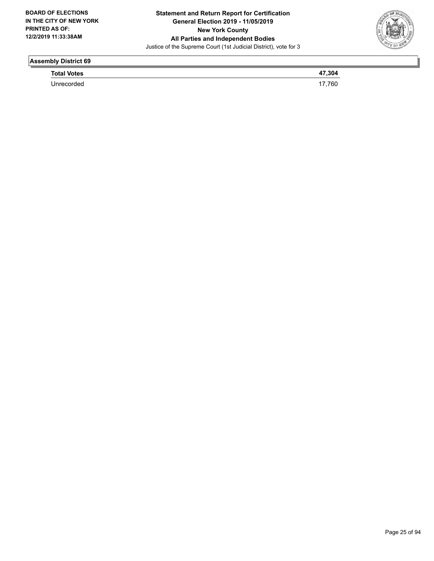

| __                 |  |
|--------------------|--|
| <b>Total Votes</b> |  |
| <b>Jnrecorded</b>  |  |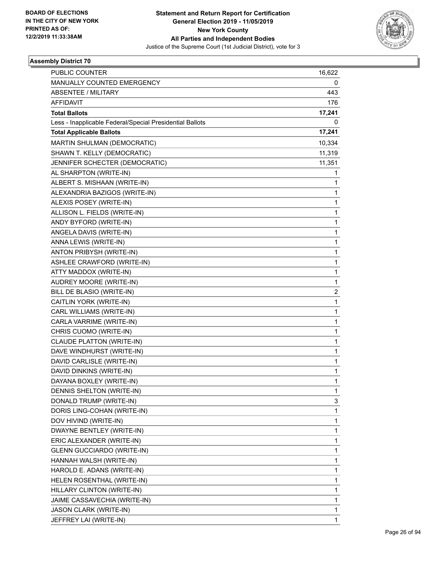

| PUBLIC COUNTER                                           | 16,622         |
|----------------------------------------------------------|----------------|
| MANUALLY COUNTED EMERGENCY                               | 0              |
| ABSENTEE / MILITARY                                      | 443            |
| <b>AFFIDAVIT</b>                                         | 176            |
| <b>Total Ballots</b>                                     | 17,241         |
| Less - Inapplicable Federal/Special Presidential Ballots | 0              |
| <b>Total Applicable Ballots</b>                          | 17,241         |
| MARTIN SHULMAN (DEMOCRATIC)                              | 10,334         |
| SHAWN T. KELLY (DEMOCRATIC)                              | 11,319         |
| JENNIFER SCHECTER (DEMOCRATIC)                           | 11,351         |
| AL SHARPTON (WRITE-IN)                                   | 1              |
| ALBERT S. MISHAAN (WRITE-IN)                             | 1              |
| ALEXANDRIA BAZIGOS (WRITE-IN)                            | $\mathbf{1}$   |
| ALEXIS POSEY (WRITE-IN)                                  | 1              |
| ALLISON L. FIELDS (WRITE-IN)                             | 1              |
| ANDY BYFORD (WRITE-IN)                                   | 1              |
| ANGELA DAVIS (WRITE-IN)                                  | 1              |
| ANNA LEWIS (WRITE-IN)                                    | 1              |
| ANTON PRIBYSH (WRITE-IN)                                 | $\mathbf{1}$   |
| ASHLEE CRAWFORD (WRITE-IN)                               | 1              |
| ATTY MADDOX (WRITE-IN)                                   | 1              |
| AUDREY MOORE (WRITE-IN)                                  | 1              |
| BILL DE BLASIO (WRITE-IN)                                | $\overline{2}$ |
| CAITLIN YORK (WRITE-IN)                                  | $\mathbf{1}$   |
| CARL WILLIAMS (WRITE-IN)                                 | $\mathbf{1}$   |
| CARLA VARRIME (WRITE-IN)                                 | 1              |
| CHRIS CUOMO (WRITE-IN)                                   | 1              |
| <b>CLAUDE PLATTON (WRITE-IN)</b>                         | 1              |
| DAVE WINDHURST (WRITE-IN)                                | 1              |
| DAVID CARLISLE (WRITE-IN)                                | 1              |
| DAVID DINKINS (WRITE-IN)                                 | $\mathbf{1}$   |
| DAYANA BOXLEY (WRITE-IN)                                 | 1              |
| DENNIS SHELTON (WRITE-IN)                                | 1              |
| DONALD TRUMP (WRITE-IN)                                  | 3              |
| DORIS LING-COHAN (WRITE-IN)                              | 1              |
| DOV HIVIND (WRITE-IN)                                    | 1              |
| DWAYNE BENTLEY (WRITE-IN)                                | $\mathbf{1}$   |
| ERIC ALEXANDER (WRITE-IN)                                | 1              |
| <b>GLENN GUCCIARDO (WRITE-IN)</b>                        | 1              |
| HANNAH WALSH (WRITE-IN)                                  | $\mathbf{1}$   |
| HAROLD E. ADANS (WRITE-IN)                               | 1              |
| HELEN ROSENTHAL (WRITE-IN)                               | 1              |
| HILLARY CLINTON (WRITE-IN)                               | $\mathbf{1}$   |
| JAIME CASSAVECHIA (WRITE-IN)                             | 1              |
| JASON CLARK (WRITE-IN)                                   | 1              |
| JEFFREY LAI (WRITE-IN)                                   | $\mathbf{1}$   |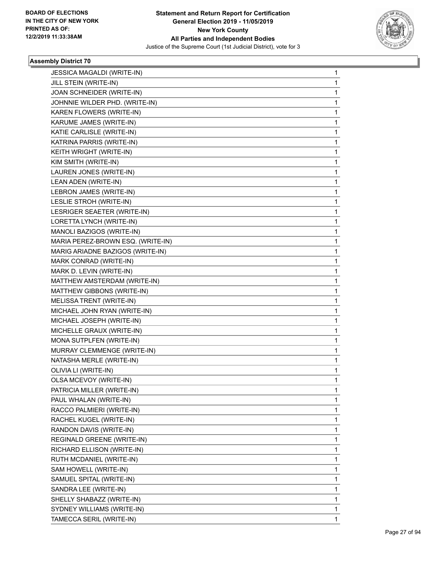

| <b>JESSICA MAGALDI (WRITE-IN)</b> | 1 |
|-----------------------------------|---|
| JILL STEIN (WRITE-IN)             | 1 |
| JOAN SCHNEIDER (WRITE-IN)         | 1 |
| JOHNNIE WILDER PHD. (WRITE-IN)    | 1 |
| KAREN FLOWERS (WRITE-IN)          | 1 |
| KARUME JAMES (WRITE-IN)           | 1 |
| KATIE CARLISLE (WRITE-IN)         | 1 |
| KATRINA PARRIS (WRITE-IN)         | 1 |
| KEITH WRIGHT (WRITE-IN)           | 1 |
| KIM SMITH (WRITE-IN)              | 1 |
| LAUREN JONES (WRITE-IN)           | 1 |
| LEAN ADEN (WRITE-IN)              | 1 |
| LEBRON JAMES (WRITE-IN)           | 1 |
| LESLIE STROH (WRITE-IN)           | 1 |
| LESRIGER SEAETER (WRITE-IN)       | 1 |
| LORETTA LYNCH (WRITE-IN)          | 1 |
| MANOLI BAZIGOS (WRITE-IN)         | 1 |
| MARIA PEREZ-BROWN ESQ. (WRITE-IN) | 1 |
| MARIG ARIADNE BAZIGOS (WRITE-IN)  | 1 |
| MARK CONRAD (WRITE-IN)            | 1 |
| MARK D. LEVIN (WRITE-IN)          | 1 |
| MATTHEW AMSTERDAM (WRITE-IN)      | 1 |
| MATTHEW GIBBONS (WRITE-IN)        | 1 |
| MELISSA TRENT (WRITE-IN)          | 1 |
| MICHAEL JOHN RYAN (WRITE-IN)      | 1 |
| MICHAEL JOSEPH (WRITE-IN)         | 1 |
| MICHELLE GRAUX (WRITE-IN)         | 1 |
| MONA SUTPLFEN (WRITE-IN)          | 1 |
| MURRAY CLEMMENGE (WRITE-IN)       | 1 |
| NATASHA MERLE (WRITE-IN)          | 1 |
| OLIVIA LI (WRITE-IN)              | 1 |
| OLSA MCEVOY (WRITE-IN)            | 1 |
| PATRICIA MILLER (WRITE-IN)        | 1 |
| PAUL WHALAN (WRITE-IN)            | 1 |
| RACCO PALMIERI (WRITE-IN)         | 1 |
| RACHEL KUGEL (WRITE-IN)           | 1 |
| RANDON DAVIS (WRITE-IN)           | 1 |
| REGINALD GREENE (WRITE-IN)        | 1 |
| RICHARD ELLISON (WRITE-IN)        | 1 |
| RUTH MCDANIEL (WRITE-IN)          | 1 |
| SAM HOWELL (WRITE-IN)             | 1 |
| SAMUEL SPITAL (WRITE-IN)          | 1 |
| SANDRA LEE (WRITE-IN)             | 1 |
| SHELLY SHABAZZ (WRITE-IN)         | 1 |
| SYDNEY WILLIAMS (WRITE-IN)        | 1 |
| TAMECCA SERIL (WRITE-IN)          | 1 |
|                                   |   |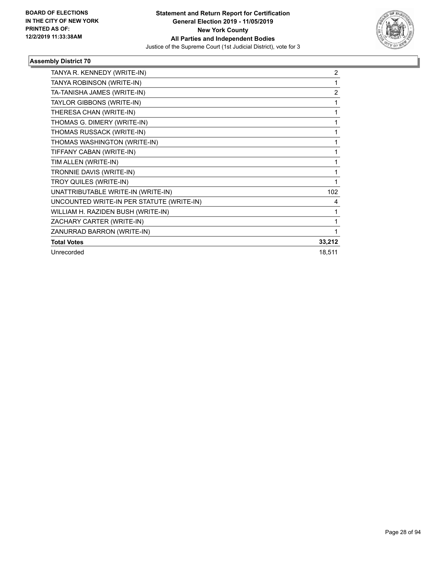

| TANYA R. KENNEDY (WRITE-IN)               | 2              |
|-------------------------------------------|----------------|
| TANYA ROBINSON (WRITE-IN)                 | 1              |
| TA-TANISHA JAMES (WRITE-IN)               | $\overline{2}$ |
| TAYLOR GIBBONS (WRITE-IN)                 | 1              |
| THERESA CHAN (WRITE-IN)                   |                |
| THOMAS G. DIMERY (WRITE-IN)               | 1              |
| THOMAS RUSSACK (WRITE-IN)                 | 1              |
| THOMAS WASHINGTON (WRITE-IN)              | 1              |
| TIFFANY CABAN (WRITE-IN)                  | 1              |
| TIM ALLEN (WRITE-IN)                      | 1              |
| TRONNIE DAVIS (WRITE-IN)                  | 1              |
| TROY QUILES (WRITE-IN)                    | 1              |
| UNATTRIBUTABLE WRITE-IN (WRITE-IN)        | 102            |
| UNCOUNTED WRITE-IN PER STATUTE (WRITE-IN) | 4              |
| WILLIAM H. RAZIDEN BUSH (WRITE-IN)        |                |
| ZACHARY CARTER (WRITE-IN)                 |                |
| ZANURRAD BARRON (WRITE-IN)                |                |
| <b>Total Votes</b>                        | 33,212         |
| Unrecorded                                | 18,511         |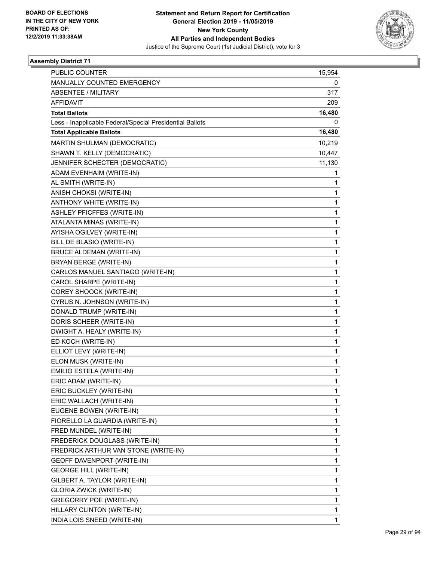

| <b>PUBLIC COUNTER</b>                                    | 15,954 |
|----------------------------------------------------------|--------|
| MANUALLY COUNTED EMERGENCY                               | 0      |
| <b>ABSENTEE / MILITARY</b>                               | 317    |
| <b>AFFIDAVIT</b>                                         | 209    |
| <b>Total Ballots</b>                                     | 16,480 |
| Less - Inapplicable Federal/Special Presidential Ballots | 0      |
| <b>Total Applicable Ballots</b>                          | 16,480 |
| MARTIN SHULMAN (DEMOCRATIC)                              | 10,219 |
| SHAWN T. KELLY (DEMOCRATIC)                              | 10,447 |
| JENNIFER SCHECTER (DEMOCRATIC)                           | 11,130 |
| ADAM EVENHAIM (WRITE-IN)                                 | 1      |
| AL SMITH (WRITE-IN)                                      | 1      |
| ANISH CHOKSI (WRITE-IN)                                  | 1      |
| ANTHONY WHITE (WRITE-IN)                                 | 1      |
| ASHLEY PFICFFES (WRITE-IN)                               | 1      |
| ATALANTA MINAS (WRITE-IN)                                | 1      |
| AYISHA OGILVEY (WRITE-IN)                                | 1      |
| BILL DE BLASIO (WRITE-IN)                                | 1      |
| <b>BRUCE ALDEMAN (WRITE-IN)</b>                          | 1      |
| BRYAN BERGE (WRITE-IN)                                   | 1      |
| CARLOS MANUEL SANTIAGO (WRITE-IN)                        | 1      |
| CAROL SHARPE (WRITE-IN)                                  | 1      |
| COREY SHOOCK (WRITE-IN)                                  | 1      |
| CYRUS N. JOHNSON (WRITE-IN)                              | 1      |
| DONALD TRUMP (WRITE-IN)                                  | 1      |
| DORIS SCHEER (WRITE-IN)                                  | 1      |
| DWIGHT A. HEALY (WRITE-IN)                               | 1      |
| ED KOCH (WRITE-IN)                                       | 1      |
| ELLIOT LEVY (WRITE-IN)                                   | 1      |
| ELON MUSK (WRITE-IN)                                     | 1      |
| EMILIO ESTELA (WRITE-IN)                                 | 1      |
| ERIC ADAM (WRITE-IN)                                     | 1      |
| ERIC BUCKLEY (WRITE-IN)                                  | 1      |
| ERIC WALLACH (WRITE-IN)                                  | 1      |
| EUGENE BOWEN (WRITE-IN)                                  | 1      |
| FIORELLO LA GUARDIA (WRITE-IN)                           | 1      |
| FRED MUNDEL (WRITE-IN)                                   | 1      |
| FREDERICK DOUGLASS (WRITE-IN)                            | 1      |
| FREDRICK ARTHUR VAN STONE (WRITE-IN)                     | 1      |
| GEOFF DAVENPORT (WRITE-IN)                               | 1      |
| <b>GEORGE HILL (WRITE-IN)</b>                            | 1      |
| GILBERT A. TAYLOR (WRITE-IN)                             | 1      |
| <b>GLORIA ZWICK (WRITE-IN)</b>                           | 1      |
| <b>GREGORRY POE (WRITE-IN)</b>                           | 1      |
| HILLARY CLINTON (WRITE-IN)                               | 1      |
| INDIA LOIS SNEED (WRITE-IN)                              | 1      |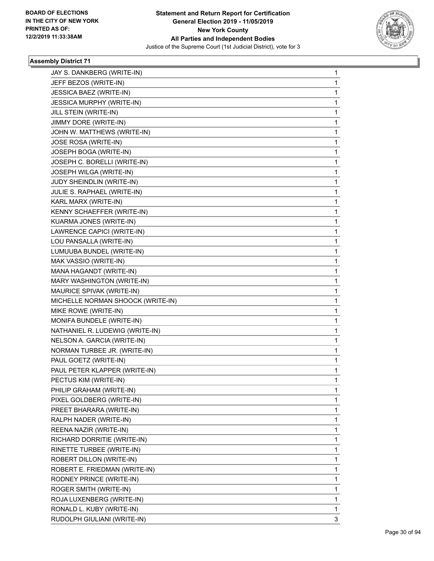

| JAY S. DANKBERG (WRITE-IN)        | 1 |
|-----------------------------------|---|
| JEFF BEZOS (WRITE-IN)             | 1 |
| JESSICA BAEZ (WRITE-IN)           | 1 |
| <b>JESSICA MURPHY (WRITE-IN)</b>  | 1 |
| JILL STEIN (WRITE-IN)             | 1 |
| JIMMY DORE (WRITE-IN)             | 1 |
| JOHN W. MATTHEWS (WRITE-IN)       | 1 |
| JOSE ROSA (WRITE-IN)              | 1 |
| JOSEPH BOGA (WRITE-IN)            | 1 |
| JOSEPH C. BORELLI (WRITE-IN)      | 1 |
| JOSEPH WILGA (WRITE-IN)           | 1 |
| JUDY SHEINDLIN (WRITE-IN)         | 1 |
| JULIE S. RAPHAEL (WRITE-IN)       | 1 |
| KARL MARX (WRITE-IN)              | 1 |
| KENNY SCHAEFFER (WRITE-IN)        | 1 |
| KUARMA JONES (WRITE-IN)           | 1 |
| LAWRENCE CAPICI (WRITE-IN)        | 1 |
| LOU PANSALLA (WRITE-IN)           | 1 |
| LUMUUBA BUNDEL (WRITE-IN)         | 1 |
| MAK VASSIO (WRITE-IN)             | 1 |
| MANA HAGANDT (WRITE-IN)           | 1 |
| MARY WASHINGTON (WRITE-IN)        | 1 |
| MAURICE SPIVAK (WRITE-IN)         | 1 |
| MICHELLE NORMAN SHOOCK (WRITE-IN) | 1 |
| MIKE ROWE (WRITE-IN)              | 1 |
| MONIFA BUNDELE (WRITE-IN)         | 1 |
| NATHANIEL R. LUDEWIG (WRITE-IN)   | 1 |
| NELSON A. GARCIA (WRITE-IN)       | 1 |
| NORMAN TURBEE JR. (WRITE-IN)      | 1 |
| PAUL GOETZ (WRITE-IN)             | 1 |
| PAUL PETER KLAPPER (WRITE-IN)     | 1 |
| PECTUS KIM (WRITE-IN)             | 1 |
| PHILIP GRAHAM (WRITE-IN)          | 1 |
| PIXEL GOLDBERG (WRITE-IN)         | 1 |
| PREET BHARARA (WRITE-IN)          | 1 |
| RALPH NADER (WRITE-IN)            | 1 |
| REENA NAZIR (WRITE-IN)            | 1 |
| RICHARD DORRITIE (WRITE-IN)       | 1 |
| RINETTE TURBEE (WRITE-IN)         | 1 |
| ROBERT DILLON (WRITE-IN)          | 1 |
| ROBERT E. FRIEDMAN (WRITE-IN)     | 1 |
| RODNEY PRINCE (WRITE-IN)          | 1 |
| ROGER SMITH (WRITE-IN)            | 1 |
| ROJA LUXENBERG (WRITE-IN)         | 1 |
| RONALD L. KUBY (WRITE-IN)         | 1 |
| RUDOLPH GIULIANI (WRITE-IN)       | 3 |
|                                   |   |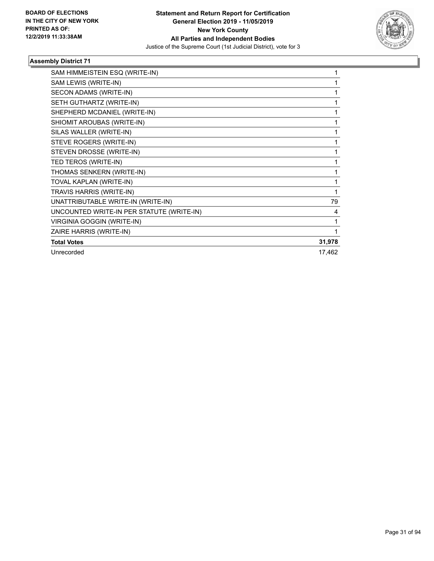

| SAM HIMMEISTEIN ESQ (WRITE-IN)            | 1      |
|-------------------------------------------|--------|
| SAM LEWIS (WRITE-IN)                      | 1      |
| SECON ADAMS (WRITE-IN)                    | 1      |
| SETH GUTHARTZ (WRITE-IN)                  | 1      |
| SHEPHERD MCDANIEL (WRITE-IN)              | 1      |
| SHIOMIT AROUBAS (WRITE-IN)                | 1      |
| SILAS WALLER (WRITE-IN)                   | 1      |
| STEVE ROGERS (WRITE-IN)                   | 1      |
| STEVEN DROSSE (WRITE-IN)                  | 1      |
| TED TEROS (WRITE-IN)                      | 1      |
| THOMAS SENKERN (WRITE-IN)                 | 1      |
| TOVAL KAPLAN (WRITE-IN)                   | 1      |
| TRAVIS HARRIS (WRITE-IN)                  | 1      |
| UNATTRIBUTABLE WRITE-IN (WRITE-IN)        | 79     |
| UNCOUNTED WRITE-IN PER STATUTE (WRITE-IN) | 4      |
| <b>VIRGINIA GOGGIN (WRITE-IN)</b>         | 1      |
| ZAIRE HARRIS (WRITE-IN)                   | 1      |
| <b>Total Votes</b>                        | 31,978 |
| Unrecorded                                | 17,462 |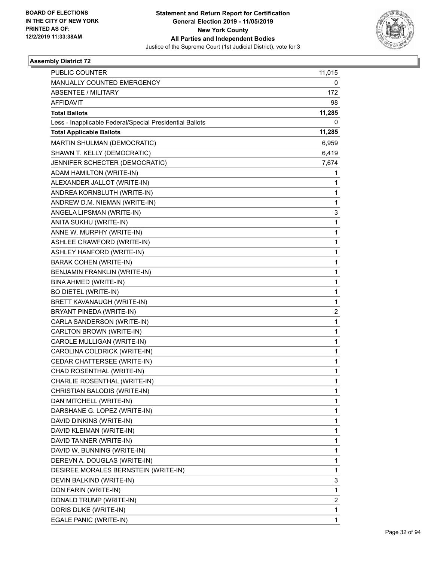

| <b>PUBLIC COUNTER</b>                                    | 11,015                  |
|----------------------------------------------------------|-------------------------|
| MANUALLY COUNTED EMERGENCY                               | 0                       |
| <b>ABSENTEE / MILITARY</b>                               | 172                     |
| <b>AFFIDAVIT</b>                                         | 98                      |
| <b>Total Ballots</b>                                     | 11,285                  |
| Less - Inapplicable Federal/Special Presidential Ballots | 0                       |
| <b>Total Applicable Ballots</b>                          | 11,285                  |
| MARTIN SHULMAN (DEMOCRATIC)                              | 6,959                   |
| SHAWN T. KELLY (DEMOCRATIC)                              | 6,419                   |
| JENNIFER SCHECTER (DEMOCRATIC)                           | 7,674                   |
| ADAM HAMILTON (WRITE-IN)                                 | 1                       |
| ALEXANDER JALLOT (WRITE-IN)                              | 1                       |
| ANDREA KORNBLUTH (WRITE-IN)                              | $\mathbf{1}$            |
| ANDREW D.M. NIEMAN (WRITE-IN)                            | $\mathbf{1}$            |
| ANGELA LIPSMAN (WRITE-IN)                                | 3                       |
| ANITA SUKHU (WRITE-IN)                                   | $\mathbf{1}$            |
| ANNE W. MURPHY (WRITE-IN)                                | $\mathbf{1}$            |
| ASHLEE CRAWFORD (WRITE-IN)                               | 1                       |
| ASHLEY HANFORD (WRITE-IN)                                | $\mathbf{1}$            |
| <b>BARAK COHEN (WRITE-IN)</b>                            | $\mathbf{1}$            |
| BENJAMIN FRANKLIN (WRITE-IN)                             | 1                       |
| BINA AHMED (WRITE-IN)                                    | $\mathbf{1}$            |
| <b>BO DIETEL (WRITE-IN)</b>                              | $\mathbf{1}$            |
| BRETT KAVANAUGH (WRITE-IN)                               | $\mathbf{1}$            |
| BRYANT PINEDA (WRITE-IN)                                 | $\overline{\mathbf{c}}$ |
| CARLA SANDERSON (WRITE-IN)                               | $\mathbf{1}$            |
| CARLTON BROWN (WRITE-IN)                                 | 1                       |
| CAROLE MULLIGAN (WRITE-IN)                               | $\mathbf{1}$            |
| CAROLINA COLDRICK (WRITE-IN)                             | $\mathbf{1}$            |
| CEDAR CHATTERSEE (WRITE-IN)                              | 1                       |
| CHAD ROSENTHAL (WRITE-IN)                                | $\mathbf{1}$            |
| CHARLIE ROSENTHAL (WRITE-IN)                             | $\mathbf{1}$            |
| CHRISTIAN BALODIS (WRITE-IN)                             | 1                       |
| DAN MITCHELL (WRITE-IN)                                  | $\mathbf{1}$            |
| DARSHANE G. LOPEZ (WRITE-IN)                             | $\mathbf{1}$            |
| DAVID DINKINS (WRITE-IN)                                 | 1                       |
| DAVID KLEIMAN (WRITE-IN)                                 | $\mathbf{1}$            |
| DAVID TANNER (WRITE-IN)                                  | $\mathbf{1}$            |
| DAVID W. BUNNING (WRITE-IN)                              | 1                       |
| DEREVN A. DOUGLAS (WRITE-IN)                             | $\mathbf{1}$            |
| DESIREE MORALES BERNSTEIN (WRITE-IN)                     | $\mathbf{1}$            |
| DEVIN BALKIND (WRITE-IN)                                 | 3                       |
| DON FARIN (WRITE-IN)                                     | $\mathbf{1}$            |
| DONALD TRUMP (WRITE-IN)                                  | 2                       |
| DORIS DUKE (WRITE-IN)                                    | $\mathbf{1}$            |
| EGALE PANIC (WRITE-IN)                                   | $\mathbf{1}$            |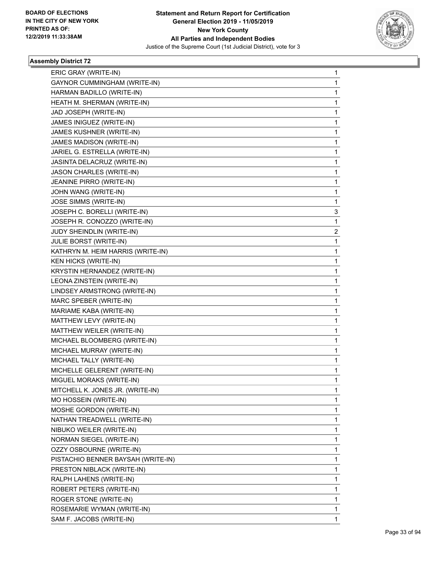

| ERIC GRAY (WRITE-IN)               | $\mathbf{1}$   |
|------------------------------------|----------------|
| GAYNOR CUMMINGHAM (WRITE-IN)       | 1              |
| HARMAN BADILLO (WRITE-IN)          | $\mathbf{1}$   |
| HEATH M. SHERMAN (WRITE-IN)        | 1              |
| JAD JOSEPH (WRITE-IN)              | 1              |
| JAMES INIGUEZ (WRITE-IN)           | 1              |
| JAMES KUSHNER (WRITE-IN)           | $\mathbf{1}$   |
| JAMES MADISON (WRITE-IN)           | 1              |
| JARIEL G. ESTRELLA (WRITE-IN)      | $\mathbf{1}$   |
| JASINTA DELACRUZ (WRITE-IN)        | 1              |
| JASON CHARLES (WRITE-IN)           | 1              |
| JEANINE PIRRO (WRITE-IN)           | 1              |
| JOHN WANG (WRITE-IN)               | $\mathbf 1$    |
| JOSE SIMMS (WRITE-IN)              | 1              |
| JOSEPH C. BORELLI (WRITE-IN)       | 3              |
| JOSEPH R. CONOZZO (WRITE-IN)       | 1              |
| JUDY SHEINDLIN (WRITE-IN)          | $\overline{2}$ |
| JULIE BORST (WRITE-IN)             | 1              |
| KATHRYN M. HEIM HARRIS (WRITE-IN)  | $\mathbf{1}$   |
| <b>KEN HICKS (WRITE-IN)</b>        | 1              |
| KRYSTIN HERNANDEZ (WRITE-IN)       | $\mathbf{1}$   |
| LEONA ZINSTEIN (WRITE-IN)          | 1              |
| LINDSEY ARMSTRONG (WRITE-IN)       | 1              |
| MARC SPEBER (WRITE-IN)             | 1              |
| MARIAME KABA (WRITE-IN)            | $\mathbf 1$    |
| MATTHEW LEVY (WRITE-IN)            | 1              |
| MATTHEW WEILER (WRITE-IN)          | $\mathbf{1}$   |
| MICHAEL BLOOMBERG (WRITE-IN)       | 1              |
| MICHAEL MURRAY (WRITE-IN)          | 1              |
| MICHAEL TALLY (WRITE-IN)           | 1              |
| MICHELLE GELERENT (WRITE-IN)       | $\mathbf 1$    |
| MIGUEL MORAKS (WRITE-IN)           | 1              |
| MITCHELL K. JONES JR. (WRITE-IN)   | 1              |
| MO HOSSEIN (WRITE-IN)              | 1              |
| MOSHE GORDON (WRITE-IN)            | 1              |
| NATHAN TREADWELL (WRITE-IN)        | $\mathbf{1}$   |
| NIBUKO WEILER (WRITE-IN)           | 1              |
| NORMAN SIEGEL (WRITE-IN)           | 1              |
| OZZY OSBOURNE (WRITE-IN)           | 1              |
| PISTACHIO BENNER BAYSAH (WRITE-IN) | 1              |
| PRESTON NIBLACK (WRITE-IN)         | 1              |
| RALPH LAHENS (WRITE-IN)            | $\mathbf{1}$   |
| ROBERT PETERS (WRITE-IN)           | 1              |
| ROGER STONE (WRITE-IN)             | 1              |
| ROSEMARIE WYMAN (WRITE-IN)         | 1              |
| SAM F. JACOBS (WRITE-IN)           | 1              |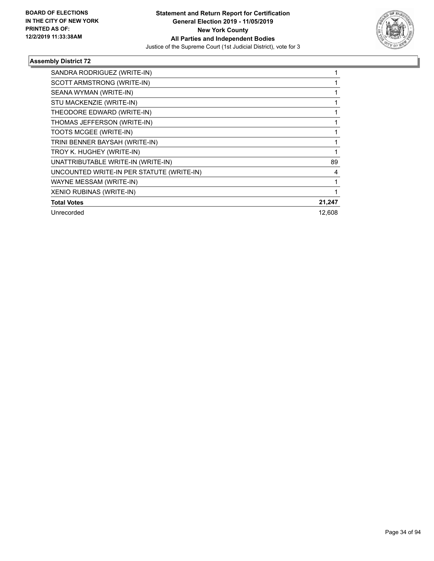

| SANDRA RODRIGUEZ (WRITE-IN)               |        |
|-------------------------------------------|--------|
| SCOTT ARMSTRONG (WRITE-IN)                |        |
| SEANA WYMAN (WRITE-IN)                    |        |
| STU MACKENZIE (WRITE-IN)                  |        |
| THEODORE EDWARD (WRITE-IN)                |        |
| THOMAS JEFFERSON (WRITE-IN)               |        |
| TOOTS MCGEE (WRITE-IN)                    |        |
| TRINI BENNER BAYSAH (WRITE-IN)            |        |
| TROY K. HUGHEY (WRITE-IN)                 |        |
| UNATTRIBUTABLE WRITE-IN (WRITE-IN)        | 89     |
| UNCOUNTED WRITE-IN PER STATUTE (WRITE-IN) | 4      |
| WAYNE MESSAM (WRITE-IN)                   |        |
| XENIO RUBINAS (WRITE-IN)                  |        |
| <b>Total Votes</b>                        | 21,247 |
| Unrecorded                                | 12,608 |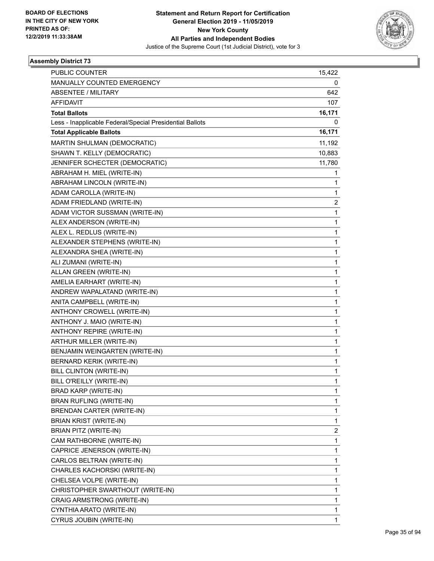

| <b>PUBLIC COUNTER</b>                                    | 15,422       |
|----------------------------------------------------------|--------------|
| MANUALLY COUNTED EMERGENCY                               | 0            |
| ABSENTEE / MILITARY                                      | 642          |
| <b>AFFIDAVIT</b>                                         | 107          |
| <b>Total Ballots</b>                                     | 16,171       |
| Less - Inapplicable Federal/Special Presidential Ballots | 0            |
| <b>Total Applicable Ballots</b>                          | 16,171       |
| MARTIN SHULMAN (DEMOCRATIC)                              | 11,192       |
| SHAWN T. KELLY (DEMOCRATIC)                              | 10,883       |
| JENNIFER SCHECTER (DEMOCRATIC)                           | 11,780       |
| ABRAHAM H. MIEL (WRITE-IN)                               | 1            |
| ABRAHAM LINCOLN (WRITE-IN)                               | 1            |
| ADAM CAROLLA (WRITE-IN)                                  | 1            |
| ADAM FRIEDLAND (WRITE-IN)                                | 2            |
| ADAM VICTOR SUSSMAN (WRITE-IN)                           | 1            |
| ALEX ANDERSON (WRITE-IN)                                 | 1            |
| ALEX L. REDLUS (WRITE-IN)                                | 1            |
| ALEXANDER STEPHENS (WRITE-IN)                            | 1            |
| ALEXANDRA SHEA (WRITE-IN)                                | $\mathbf{1}$ |
| ALI ZUMANI (WRITE-IN)                                    | 1            |
| ALLAN GREEN (WRITE-IN)                                   | 1            |
| AMELIA EARHART (WRITE-IN)                                | 1            |
| ANDREW WAPALATAND (WRITE-IN)                             | 1            |
| ANITA CAMPBELL (WRITE-IN)                                | 1            |
| ANTHONY CROWELL (WRITE-IN)                               | $\mathbf{1}$ |
| ANTHONY J. MAIO (WRITE-IN)                               | 1            |
| ANTHONY REPIRE (WRITE-IN)                                | 1            |
| ARTHUR MILLER (WRITE-IN)                                 | 1            |
| BENJAMIN WEINGARTEN (WRITE-IN)                           | 1            |
| <b>BERNARD KERIK (WRITE-IN)</b>                          | 1            |
| <b>BILL CLINTON (WRITE-IN)</b>                           | $\mathbf{1}$ |
| BILL O'REILLY (WRITE-IN)                                 | 1            |
| BRAD KARP (WRITE-IN)                                     | 1            |
| <b>BRAN RUFLING (WRITE-IN)</b>                           | 1            |
| BRENDAN CARTER (WRITE-IN)                                | 1            |
| BRIAN KRIST (WRITE-IN)                                   | 1            |
| BRIAN PITZ (WRITE-IN)                                    | 2            |
| CAM RATHBORNE (WRITE-IN)                                 | 1            |
| CAPRICE JENERSON (WRITE-IN)                              | 1            |
| CARLOS BELTRAN (WRITE-IN)                                | $\mathbf{1}$ |
| CHARLES KACHORSKI (WRITE-IN)                             | 1            |
| CHELSEA VOLPE (WRITE-IN)                                 | 1            |
| CHRISTOPHER SWARTHOUT (WRITE-IN)                         | 1            |
| CRAIG ARMSTRONG (WRITE-IN)                               | 1            |
| CYNTHIA ARATO (WRITE-IN)                                 | 1            |
| CYRUS JOUBIN (WRITE-IN)                                  | $\mathbf{1}$ |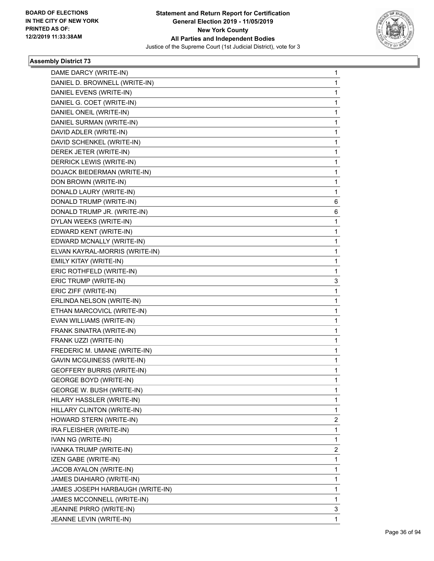

| DAME DARCY (WRITE-IN)             | 1 |
|-----------------------------------|---|
| DANIEL D. BROWNELL (WRITE-IN)     | 1 |
| DANIEL EVENS (WRITE-IN)           | 1 |
| DANIEL G. COET (WRITE-IN)         | 1 |
| DANIEL ONEIL (WRITE-IN)           | 1 |
| DANIEL SURMAN (WRITE-IN)          | 1 |
| DAVID ADLER (WRITE-IN)            | 1 |
| DAVID SCHENKEL (WRITE-IN)         | 1 |
| DEREK JETER (WRITE-IN)            | 1 |
| DERRICK LEWIS (WRITE-IN)          | 1 |
| DOJACK BIEDERMAN (WRITE-IN)       | 1 |
| DON BROWN (WRITE-IN)              | 1 |
| DONALD LAURY (WRITE-IN)           | 1 |
| DONALD TRUMP (WRITE-IN)           | 6 |
| DONALD TRUMP JR. (WRITE-IN)       | 6 |
| DYLAN WEEKS (WRITE-IN)            | 1 |
| EDWARD KENT (WRITE-IN)            | 1 |
| EDWARD MCNALLY (WRITE-IN)         | 1 |
| ELVAN KAYRAL-MORRIS (WRITE-IN)    | 1 |
| EMILY KITAY (WRITE-IN)            | 1 |
| ERIC ROTHFELD (WRITE-IN)          | 1 |
| ERIC TRUMP (WRITE-IN)             | 3 |
| ERIC ZIFF (WRITE-IN)              | 1 |
| ERLINDA NELSON (WRITE-IN)         | 1 |
| ETHAN MARCOVICL (WRITE-IN)        | 1 |
| EVAN WILLIAMS (WRITE-IN)          | 1 |
| FRANK SINATRA (WRITE-IN)          | 1 |
| FRANK UZZI (WRITE-IN)             | 1 |
| FREDERIC M. UMANE (WRITE-IN)      | 1 |
| GAVIN MCGUINESS (WRITE-IN)        | 1 |
| <b>GEOFFERY BURRIS (WRITE-IN)</b> | 1 |
| <b>GEORGE BOYD (WRITE-IN)</b>     | 1 |
| GEORGE W. BUSH (WRITE-IN)         | 1 |
| HILARY HASSLER (WRITE-IN)         | 1 |
| HILLARY CLINTON (WRITE-IN)        | 1 |
| HOWARD STERN (WRITE-IN)           | 2 |
| IRA FLEISHER (WRITE-IN)           | 1 |
| IVAN NG (WRITE-IN)                | 1 |
| IVANKA TRUMP (WRITE-IN)           | 2 |
| IZEN GABE (WRITE-IN)              | 1 |
| JACOB AYALON (WRITE-IN)           | 1 |
| JAMES DIAHIARO (WRITE-IN)         | 1 |
| JAMES JOSEPH HARBAUGH (WRITE-IN)  | 1 |
| JAMES MCCONNELL (WRITE-IN)        | 1 |
| JEANINE PIRRO (WRITE-IN)          | 3 |
| JEANNE LEVIN (WRITE-IN)           | 1 |
|                                   |   |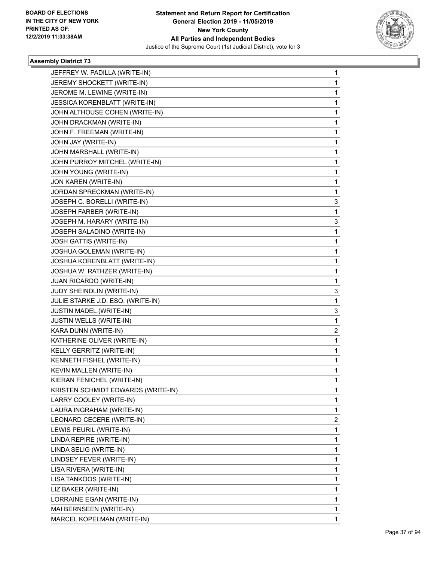

| JEFFREY W. PADILLA (WRITE-IN)      | $\mathbf{1}$ |
|------------------------------------|--------------|
| JEREMY SHOCKETT (WRITE-IN)         | $\mathbf{1}$ |
| JEROME M. LEWINE (WRITE-IN)        | 1            |
| JESSICA KORENBLATT (WRITE-IN)      | 1            |
| JOHN ALTHOUSE COHEN (WRITE-IN)     | 1            |
| JOHN DRACKMAN (WRITE-IN)           | 1            |
| JOHN F. FREEMAN (WRITE-IN)         | 1            |
| JOHN JAY (WRITE-IN)                | 1            |
| JOHN MARSHALL (WRITE-IN)           | $\mathbf 1$  |
| JOHN PURROY MITCHEL (WRITE-IN)     | 1            |
| JOHN YOUNG (WRITE-IN)              | 1            |
| JON KAREN (WRITE-IN)               | 1            |
| JORDAN SPRECKMAN (WRITE-IN)        | 1            |
| JOSEPH C. BORELLI (WRITE-IN)       | 3            |
| JOSEPH FARBER (WRITE-IN)           | 1            |
| JOSEPH M. HARARY (WRITE-IN)        | 3            |
| JOSEPH SALADINO (WRITE-IN)         | 1            |
| JOSH GATTIS (WRITE-IN)             | 1            |
| JOSHUA GOLEMAN (WRITE-IN)          | 1            |
| JOSHUA KORENBLATT (WRITE-IN)       | 1            |
| JOSHUA W. RATHZER (WRITE-IN)       | 1            |
| JUAN RICARDO (WRITE-IN)            | 1            |
| JUDY SHEINDLIN (WRITE-IN)          | 3            |
| JULIE STARKE J.D. ESQ. (WRITE-IN)  | 1            |
| JUSTIN MADEL (WRITE-IN)            | 3            |
| JUSTIN WELLS (WRITE-IN)            | 1            |
| KARA DUNN (WRITE-IN)               | 2            |
| KATHERINE OLIVER (WRITE-IN)        | 1            |
| KELLY GERRITZ (WRITE-IN)           | 1            |
| KENNETH FISHEL (WRITE-IN)          | $\mathbf{1}$ |
| KEVIN MALLEN (WRITE-IN)            | $\mathbf{1}$ |
| KIERAN FENICHEL (WRITE-IN)         | $\mathbf{1}$ |
| KRISTEN SCHMIDT EDWARDS (WRITE-IN) | 1            |
| LARRY COOLEY (WRITE-IN)            | 1            |
| LAURA INGRAHAM (WRITE-IN)          | 1            |
| LEONARD CECERE (WRITE-IN)          | 2            |
| LEWIS PEURIL (WRITE-IN)            | 1            |
| LINDA REPIRE (WRITE-IN)            | 1            |
| LINDA SELIG (WRITE-IN)             | 1            |
| LINDSEY FEVER (WRITE-IN)           | 1            |
| LISA RIVERA (WRITE-IN)             | 1            |
| LISA TANKOOS (WRITE-IN)            | 1            |
| LIZ BAKER (WRITE-IN)               | 1            |
| LORRAINE EGAN (WRITE-IN)           | 1            |
| MAI BERNSEEN (WRITE-IN)            | $\mathbf{1}$ |
| MARCEL KOPELMAN (WRITE-IN)         | 1            |
|                                    |              |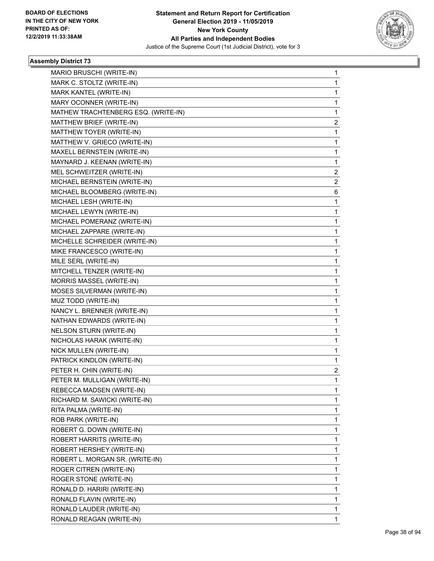

| MARIO BRUSCHI (WRITE-IN)            | $\mathbf{1}$   |
|-------------------------------------|----------------|
| MARK C. STOLTZ (WRITE-IN)           | 1              |
| MARK KANTEL (WRITE-IN)              | 1              |
| MARY OCONNER (WRITE-IN)             | 1              |
| MATHEW TRACHTENBERG ESQ. (WRITE-IN) | 1              |
| MATTHEW BRIEF (WRITE-IN)            | 2              |
| MATTHEW TOYER (WRITE-IN)            | 1              |
| MATTHEW V. GRIECO (WRITE-IN)        | 1              |
| MAXELL BERNSTEIN (WRITE-IN)         | 1              |
| MAYNARD J. KEENAN (WRITE-IN)        | 1              |
| MEL SCHWEITZER (WRITE-IN)           | 2              |
| MICHAEL BERNSTEIN (WRITE-IN)        | $\overline{2}$ |
| MICHAEL BLOOMBERG (WRITE-IN)        | 6              |
| MICHAEL LESH (WRITE-IN)             | 1              |
| MICHAEL LEWYN (WRITE-IN)            | 1              |
| MICHAEL POMERANZ (WRITE-IN)         | 1              |
| MICHAEL ZAPPARE (WRITE-IN)          | 1              |
| MICHELLE SCHREIDER (WRITE-IN)       | 1              |
| MIKE FRANCESCO (WRITE-IN)           | 1              |
| MILE SERL (WRITE-IN)                | 1              |
| MITCHELL TENZER (WRITE-IN)          | 1              |
| MORRIS MASSEL (WRITE-IN)            | 1              |
| MOSES SILVERMAN (WRITE-IN)          | 1              |
| MUZ TODD (WRITE-IN)                 | 1              |
| NANCY L. BRENNER (WRITE-IN)         | 1              |
| NATHAN EDWARDS (WRITE-IN)           | 1              |
| NELSON STURN (WRITE-IN)             | 1              |
| NICHOLAS HARAK (WRITE-IN)           | 1              |
| NICK MULLEN (WRITE-IN)              | 1              |
| PATRICK KINDLON (WRITE-IN)          | 1              |
| PETER H. CHIN (WRITE-IN)            | 2              |
| PETER M. MULLIGAN (WRITE-IN)        | 1              |
| REBECCA MADSEN (WRITE-IN)           | 1              |
| RICHARD M. SAWICKI (WRITE-IN)       | 1              |
| RITA PALMA (WRITE-IN)               | 1              |
| ROB PARK (WRITE-IN)                 | 1              |
| ROBERT G. DOWN (WRITE-IN)           | 1              |
| ROBERT HARRITS (WRITE-IN)           | 1              |
| ROBERT HERSHEY (WRITE-IN)           | 1              |
| ROBERT L. MORGAN SR. (WRITE-IN)     | 1              |
| ROGER CITREN (WRITE-IN)             | 1              |
| ROGER STONE (WRITE-IN)              | 1              |
| RONALD D. HARIRI (WRITE-IN)         | 1              |
| RONALD FLAVIN (WRITE-IN)            | 1              |
| RONALD LAUDER (WRITE-IN)            | 1              |
| RONALD REAGAN (WRITE-IN)            | $\mathbf{1}$   |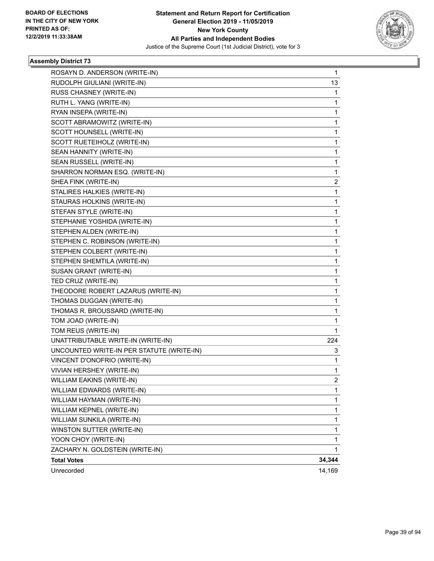

| ROSAYN D. ANDERSON (WRITE-IN)             | 1              |
|-------------------------------------------|----------------|
| RUDOLPH GIULIANI (WRITE-IN)               | 13             |
| RUSS CHASNEY (WRITE-IN)                   | 1              |
| RUTH L. YANG (WRITE-IN)                   | 1              |
| RYAN INSEPA (WRITE-IN)                    | 1              |
| SCOTT ABRAMOWITZ (WRITE-IN)               | 1              |
| SCOTT HOUNSELL (WRITE-IN)                 | 1              |
| SCOTT RUETEIHOLZ (WRITE-IN)               | 1              |
| SEAN HANNITY (WRITE-IN)                   | 1              |
| SEAN RUSSELL (WRITE-IN)                   | 1              |
| SHARRON NORMAN ESQ. (WRITE-IN)            | 1              |
| SHEA FINK (WRITE-IN)                      | 2              |
| STALIRES HALKIES (WRITE-IN)               | 1              |
| STAURAS HOLKINS (WRITE-IN)                | 1              |
| STEFAN STYLE (WRITE-IN)                   | 1              |
| STEPHANIE YOSHIDA (WRITE-IN)              | 1              |
| STEPHEN ALDEN (WRITE-IN)                  | 1              |
| STEPHEN C. ROBINSON (WRITE-IN)            | 1              |
| STEPHEN COLBERT (WRITE-IN)                | 1              |
| STEPHEN SHEMTILA (WRITE-IN)               | 1              |
| SUSAN GRANT (WRITE-IN)                    | 1              |
| TED CRUZ (WRITE-IN)                       | 1              |
| THEODORE ROBERT LAZARUS (WRITE-IN)        | 1              |
| THOMAS DUGGAN (WRITE-IN)                  | 1              |
| THOMAS R. BROUSSARD (WRITE-IN)            | 1              |
| TOM JOAD (WRITE-IN)                       | 1              |
| TOM REUS (WRITE-IN)                       | 1              |
| UNATTRIBUTABLE WRITE-IN (WRITE-IN)        | 224            |
| UNCOUNTED WRITE-IN PER STATUTE (WRITE-IN) | 3              |
| VINCENT D'ONOFRIO (WRITE-IN)              | 1              |
| VIVIAN HERSHEY (WRITE-IN)                 | 1              |
| WILLIAM EAKINS (WRITE-IN)                 | $\overline{c}$ |
| WILLIAM EDWARDS (WRITE-IN)                | $\mathbf{1}$   |
| WILLIAM HAYMAN (WRITE-IN)                 | 1              |
| WILLIAM KEPNEL (WRITE-IN)                 | 1              |
| WILLIAM SUNKILA (WRITE-IN)                | 1              |
| WINSTON SUTTER (WRITE-IN)                 | 1              |
| YOON CHOY (WRITE-IN)                      | 1              |
| ZACHARY N. GOLDSTEIN (WRITE-IN)           | 1              |
| <b>Total Votes</b>                        | 34,344         |
| Unrecorded                                | 14,169         |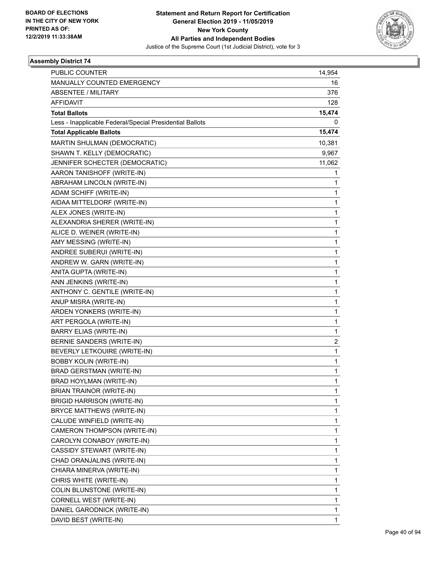

| PUBLIC COUNTER                                           | 14,954 |
|----------------------------------------------------------|--------|
| MANUALLY COUNTED EMERGENCY                               | 16     |
| <b>ABSENTEE / MILITARY</b>                               | 376    |
| <b>AFFIDAVIT</b>                                         | 128    |
| <b>Total Ballots</b>                                     | 15,474 |
| Less - Inapplicable Federal/Special Presidential Ballots | 0      |
| <b>Total Applicable Ballots</b>                          | 15,474 |
| MARTIN SHULMAN (DEMOCRATIC)                              | 10,381 |
| SHAWN T. KELLY (DEMOCRATIC)                              | 9,967  |
| JENNIFER SCHECTER (DEMOCRATIC)                           | 11,062 |
| AARON TANISHOFF (WRITE-IN)                               | 1      |
| ABRAHAM LINCOLN (WRITE-IN)                               | 1      |
| ADAM SCHIFF (WRITE-IN)                                   | 1      |
| AIDAA MITTELDORF (WRITE-IN)                              | 1      |
| ALEX JONES (WRITE-IN)                                    | 1      |
| ALEXANDRIA SHERER (WRITE-IN)                             | 1      |
| ALICE D. WEINER (WRITE-IN)                               | 1      |
| AMY MESSING (WRITE-IN)                                   | 1      |
| ANDREE SUBERUI (WRITE-IN)                                | 1      |
| ANDREW W. GARN (WRITE-IN)                                | 1      |
| ANITA GUPTA (WRITE-IN)                                   | 1      |
| ANN JENKINS (WRITE-IN)                                   | 1      |
| ANTHONY C. GENTILE (WRITE-IN)                            | 1      |
| ANUP MISRA (WRITE-IN)                                    | 1      |
| ARDEN YONKERS (WRITE-IN)                                 | 1      |
| ART PERGOLA (WRITE-IN)                                   | 1      |
| <b>BARRY ELIAS (WRITE-IN)</b>                            | 1      |
| BERNIE SANDERS (WRITE-IN)                                | 2      |
| BEVERLY LETKOUIRE (WRITE-IN)                             | 1      |
| <b>BOBBY KOLIN (WRITE-IN)</b>                            | 1      |
| <b>BRAD GERSTMAN (WRITE-IN)</b>                          | 1      |
| BRAD HOYLMAN (WRITE-IN)                                  | 1      |
| <b>BRIAN TRAINOR (WRITE-IN)</b>                          | 1      |
| <b>BRIGID HARRISON (WRITE-IN)</b>                        | 1      |
| BRYCE MATTHEWS (WRITE-IN)                                | 1      |
| CALUDE WINFIELD (WRITE-IN)                               | 1      |
| CAMERON THOMPSON (WRITE-IN)                              | 1      |
| CAROLYN CONABOY (WRITE-IN)                               | 1      |
| CASSIDY STEWART (WRITE-IN)                               | 1      |
| CHAD ORANJALINS (WRITE-IN)                               | 1      |
| CHIARA MINERVA (WRITE-IN)                                | 1      |
| CHRIS WHITE (WRITE-IN)                                   | 1      |
| COLIN BLUNSTONE (WRITE-IN)                               | 1      |
| CORNELL WEST (WRITE-IN)                                  | 1      |
| DANIEL GARODNICK (WRITE-IN)                              | 1      |
| DAVID BEST (WRITE-IN)                                    | 1      |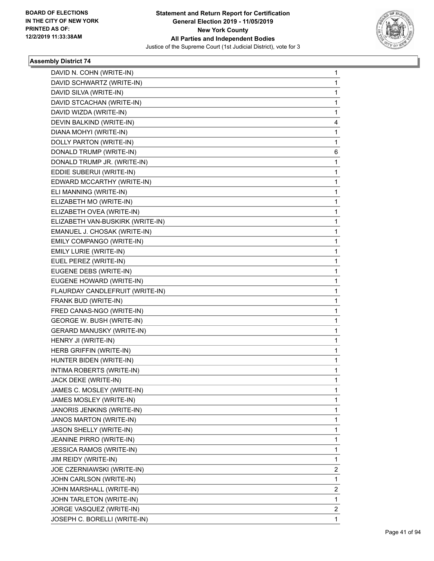

| DAVID N. COHN (WRITE-IN)         | $\mathbf{1}$ |
|----------------------------------|--------------|
| DAVID SCHWARTZ (WRITE-IN)        | 1            |
| DAVID SILVA (WRITE-IN)           | $\mathbf 1$  |
| DAVID STCACHAN (WRITE-IN)        | 1            |
| DAVID WIZDA (WRITE-IN)           | $\mathbf{1}$ |
| DEVIN BALKIND (WRITE-IN)         | 4            |
| DIANA MOHYI (WRITE-IN)           | 1            |
| DOLLY PARTON (WRITE-IN)          | 1            |
| DONALD TRUMP (WRITE-IN)          | 6            |
| DONALD TRUMP JR. (WRITE-IN)      | 1            |
| EDDIE SUBERUI (WRITE-IN)         | 1            |
| EDWARD MCCARTHY (WRITE-IN)       | 1            |
| ELI MANNING (WRITE-IN)           | $\mathbf{1}$ |
| ELIZABETH MO (WRITE-IN)          | 1            |
| ELIZABETH OVEA (WRITE-IN)        | $\mathbf{1}$ |
| ELIZABETH VAN-BUSKIRK (WRITE-IN) | 1            |
| EMANUEL J. CHOSAK (WRITE-IN)     | 1            |
| EMILY COMPANGO (WRITE-IN)        | 1            |
| EMILY LURIE (WRITE-IN)           | $\mathbf{1}$ |
| EUEL PEREZ (WRITE-IN)            | 1            |
| EUGENE DEBS (WRITE-IN)           | $\mathbf{1}$ |
| EUGENE HOWARD (WRITE-IN)         | 1            |
| FLAURDAY CANDLEFRUIT (WRITE-IN)  | 1            |
| FRANK BUD (WRITE-IN)             | 1            |
| FRED CANAS-NGO (WRITE-IN)        | $\mathbf{1}$ |
| GEORGE W. BUSH (WRITE-IN)        | 1            |
| <b>GERARD MANUSKY (WRITE-IN)</b> | $\mathbf{1}$ |
| HENRY JI (WRITE-IN)              | 1            |
| HERB GRIFFIN (WRITE-IN)          | 1            |
| HUNTER BIDEN (WRITE-IN)          | 1            |
| INTIMA ROBERTS (WRITE-IN)        | $\mathbf{1}$ |
| JACK DEKE (WRITE-IN)             | 1            |
| JAMES C. MOSLEY (WRITE-IN)       | 1            |
| JAMES MOSLEY (WRITE-IN)          | 1            |
| JANORIS JENKINS (WRITE-IN)       | 1            |
| JANOS MARTON (WRITE-IN)          | 1            |
| JASON SHELLY (WRITE-IN)          | 1            |
| JEANINE PIRRO (WRITE-IN)         | $\mathbf{1}$ |
| <b>JESSICA RAMOS (WRITE-IN)</b>  | 1            |
| JIM REIDY (WRITE-IN)             | 1            |
| JOE CZERNIAWSKI (WRITE-IN)       | 2            |
| JOHN CARLSON (WRITE-IN)          | 1            |
| JOHN MARSHALL (WRITE-IN)         | 2            |
| JOHN TARLETON (WRITE-IN)         | 1            |
| JORGE VASQUEZ (WRITE-IN)         | 2            |
| JOSEPH C. BORELLI (WRITE-IN)     | $\mathbf{1}$ |
|                                  |              |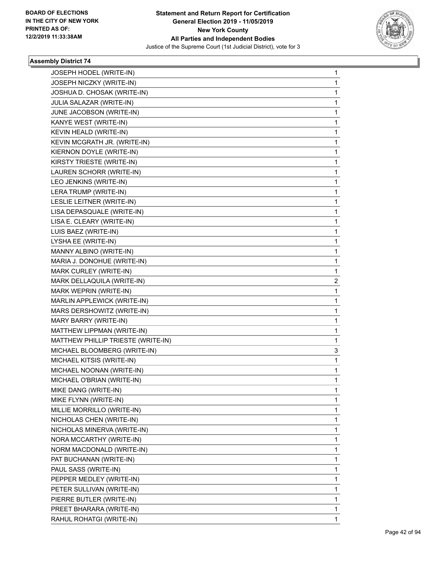

| JOSEPH HODEL (WRITE-IN)            | $\mathbf 1$  |
|------------------------------------|--------------|
| JOSEPH NICZKY (WRITE-IN)           | 1            |
| JOSHUA D. CHOSAK (WRITE-IN)        | $\mathbf{1}$ |
| JULIA SALAZAR (WRITE-IN)           | 1            |
| JUNE JACOBSON (WRITE-IN)           | 1            |
| KANYE WEST (WRITE-IN)              | $\mathbf{1}$ |
| KEVIN HEALD (WRITE-IN)             | 1            |
| KEVIN MCGRATH JR. (WRITE-IN)       | 1            |
| KIERNON DOYLE (WRITE-IN)           | $\mathbf{1}$ |
| KIRSTY TRIESTE (WRITE-IN)          | 1            |
| LAUREN SCHORR (WRITE-IN)           | 1            |
| LEO JENKINS (WRITE-IN)             | $\mathbf{1}$ |
| LERA TRUMP (WRITE-IN)              | 1            |
| LESLIE LEITNER (WRITE-IN)          | 1            |
| LISA DEPASQUALE (WRITE-IN)         | $\mathbf{1}$ |
| LISA E. CLEARY (WRITE-IN)          | 1            |
| LUIS BAEZ (WRITE-IN)               | 1            |
| LYSHA EE (WRITE-IN)                | $\mathbf 1$  |
| MANNY ALBINO (WRITE-IN)            | 1            |
| MARIA J. DONOHUE (WRITE-IN)        | 1            |
| MARK CURLEY (WRITE-IN)             | 1            |
| MARK DELLAQUILA (WRITE-IN)         | 2            |
| MARK WEPRIN (WRITE-IN)             | 1            |
| MARLIN APPLEWICK (WRITE-IN)        | $\mathbf 1$  |
| MARS DERSHOWITZ (WRITE-IN)         | 1            |
| MARY BARRY (WRITE-IN)              | 1            |
| MATTHEW LIPPMAN (WRITE-IN)         | $\mathbf 1$  |
| MATTHEW PHILLIP TRIESTE (WRITE-IN) | 1            |
| MICHAEL BLOOMBERG (WRITE-IN)       | 3            |
| MICHAEL KITSIS (WRITE-IN)          | $\mathbf{1}$ |
| MICHAEL NOONAN (WRITE-IN)          | 1            |
| MICHAEL O'BRIAN (WRITE-IN)         | 1            |
| MIKE DANG (WRITE-IN)               | 1            |
| MIKE FLYNN (WRITE-IN)              | 1            |
| MILLIE MORRILLO (WRITE-IN)         | 1            |
| NICHOLAS CHEN (WRITE-IN)           | 1            |
| NICHOLAS MINERVA (WRITE-IN)        | 1            |
| NORA MCCARTHY (WRITE-IN)           | 1            |
| NORM MACDONALD (WRITE-IN)          | 1            |
| PAT BUCHANAN (WRITE-IN)            | 1            |
| PAUL SASS (WRITE-IN)               | 1            |
| PEPPER MEDLEY (WRITE-IN)           | 1            |
| PETER SULLIVAN (WRITE-IN)          | 1            |
| PIERRE BUTLER (WRITE-IN)           | 1            |
| PREET BHARARA (WRITE-IN)           | $\mathbf{1}$ |
| RAHUL ROHATGI (WRITE-IN)           | 1            |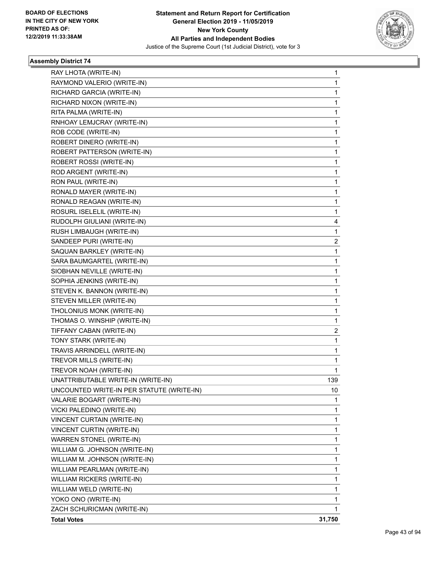

| RAY LHOTA (WRITE-IN)<br>1<br>1<br>RAYMOND VALERIO (WRITE-IN)<br>RICHARD GARCIA (WRITE-IN)<br>1<br>RICHARD NIXON (WRITE-IN)<br>1.<br>RITA PALMA (WRITE-IN)<br>1<br>RNHOAY LEMJCRAY (WRITE-IN)<br>1<br>ROB CODE (WRITE-IN)<br>1<br>ROBERT DINERO (WRITE-IN)<br>1<br>ROBERT PATTERSON (WRITE-IN)<br>1<br>ROBERT ROSSI (WRITE-IN)<br>1.<br>ROD ARGENT (WRITE-IN)<br>1<br>RON PAUL (WRITE-IN)<br>1<br>RONALD MAYER (WRITE-IN)<br>1<br>1<br>RONALD REAGAN (WRITE-IN)<br>ROSURL ISELELIL (WRITE-IN)<br>1<br>RUDOLPH GIULIANI (WRITE-IN)<br>4<br>RUSH LIMBAUGH (WRITE-IN)<br>1<br>SANDEEP PURI (WRITE-IN)<br>$\overline{2}$<br>SAQUAN BARKLEY (WRITE-IN)<br>1<br>1<br>SARA BAUMGARTEL (WRITE-IN)<br>SIOBHAN NEVILLE (WRITE-IN)<br>1<br>SOPHIA JENKINS (WRITE-IN)<br>1.<br>STEVEN K. BANNON (WRITE-IN)<br>1<br>STEVEN MILLER (WRITE-IN)<br>1<br>THOLONIUS MONK (WRITE-IN)<br>1<br>THOMAS O. WINSHIP (WRITE-IN)<br>1<br>TIFFANY CABAN (WRITE-IN)<br>$\overline{2}$<br>TONY STARK (WRITE-IN)<br>$\mathbf{1}$<br>TRAVIS ARRINDELL (WRITE-IN)<br>1<br>TREVOR MILLS (WRITE-IN)<br>1<br>TREVOR NOAH (WRITE-IN)<br>1<br>UNATTRIBUTABLE WRITE-IN (WRITE-IN)<br>139<br>UNCOUNTED WRITE-IN PER STATUTE (WRITE-IN)<br>10<br>VALARIE BOGART (WRITE-IN)<br>1.<br>1<br>VICKI PALEDINO (WRITE-IN)<br>VINCENT CURTAIN (WRITE-IN)<br>1<br>VINCENT CURTIN (WRITE-IN)<br>1.<br>1<br>WARREN STONEL (WRITE-IN)<br>WILLIAM G. JOHNSON (WRITE-IN)<br>1<br>WILLIAM M. JOHNSON (WRITE-IN)<br>1<br>1<br>WILLIAM PEARLMAN (WRITE-IN)<br>WILLIAM RICKERS (WRITE-IN)<br>1<br>WILLIAM WELD (WRITE-IN)<br>1<br>YOKO ONO (WRITE-IN)<br>1<br>ZACH SCHURICMAN (WRITE-IN)<br>1<br>31,750<br><b>Total Votes</b> |  |
|--------------------------------------------------------------------------------------------------------------------------------------------------------------------------------------------------------------------------------------------------------------------------------------------------------------------------------------------------------------------------------------------------------------------------------------------------------------------------------------------------------------------------------------------------------------------------------------------------------------------------------------------------------------------------------------------------------------------------------------------------------------------------------------------------------------------------------------------------------------------------------------------------------------------------------------------------------------------------------------------------------------------------------------------------------------------------------------------------------------------------------------------------------------------------------------------------------------------------------------------------------------------------------------------------------------------------------------------------------------------------------------------------------------------------------------------------------------------------------------------------------------------------------------------------------------------------------------------------------------------------------------------------------------------|--|
|                                                                                                                                                                                                                                                                                                                                                                                                                                                                                                                                                                                                                                                                                                                                                                                                                                                                                                                                                                                                                                                                                                                                                                                                                                                                                                                                                                                                                                                                                                                                                                                                                                                                    |  |
|                                                                                                                                                                                                                                                                                                                                                                                                                                                                                                                                                                                                                                                                                                                                                                                                                                                                                                                                                                                                                                                                                                                                                                                                                                                                                                                                                                                                                                                                                                                                                                                                                                                                    |  |
|                                                                                                                                                                                                                                                                                                                                                                                                                                                                                                                                                                                                                                                                                                                                                                                                                                                                                                                                                                                                                                                                                                                                                                                                                                                                                                                                                                                                                                                                                                                                                                                                                                                                    |  |
|                                                                                                                                                                                                                                                                                                                                                                                                                                                                                                                                                                                                                                                                                                                                                                                                                                                                                                                                                                                                                                                                                                                                                                                                                                                                                                                                                                                                                                                                                                                                                                                                                                                                    |  |
|                                                                                                                                                                                                                                                                                                                                                                                                                                                                                                                                                                                                                                                                                                                                                                                                                                                                                                                                                                                                                                                                                                                                                                                                                                                                                                                                                                                                                                                                                                                                                                                                                                                                    |  |
|                                                                                                                                                                                                                                                                                                                                                                                                                                                                                                                                                                                                                                                                                                                                                                                                                                                                                                                                                                                                                                                                                                                                                                                                                                                                                                                                                                                                                                                                                                                                                                                                                                                                    |  |
|                                                                                                                                                                                                                                                                                                                                                                                                                                                                                                                                                                                                                                                                                                                                                                                                                                                                                                                                                                                                                                                                                                                                                                                                                                                                                                                                                                                                                                                                                                                                                                                                                                                                    |  |
|                                                                                                                                                                                                                                                                                                                                                                                                                                                                                                                                                                                                                                                                                                                                                                                                                                                                                                                                                                                                                                                                                                                                                                                                                                                                                                                                                                                                                                                                                                                                                                                                                                                                    |  |
|                                                                                                                                                                                                                                                                                                                                                                                                                                                                                                                                                                                                                                                                                                                                                                                                                                                                                                                                                                                                                                                                                                                                                                                                                                                                                                                                                                                                                                                                                                                                                                                                                                                                    |  |
|                                                                                                                                                                                                                                                                                                                                                                                                                                                                                                                                                                                                                                                                                                                                                                                                                                                                                                                                                                                                                                                                                                                                                                                                                                                                                                                                                                                                                                                                                                                                                                                                                                                                    |  |
|                                                                                                                                                                                                                                                                                                                                                                                                                                                                                                                                                                                                                                                                                                                                                                                                                                                                                                                                                                                                                                                                                                                                                                                                                                                                                                                                                                                                                                                                                                                                                                                                                                                                    |  |
|                                                                                                                                                                                                                                                                                                                                                                                                                                                                                                                                                                                                                                                                                                                                                                                                                                                                                                                                                                                                                                                                                                                                                                                                                                                                                                                                                                                                                                                                                                                                                                                                                                                                    |  |
|                                                                                                                                                                                                                                                                                                                                                                                                                                                                                                                                                                                                                                                                                                                                                                                                                                                                                                                                                                                                                                                                                                                                                                                                                                                                                                                                                                                                                                                                                                                                                                                                                                                                    |  |
|                                                                                                                                                                                                                                                                                                                                                                                                                                                                                                                                                                                                                                                                                                                                                                                                                                                                                                                                                                                                                                                                                                                                                                                                                                                                                                                                                                                                                                                                                                                                                                                                                                                                    |  |
|                                                                                                                                                                                                                                                                                                                                                                                                                                                                                                                                                                                                                                                                                                                                                                                                                                                                                                                                                                                                                                                                                                                                                                                                                                                                                                                                                                                                                                                                                                                                                                                                                                                                    |  |
|                                                                                                                                                                                                                                                                                                                                                                                                                                                                                                                                                                                                                                                                                                                                                                                                                                                                                                                                                                                                                                                                                                                                                                                                                                                                                                                                                                                                                                                                                                                                                                                                                                                                    |  |
|                                                                                                                                                                                                                                                                                                                                                                                                                                                                                                                                                                                                                                                                                                                                                                                                                                                                                                                                                                                                                                                                                                                                                                                                                                                                                                                                                                                                                                                                                                                                                                                                                                                                    |  |
|                                                                                                                                                                                                                                                                                                                                                                                                                                                                                                                                                                                                                                                                                                                                                                                                                                                                                                                                                                                                                                                                                                                                                                                                                                                                                                                                                                                                                                                                                                                                                                                                                                                                    |  |
|                                                                                                                                                                                                                                                                                                                                                                                                                                                                                                                                                                                                                                                                                                                                                                                                                                                                                                                                                                                                                                                                                                                                                                                                                                                                                                                                                                                                                                                                                                                                                                                                                                                                    |  |
|                                                                                                                                                                                                                                                                                                                                                                                                                                                                                                                                                                                                                                                                                                                                                                                                                                                                                                                                                                                                                                                                                                                                                                                                                                                                                                                                                                                                                                                                                                                                                                                                                                                                    |  |
|                                                                                                                                                                                                                                                                                                                                                                                                                                                                                                                                                                                                                                                                                                                                                                                                                                                                                                                                                                                                                                                                                                                                                                                                                                                                                                                                                                                                                                                                                                                                                                                                                                                                    |  |
|                                                                                                                                                                                                                                                                                                                                                                                                                                                                                                                                                                                                                                                                                                                                                                                                                                                                                                                                                                                                                                                                                                                                                                                                                                                                                                                                                                                                                                                                                                                                                                                                                                                                    |  |
|                                                                                                                                                                                                                                                                                                                                                                                                                                                                                                                                                                                                                                                                                                                                                                                                                                                                                                                                                                                                                                                                                                                                                                                                                                                                                                                                                                                                                                                                                                                                                                                                                                                                    |  |
|                                                                                                                                                                                                                                                                                                                                                                                                                                                                                                                                                                                                                                                                                                                                                                                                                                                                                                                                                                                                                                                                                                                                                                                                                                                                                                                                                                                                                                                                                                                                                                                                                                                                    |  |
|                                                                                                                                                                                                                                                                                                                                                                                                                                                                                                                                                                                                                                                                                                                                                                                                                                                                                                                                                                                                                                                                                                                                                                                                                                                                                                                                                                                                                                                                                                                                                                                                                                                                    |  |
|                                                                                                                                                                                                                                                                                                                                                                                                                                                                                                                                                                                                                                                                                                                                                                                                                                                                                                                                                                                                                                                                                                                                                                                                                                                                                                                                                                                                                                                                                                                                                                                                                                                                    |  |
|                                                                                                                                                                                                                                                                                                                                                                                                                                                                                                                                                                                                                                                                                                                                                                                                                                                                                                                                                                                                                                                                                                                                                                                                                                                                                                                                                                                                                                                                                                                                                                                                                                                                    |  |
|                                                                                                                                                                                                                                                                                                                                                                                                                                                                                                                                                                                                                                                                                                                                                                                                                                                                                                                                                                                                                                                                                                                                                                                                                                                                                                                                                                                                                                                                                                                                                                                                                                                                    |  |
|                                                                                                                                                                                                                                                                                                                                                                                                                                                                                                                                                                                                                                                                                                                                                                                                                                                                                                                                                                                                                                                                                                                                                                                                                                                                                                                                                                                                                                                                                                                                                                                                                                                                    |  |
|                                                                                                                                                                                                                                                                                                                                                                                                                                                                                                                                                                                                                                                                                                                                                                                                                                                                                                                                                                                                                                                                                                                                                                                                                                                                                                                                                                                                                                                                                                                                                                                                                                                                    |  |
|                                                                                                                                                                                                                                                                                                                                                                                                                                                                                                                                                                                                                                                                                                                                                                                                                                                                                                                                                                                                                                                                                                                                                                                                                                                                                                                                                                                                                                                                                                                                                                                                                                                                    |  |
|                                                                                                                                                                                                                                                                                                                                                                                                                                                                                                                                                                                                                                                                                                                                                                                                                                                                                                                                                                                                                                                                                                                                                                                                                                                                                                                                                                                                                                                                                                                                                                                                                                                                    |  |
|                                                                                                                                                                                                                                                                                                                                                                                                                                                                                                                                                                                                                                                                                                                                                                                                                                                                                                                                                                                                                                                                                                                                                                                                                                                                                                                                                                                                                                                                                                                                                                                                                                                                    |  |
|                                                                                                                                                                                                                                                                                                                                                                                                                                                                                                                                                                                                                                                                                                                                                                                                                                                                                                                                                                                                                                                                                                                                                                                                                                                                                                                                                                                                                                                                                                                                                                                                                                                                    |  |
|                                                                                                                                                                                                                                                                                                                                                                                                                                                                                                                                                                                                                                                                                                                                                                                                                                                                                                                                                                                                                                                                                                                                                                                                                                                                                                                                                                                                                                                                                                                                                                                                                                                                    |  |
|                                                                                                                                                                                                                                                                                                                                                                                                                                                                                                                                                                                                                                                                                                                                                                                                                                                                                                                                                                                                                                                                                                                                                                                                                                                                                                                                                                                                                                                                                                                                                                                                                                                                    |  |
|                                                                                                                                                                                                                                                                                                                                                                                                                                                                                                                                                                                                                                                                                                                                                                                                                                                                                                                                                                                                                                                                                                                                                                                                                                                                                                                                                                                                                                                                                                                                                                                                                                                                    |  |
|                                                                                                                                                                                                                                                                                                                                                                                                                                                                                                                                                                                                                                                                                                                                                                                                                                                                                                                                                                                                                                                                                                                                                                                                                                                                                                                                                                                                                                                                                                                                                                                                                                                                    |  |
|                                                                                                                                                                                                                                                                                                                                                                                                                                                                                                                                                                                                                                                                                                                                                                                                                                                                                                                                                                                                                                                                                                                                                                                                                                                                                                                                                                                                                                                                                                                                                                                                                                                                    |  |
|                                                                                                                                                                                                                                                                                                                                                                                                                                                                                                                                                                                                                                                                                                                                                                                                                                                                                                                                                                                                                                                                                                                                                                                                                                                                                                                                                                                                                                                                                                                                                                                                                                                                    |  |
|                                                                                                                                                                                                                                                                                                                                                                                                                                                                                                                                                                                                                                                                                                                                                                                                                                                                                                                                                                                                                                                                                                                                                                                                                                                                                                                                                                                                                                                                                                                                                                                                                                                                    |  |
|                                                                                                                                                                                                                                                                                                                                                                                                                                                                                                                                                                                                                                                                                                                                                                                                                                                                                                                                                                                                                                                                                                                                                                                                                                                                                                                                                                                                                                                                                                                                                                                                                                                                    |  |
|                                                                                                                                                                                                                                                                                                                                                                                                                                                                                                                                                                                                                                                                                                                                                                                                                                                                                                                                                                                                                                                                                                                                                                                                                                                                                                                                                                                                                                                                                                                                                                                                                                                                    |  |
|                                                                                                                                                                                                                                                                                                                                                                                                                                                                                                                                                                                                                                                                                                                                                                                                                                                                                                                                                                                                                                                                                                                                                                                                                                                                                                                                                                                                                                                                                                                                                                                                                                                                    |  |
|                                                                                                                                                                                                                                                                                                                                                                                                                                                                                                                                                                                                                                                                                                                                                                                                                                                                                                                                                                                                                                                                                                                                                                                                                                                                                                                                                                                                                                                                                                                                                                                                                                                                    |  |
|                                                                                                                                                                                                                                                                                                                                                                                                                                                                                                                                                                                                                                                                                                                                                                                                                                                                                                                                                                                                                                                                                                                                                                                                                                                                                                                                                                                                                                                                                                                                                                                                                                                                    |  |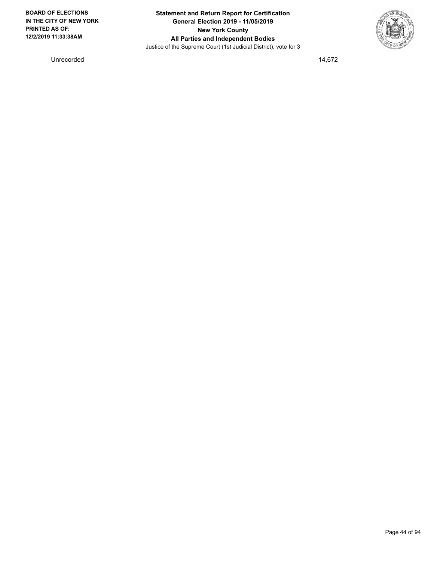

Unrecorded 14,672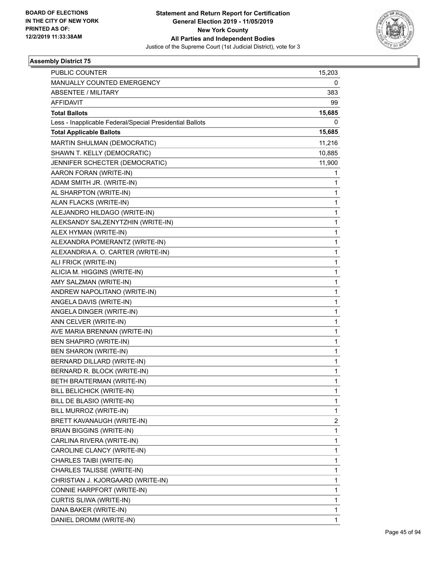

| <b>PUBLIC COUNTER</b>                                    | 15,203 |
|----------------------------------------------------------|--------|
| MANUALLY COUNTED EMERGENCY                               | 0      |
| <b>ABSENTEE / MILITARY</b>                               | 383    |
| AFFIDAVIT                                                | 99     |
| <b>Total Ballots</b>                                     | 15,685 |
| Less - Inapplicable Federal/Special Presidential Ballots | 0      |
| <b>Total Applicable Ballots</b>                          | 15,685 |
| MARTIN SHULMAN (DEMOCRATIC)                              | 11,216 |
| SHAWN T. KELLY (DEMOCRATIC)                              | 10,885 |
| JENNIFER SCHECTER (DEMOCRATIC)                           | 11,900 |
| AARON FORAN (WRITE-IN)                                   | 1      |
| ADAM SMITH JR. (WRITE-IN)                                | 1      |
| AL SHARPTON (WRITE-IN)                                   | 1      |
| ALAN FLACKS (WRITE-IN)                                   | 1      |
| ALEJANDRO HILDAGO (WRITE-IN)                             | 1      |
| ALEKSANDY SALZENYTZHIN (WRITE-IN)                        | 1      |
| ALEX HYMAN (WRITE-IN)                                    | 1      |
| ALEXANDRA POMERANTZ (WRITE-IN)                           | 1      |
| ALEXANDRIA A. O. CARTER (WRITE-IN)                       | 1      |
| ALI FRICK (WRITE-IN)                                     | 1      |
| ALICIA M. HIGGINS (WRITE-IN)                             | 1      |
| AMY SALZMAN (WRITE-IN)                                   | 1      |
| ANDREW NAPOLITANO (WRITE-IN)                             | 1      |
| ANGELA DAVIS (WRITE-IN)                                  | 1      |
| ANGELA DINGER (WRITE-IN)                                 | 1      |
| ANN CELVER (WRITE-IN)                                    | 1      |
| AVE MARIA BRENNAN (WRITE-IN)                             | 1      |
| <b>BEN SHAPIRO (WRITE-IN)</b>                            | 1      |
| <b>BEN SHARON (WRITE-IN)</b>                             | 1      |
| BERNARD DILLARD (WRITE-IN)                               | 1      |
| BERNARD R. BLOCK (WRITE-IN)                              | 1      |
| BETH BRAITERMAN (WRITE-IN)                               | 1      |
| BILL BELICHICK (WRITE-IN)                                | 1      |
| BILL DE BLASIO (WRITE-IN)                                | 1      |
| BILL MURROZ (WRITE-IN)                                   | 1      |
| BRETT KAVANAUGH (WRITE-IN)                               | 2      |
| <b>BRIAN BIGGINS (WRITE-IN)</b>                          | 1      |
| CARLINA RIVERA (WRITE-IN)                                | 1      |
| CAROLINE CLANCY (WRITE-IN)                               | 1      |
| CHARLES TAIBI (WRITE-IN)                                 | 1      |
| CHARLES TALISSE (WRITE-IN)                               | 1      |
| CHRISTIAN J. KJORGAARD (WRITE-IN)                        | 1      |
| CONNIE HARPFORT (WRITE-IN)                               | 1      |
| CURTIS SLIWA (WRITE-IN)                                  | 1      |
| DANA BAKER (WRITE-IN)                                    | 1      |
| DANIEL DROMM (WRITE-IN)                                  | 1      |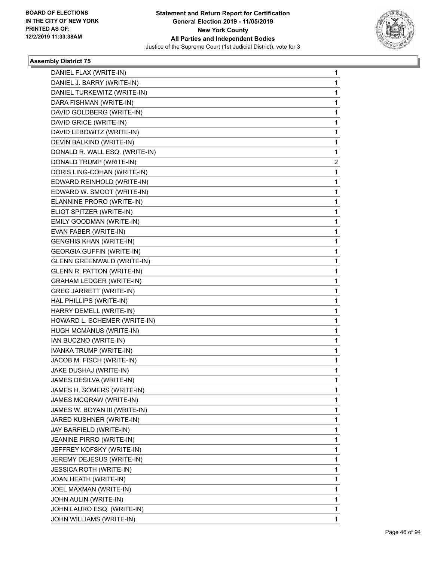

| DANIEL FLAX (WRITE-IN)            | 1 |
|-----------------------------------|---|
| DANIEL J. BARRY (WRITE-IN)        | 1 |
| DANIEL TURKEWITZ (WRITE-IN)       | 1 |
| DARA FISHMAN (WRITE-IN)           | 1 |
| DAVID GOLDBERG (WRITE-IN)         | 1 |
| DAVID GRICE (WRITE-IN)            | 1 |
| DAVID LEBOWITZ (WRITE-IN)         | 1 |
| DEVIN BALKIND (WRITE-IN)          | 1 |
| DONALD R. WALL ESQ. (WRITE-IN)    | 1 |
| DONALD TRUMP (WRITE-IN)           | 2 |
| DORIS LING-COHAN (WRITE-IN)       | 1 |
| EDWARD REINHOLD (WRITE-IN)        | 1 |
| EDWARD W. SMOOT (WRITE-IN)        | 1 |
| ELANNINE PRORO (WRITE-IN)         | 1 |
| ELIOT SPITZER (WRITE-IN)          | 1 |
| EMILY GOODMAN (WRITE-IN)          | 1 |
| EVAN FABER (WRITE-IN)             | 1 |
| <b>GENGHIS KHAN (WRITE-IN)</b>    | 1 |
| <b>GEORGIA GUFFIN (WRITE-IN)</b>  | 1 |
| <b>GLENN GREENWALD (WRITE-IN)</b> | 1 |
| <b>GLENN R. PATTON (WRITE-IN)</b> | 1 |
| <b>GRAHAM LEDGER (WRITE-IN)</b>   | 1 |
| GREG JARRETT (WRITE-IN)           | 1 |
| HAL PHILLIPS (WRITE-IN)           | 1 |
| HARRY DEMELL (WRITE-IN)           | 1 |
| HOWARD L. SCHEMER (WRITE-IN)      | 1 |
| HUGH MCMANUS (WRITE-IN)           | 1 |
| IAN BUCZNO (WRITE-IN)             | 1 |
| IVANKA TRUMP (WRITE-IN)           | 1 |
| JACOB M. FISCH (WRITE-IN)         | 1 |
| JAKE DUSHAJ (WRITE-IN)            | 1 |
| JAMES DESILVA (WRITE-IN)          | 1 |
| JAMES H. SOMERS (WRITE-IN)        | 1 |
| JAMES MCGRAW (WRITE-IN)           | 1 |
| JAMES W. BOYAN III (WRITE-IN)     | 1 |
| JARED KUSHNER (WRITE-IN)          | 1 |
| JAY BARFIELD (WRITE-IN)           | 1 |
| <b>JEANINE PIRRO (WRITE-IN)</b>   | 1 |
| JEFFREY KOFSKY (WRITE-IN)         | 1 |
| JEREMY DEJESUS (WRITE-IN)         | 1 |
| <b>JESSICA ROTH (WRITE-IN)</b>    | 1 |
| JOAN HEATH (WRITE-IN)             | 1 |
| JOEL MAXMAN (WRITE-IN)            | 1 |
| JOHN AULIN (WRITE-IN)             | 1 |
| JOHN LAURO ESQ. (WRITE-IN)        | 1 |
| JOHN WILLIAMS (WRITE-IN)          | 1 |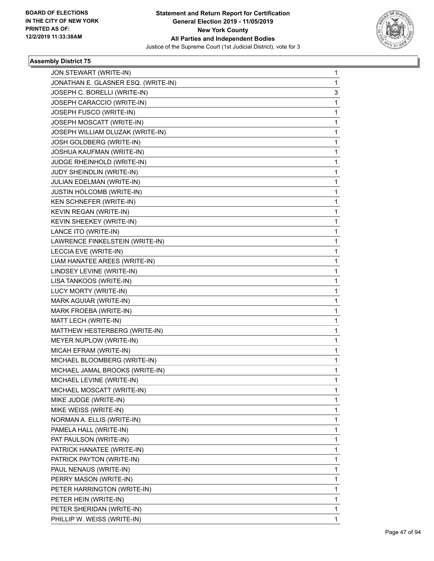

| JON STEWART (WRITE-IN)              | 1 |
|-------------------------------------|---|
| JONATHAN E. GLASNER ESQ. (WRITE-IN) | 1 |
| JOSEPH C. BORELLI (WRITE-IN)        | 3 |
| JOSEPH CARACCIO (WRITE-IN)          | 1 |
| JOSEPH FUSCO (WRITE-IN)             | 1 |
| JOSEPH MOSCATT (WRITE-IN)           | 1 |
| JOSEPH WILLIAM DLUZAK (WRITE-IN)    | 1 |
| JOSH GOLDBERG (WRITE-IN)            | 1 |
| JOSHUA KAUFMAN (WRITE-IN)           | 1 |
| JUDGE RHEINHOLD (WRITE-IN)          | 1 |
| JUDY SHEINDLIN (WRITE-IN)           | 1 |
| JULIAN EDELMAN (WRITE-IN)           | 1 |
| JUSTIN HOLCOMB (WRITE-IN)           | 1 |
| KEN SCHNEFER (WRITE-IN)             | 1 |
| KEVIN REGAN (WRITE-IN)              | 1 |
| KEVIN SHEEKEY (WRITE-IN)            | 1 |
| LANCE ITO (WRITE-IN)                | 1 |
| LAWRENCE FINKELSTEIN (WRITE-IN)     | 1 |
| LECCIA EVE (WRITE-IN)               | 1 |
| LIAM HANATEE AREES (WRITE-IN)       | 1 |
| LINDSEY LEVINE (WRITE-IN)           | 1 |
| LISA TANKOOS (WRITE-IN)             | 1 |
| LUCY MORTY (WRITE-IN)               | 1 |
| MARK AGUIAR (WRITE-IN)              | 1 |
| MARK FROEBA (WRITE-IN)              | 1 |
| MATT LECH (WRITE-IN)                | 1 |
| MATTHEW HESTERBERG (WRITE-IN)       | 1 |
| MEYER NUPLOW (WRITE-IN)             | 1 |
| MICAH EFRAM (WRITE-IN)              | 1 |
| MICHAEL BLOOMBERG (WRITE-IN)        | 1 |
| MICHAEL JAMAL BROOKS (WRITE-IN)     | 1 |
| MICHAEL LEVINE (WRITE-IN)           | 1 |
| MICHAEL MOSCATT (WRITE-IN)          | 1 |
| MIKE JUDGE (WRITE-IN)               | 1 |
| MIKE WEISS (WRITE-IN)               | 1 |
| NORMAN A. ELLIS (WRITE-IN)          | 1 |
| PAMELA HALL (WRITE-IN)              | 1 |
| PAT PAULSON (WRITE-IN)              | 1 |
| PATRICK HANATEE (WRITE-IN)          | 1 |
| PATRICK PAYTON (WRITE-IN)           | 1 |
| PAUL NENAUS (WRITE-IN)              | 1 |
| PERRY MASON (WRITE-IN)              | 1 |
| PETER HARRINGTON (WRITE-IN)         | 1 |
| PETER HEIN (WRITE-IN)               | 1 |
| PETER SHERIDAN (WRITE-IN)           | 1 |
| PHILLIP W. WEISS (WRITE-IN)         | 1 |
|                                     |   |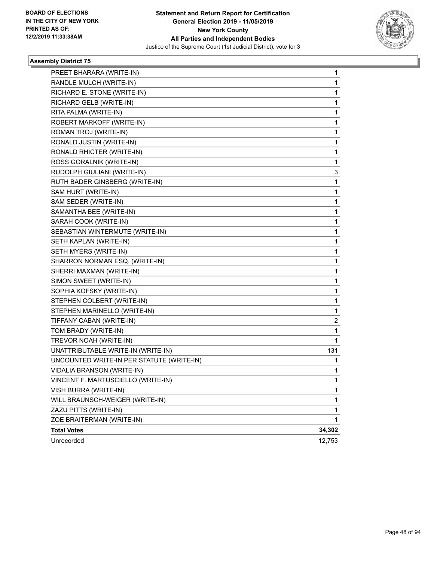

| PREET BHARARA (WRITE-IN)                  | 1                       |
|-------------------------------------------|-------------------------|
| RANDLE MULCH (WRITE-IN)                   | 1                       |
| RICHARD E. STONE (WRITE-IN)               | 1                       |
| RICHARD GELB (WRITE-IN)                   | 1                       |
| RITA PALMA (WRITE-IN)                     | 1                       |
| ROBERT MARKOFF (WRITE-IN)                 | 1                       |
| ROMAN TROJ (WRITE-IN)                     | 1                       |
| RONALD JUSTIN (WRITE-IN)                  | 1                       |
| RONALD RHICTER (WRITE-IN)                 | 1                       |
| ROSS GORALNIK (WRITE-IN)                  | 1                       |
| RUDOLPH GIULIANI (WRITE-IN)               | 3                       |
| RUTH BADER GINSBERG (WRITE-IN)            | 1                       |
| SAM HURT (WRITE-IN)                       | 1                       |
| SAM SEDER (WRITE-IN)                      | 1                       |
| SAMANTHA BEE (WRITE-IN)                   | 1                       |
| SARAH COOK (WRITE-IN)                     | 1                       |
| SEBASTIAN WINTERMUTE (WRITE-IN)           | 1                       |
| SETH KAPLAN (WRITE-IN)                    | 1                       |
| SETH MYERS (WRITE-IN)                     | 1                       |
| SHARRON NORMAN ESQ. (WRITE-IN)            | 1                       |
| SHERRI MAXMAN (WRITE-IN)                  | 1                       |
| SIMON SWEET (WRITE-IN)                    | 1                       |
| SOPHIA KOFSKY (WRITE-IN)                  | 1                       |
| STEPHEN COLBERT (WRITE-IN)                | 1                       |
| STEPHEN MARINELLO (WRITE-IN)              | 1                       |
| TIFFANY CABAN (WRITE-IN)                  | $\overline{\mathbf{c}}$ |
| TOM BRADY (WRITE-IN)                      | 1                       |
| TREVOR NOAH (WRITE-IN)                    | 1                       |
| UNATTRIBUTABLE WRITE-IN (WRITE-IN)        | 131                     |
| UNCOUNTED WRITE-IN PER STATUTE (WRITE-IN) | 1                       |
| <b>VIDALIA BRANSON (WRITE-IN)</b>         | 1                       |
| VINCENT F. MARTUSCIELLO (WRITE-IN)        | $\mathbf{1}$            |
| VISH BURRA (WRITE-IN)                     | 1                       |
| WILL BRAUNSCH-WEIGER (WRITE-IN)           | 1                       |
| ZAZU PITTS (WRITE-IN)                     | 1                       |
| ZOE BRAITERMAN (WRITE-IN)                 | 1                       |
| <b>Total Votes</b>                        | 34,302                  |
| Unrecorded                                | 12,753                  |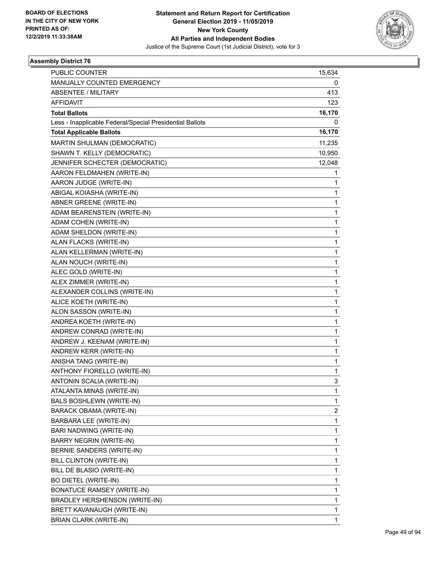

| PUBLIC COUNTER                                           | 15,634 |
|----------------------------------------------------------|--------|
| MANUALLY COUNTED EMERGENCY                               | 0      |
| ABSENTEE / MILITARY                                      | 413    |
| <b>AFFIDAVIT</b>                                         | 123    |
| <b>Total Ballots</b>                                     | 16,170 |
| Less - Inapplicable Federal/Special Presidential Ballots | 0      |
| <b>Total Applicable Ballots</b>                          | 16,170 |
| MARTIN SHULMAN (DEMOCRATIC)                              | 11,235 |
| SHAWN T. KELLY (DEMOCRATIC)                              | 10,950 |
| JENNIFER SCHECTER (DEMOCRATIC)                           | 12,048 |
| AARON FELDMAHEN (WRITE-IN)                               | 1      |
| AARON JUDGE (WRITE-IN)                                   | 1      |
| ABIGAL KOIASHA (WRITE-IN)                                | 1      |
| ABNER GREENE (WRITE-IN)                                  | 1      |
| ADAM BEARENSTEIN (WRITE-IN)                              | 1      |
| ADAM COHEN (WRITE-IN)                                    | 1      |
| ADAM SHELDON (WRITE-IN)                                  | 1      |
| ALAN FLACKS (WRITE-IN)                                   | 1      |
| ALAN KELLERMAN (WRITE-IN)                                | 1      |
| ALAN NOUCH (WRITE-IN)                                    | 1      |
| ALEC GOLD (WRITE-IN)                                     | 1      |
| ALEX ZIMMER (WRITE-IN)                                   | 1      |
| ALEXANDER COLLINS (WRITE-IN)                             | 1      |
| ALICE KOETH (WRITE-IN)                                   | 1      |
| ALON SASSON (WRITE-IN)                                   | 1      |
| ANDREA KOETH (WRITE-IN)                                  | 1      |
| ANDREW CONRAD (WRITE-IN)                                 | 1      |
| ANDREW J. KEENAM (WRITE-IN)                              | 1      |
| ANDREW KERR (WRITE-IN)                                   | 1      |
| ANISHA TANG (WRITE-IN)                                   | 1      |
| ANTHONY FIORELLO (WRITE-IN)                              | 1      |
| ANTONIN SCALIA (WRITE-IN)                                | 3      |
| ATALANTA MINAS (WRITE-IN)                                | 1      |
| <b>BALS BOSHLEWN (WRITE-IN)</b>                          | 1      |
| BARACK OBAMA (WRITE-IN)                                  | 2      |
| BARBARA LEE (WRITE-IN)                                   | 1      |
| BARI NADWING (WRITE-IN)                                  | 1      |
| BARRY NEGRIN (WRITE-IN)                                  | 1      |
| <b>BERNIE SANDERS (WRITE-IN)</b>                         | 1      |
| BILL CLINTON (WRITE-IN)                                  | 1      |
| BILL DE BLASIO (WRITE-IN)                                | 1      |
| <b>BO DIETEL (WRITE-IN)</b>                              | 1      |
| <b>BONATUCE RAMSEY (WRITE-IN)</b>                        | 1      |
| BRADLEY HERSHENSON (WRITE-IN)                            | 1      |
| BRETT KAVANAUGH (WRITE-IN)                               | 1      |
| <b>BRIAN CLARK (WRITE-IN)</b>                            | 1      |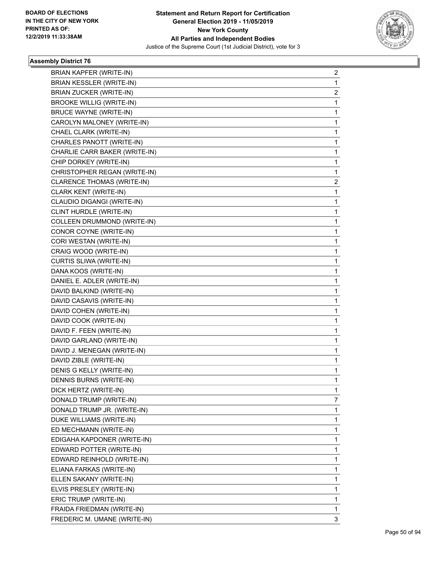

| <b>BRIAN KAPFER (WRITE-IN)</b>  | $\overline{2}$ |
|---------------------------------|----------------|
| <b>BRIAN KESSLER (WRITE-IN)</b> | 1              |
| <b>BRIAN ZUCKER (WRITE-IN)</b>  | $\overline{c}$ |
| <b>BROOKE WILLIG (WRITE-IN)</b> | 1              |
| <b>BRUCE WAYNE (WRITE-IN)</b>   | 1              |
| CAROLYN MALONEY (WRITE-IN)      | 1              |
| CHAEL CLARK (WRITE-IN)          | 1              |
| CHARLES PANOTT (WRITE-IN)       | 1              |
| CHARLIE CARR BAKER (WRITE-IN)   | $\mathbf 1$    |
| CHIP DORKEY (WRITE-IN)          | 1              |
| CHRISTOPHER REGAN (WRITE-IN)    | 1              |
| CLARENCE THOMAS (WRITE-IN)      | $\overline{2}$ |
| CLARK KENT (WRITE-IN)           | 1              |
| CLAUDIO DIGANGI (WRITE-IN)      | 1              |
| CLINT HURDLE (WRITE-IN)         | $\mathbf{1}$   |
| COLLEEN DRUMMOND (WRITE-IN)     | 1              |
| CONOR COYNE (WRITE-IN)          | 1              |
| CORI WESTAN (WRITE-IN)          | $\mathbf 1$    |
| CRAIG WOOD (WRITE-IN)           | 1              |
| CURTIS SLIWA (WRITE-IN)         | 1              |
| DANA KOOS (WRITE-IN)            | $\mathbf 1$    |
| DANIEL E. ADLER (WRITE-IN)      | 1              |
| DAVID BALKIND (WRITE-IN)        | 1              |
| DAVID CASAVIS (WRITE-IN)        | $\mathbf 1$    |
| DAVID COHEN (WRITE-IN)          | 1              |
| DAVID COOK (WRITE-IN)           | 1              |
| DAVID F. FEEN (WRITE-IN)        | 1              |
| DAVID GARLAND (WRITE-IN)        | 1              |
| DAVID J. MENEGAN (WRITE-IN)     | 1              |
| DAVID ZIBLE (WRITE-IN)          | $\mathbf 1$    |
| DENIS G KELLY (WRITE-IN)        | 1              |
| DENNIS BURNS (WRITE-IN)         | 1              |
| DICK HERTZ (WRITE-IN)           | $\mathbf 1$    |
| DONALD TRUMP (WRITE-IN)         | 7              |
| DONALD TRUMP JR. (WRITE-IN)     | 1              |
| DUKE WILLIAMS (WRITE-IN)        | 1              |
| ED MECHMANN (WRITE-IN)          | 1              |
| EDIGAHA KAPDONER (WRITE-IN)     | 1              |
| EDWARD POTTER (WRITE-IN)        | 1              |
| EDWARD REINHOLD (WRITE-IN)      | 1              |
| ELIANA FARKAS (WRITE-IN)        | 1              |
| ELLEN SAKANY (WRITE-IN)         | $\mathbf 1$    |
| ELVIS PRESLEY (WRITE-IN)        | 1              |
| ERIC TRUMP (WRITE-IN)           | 1              |
| FRAIDA FRIEDMAN (WRITE-IN)      | 1              |
| FREDERIC M. UMANE (WRITE-IN)    | 3              |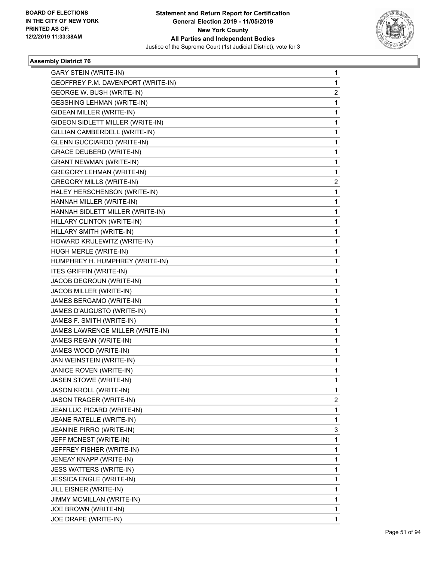

| <b>GARY STEIN (WRITE-IN)</b>       | 1                       |
|------------------------------------|-------------------------|
| GEOFFREY P.M. DAVENPORT (WRITE-IN) | 1                       |
| GEORGE W. BUSH (WRITE-IN)          | $\overline{\mathbf{c}}$ |
| <b>GESSHING LEHMAN (WRITE-IN)</b>  | 1                       |
| GIDEAN MILLER (WRITE-IN)           | 1                       |
| GIDEON SIDLETT MILLER (WRITE-IN)   | 1                       |
| GILLIAN CAMBERDELL (WRITE-IN)      | 1                       |
| <b>GLENN GUCCIARDO (WRITE-IN)</b>  | 1                       |
| <b>GRACE DEUBERD (WRITE-IN)</b>    | 1                       |
| <b>GRANT NEWMAN (WRITE-IN)</b>     | 1                       |
| <b>GREGORY LEHMAN (WRITE-IN)</b>   | 1                       |
| <b>GREGORY MILLS (WRITE-IN)</b>    | 2                       |
| HALEY HERSCHENSON (WRITE-IN)       | 1                       |
| HANNAH MILLER (WRITE-IN)           | 1                       |
| HANNAH SIDLETT MILLER (WRITE-IN)   | 1                       |
| HILLARY CLINTON (WRITE-IN)         | 1                       |
| HILLARY SMITH (WRITE-IN)           | 1                       |
| HOWARD KRULEWITZ (WRITE-IN)        | 1                       |
| HUGH MERLE (WRITE-IN)              | 1                       |
| HUMPHREY H. HUMPHREY (WRITE-IN)    | 1                       |
| <b>ITES GRIFFIN (WRITE-IN)</b>     | 1                       |
| JACOB DEGROUN (WRITE-IN)           | 1                       |
| JACOB MILLER (WRITE-IN)            | 1                       |
| JAMES BERGAMO (WRITE-IN)           | 1                       |
| JAMES D'AUGUSTO (WRITE-IN)         | 1                       |
| JAMES F. SMITH (WRITE-IN)          | 1                       |
| JAMES LAWRENCE MILLER (WRITE-IN)   | 1                       |
| JAMES REGAN (WRITE-IN)             | 1                       |
| JAMES WOOD (WRITE-IN)              | 1                       |
| JAN WEINSTEIN (WRITE-IN)           | 1                       |
| JANICE ROVEN (WRITE-IN)            | 1                       |
| <b>JASEN STOWE (WRITE-IN)</b>      | 1                       |
| JASON KROLL (WRITE-IN)             | 1                       |
| JASON TRAGER (WRITE-IN)            | 2                       |
| JEAN LUC PICARD (WRITE-IN)         | 1                       |
| JEANE RATELLE (WRITE-IN)           | 1                       |
| JEANINE PIRRO (WRITE-IN)           | 3                       |
| JEFF MCNEST (WRITE-IN)             | 1                       |
| JEFFREY FISHER (WRITE-IN)          | 1                       |
| JENEAY KNAPP (WRITE-IN)            | 1                       |
| JESS WATTERS (WRITE-IN)            | 1                       |
| <b>JESSICA ENGLE (WRITE-IN)</b>    | 1                       |
| JILL EISNER (WRITE-IN)             | 1                       |
| JIMMY MCMILLAN (WRITE-IN)          | 1                       |
| JOE BROWN (WRITE-IN)               | 1                       |
| JOE DRAPE (WRITE-IN)               | 1                       |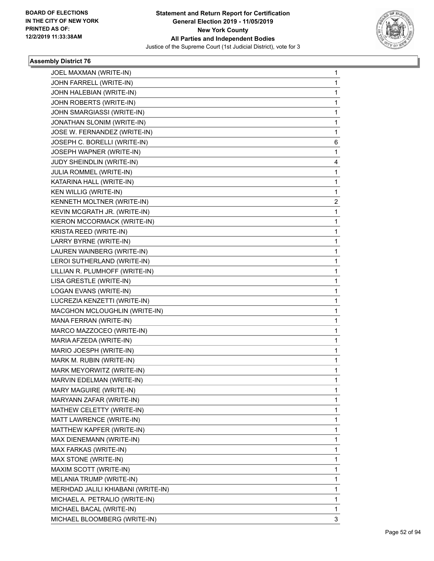

| JOEL MAXMAN (WRITE-IN)             | 1 |
|------------------------------------|---|
| JOHN FARRELL (WRITE-IN)            | 1 |
| JOHN HALEBIAN (WRITE-IN)           | 1 |
| JOHN ROBERTS (WRITE-IN)            | 1 |
| JOHN SMARGIASSI (WRITE-IN)         | 1 |
| JONATHAN SLONIM (WRITE-IN)         | 1 |
| JOSE W. FERNANDEZ (WRITE-IN)       | 1 |
| JOSEPH C. BORELLI (WRITE-IN)       | 6 |
| JOSEPH WAPNER (WRITE-IN)           | 1 |
| JUDY SHEINDLIN (WRITE-IN)          | 4 |
| JULIA ROMMEL (WRITE-IN)            | 1 |
| KATARINA HALL (WRITE-IN)           | 1 |
| KEN WILLIG (WRITE-IN)              | 1 |
| KENNETH MOLTNER (WRITE-IN)         | 2 |
| KEVIN MCGRATH JR. (WRITE-IN)       | 1 |
| KIERON MCCORMACK (WRITE-IN)        | 1 |
| KRISTA REED (WRITE-IN)             | 1 |
| LARRY BYRNE (WRITE-IN)             | 1 |
| LAUREN WAINBERG (WRITE-IN)         | 1 |
| LEROI SUTHERLAND (WRITE-IN)        | 1 |
| LILLIAN R. PLUMHOFF (WRITE-IN)     | 1 |
| LISA GRESTLE (WRITE-IN)            | 1 |
| LOGAN EVANS (WRITE-IN)             | 1 |
| LUCREZIA KENZETTI (WRITE-IN)       | 1 |
| MACGHON MCLOUGHLIN (WRITE-IN)      | 1 |
| MANA FERRAN (WRITE-IN)             | 1 |
| MARCO MAZZOCEO (WRITE-IN)          | 1 |
| MARIA AFZEDA (WRITE-IN)            | 1 |
| MARIO JOESPH (WRITE-IN)            | 1 |
| MARK M. RUBIN (WRITE-IN)           | 1 |
| MARK MEYORWITZ (WRITE-IN)          | 1 |
| MARVIN EDELMAN (WRITE-IN)          | 1 |
| MARY MAGUIRE (WRITE-IN)            | 1 |
| MARYANN ZAFAR (WRITE-IN)           | 1 |
| MATHEW CELETTY (WRITE-IN)          | 1 |
| MATT LAWRENCE (WRITE-IN)           | 1 |
| MATTHEW KAPFER (WRITE-IN)          | 1 |
| MAX DIENEMANN (WRITE-IN)           | 1 |
| MAX FARKAS (WRITE-IN)              | 1 |
| MAX STONE (WRITE-IN)               | 1 |
| MAXIM SCOTT (WRITE-IN)             | 1 |
| MELANIA TRUMP (WRITE-IN)           | 1 |
| MERHDAD JALILI KHIABANI (WRITE-IN) | 1 |
| MICHAEL A. PETRALIO (WRITE-IN)     | 1 |
| MICHAEL BACAL (WRITE-IN)           | 1 |
| MICHAEL BLOOMBERG (WRITE-IN)       | 3 |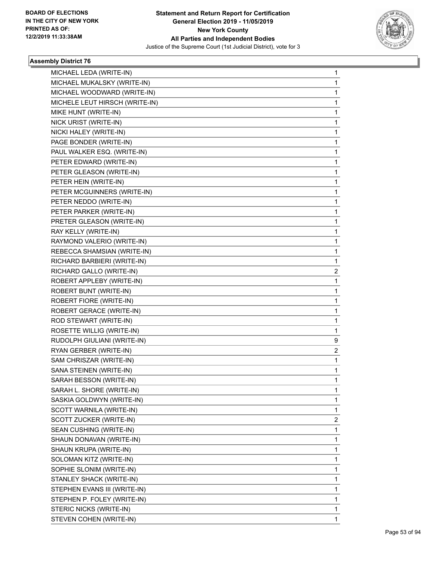

| MICHAEL LEDA (WRITE-IN)        | 1                       |
|--------------------------------|-------------------------|
| MICHAEL MUKALSKY (WRITE-IN)    | 1                       |
| MICHAEL WOODWARD (WRITE-IN)    | 1                       |
| MICHELE LEUT HIRSCH (WRITE-IN) | 1                       |
| MIKE HUNT (WRITE-IN)           | 1                       |
| NICK URIST (WRITE-IN)          | 1                       |
| NICKI HALEY (WRITE-IN)         | 1                       |
| PAGE BONDER (WRITE-IN)         | 1                       |
| PAUL WALKER ESQ. (WRITE-IN)    | 1                       |
| PETER EDWARD (WRITE-IN)        | 1                       |
| PETER GLEASON (WRITE-IN)       | 1                       |
| PETER HEIN (WRITE-IN)          | 1                       |
| PETER MCGUINNERS (WRITE-IN)    | 1                       |
| PETER NEDDO (WRITE-IN)         | 1                       |
| PETER PARKER (WRITE-IN)        | 1                       |
| PRETER GLEASON (WRITE-IN)      | 1                       |
| RAY KELLY (WRITE-IN)           | 1                       |
| RAYMOND VALERIO (WRITE-IN)     | 1                       |
| REBECCA SHAMSIAN (WRITE-IN)    | 1                       |
| RICHARD BARBIERI (WRITE-IN)    | 1                       |
| RICHARD GALLO (WRITE-IN)       | $\overline{\mathbf{c}}$ |
| ROBERT APPLEBY (WRITE-IN)      | 1                       |
| ROBERT BUNT (WRITE-IN)         | 1                       |
| ROBERT FIORE (WRITE-IN)        | 1                       |
| ROBERT GERACE (WRITE-IN)       | 1                       |
| ROD STEWART (WRITE-IN)         | 1                       |
| ROSETTE WILLIG (WRITE-IN)      | 1                       |
| RUDOLPH GIULIANI (WRITE-IN)    | 9                       |
| RYAN GERBER (WRITE-IN)         | 2                       |
| SAM CHRISZAR (WRITE-IN)        | 1                       |
| SANA STEINEN (WRITE-IN)        | 1                       |
| SARAH BESSON (WRITE-IN)        | 1                       |
| SARAH L. SHORE (WRITE-IN)      | 1                       |
| SASKIA GOLDWYN (WRITE-IN)      | 1                       |
| SCOTT WARNILA (WRITE-IN)       | 1                       |
| SCOTT ZUCKER (WRITE-IN)        | 2                       |
| SEAN CUSHING (WRITE-IN)        | 1                       |
| SHAUN DONAVAN (WRITE-IN)       | 1                       |
| SHAUN KRUPA (WRITE-IN)         | 1                       |
| SOLOMAN KITZ (WRITE-IN)        | 1                       |
| SOPHIE SLONIM (WRITE-IN)       | 1                       |
| STANLEY SHACK (WRITE-IN)       | 1                       |
| STEPHEN EVANS III (WRITE-IN)   | 1                       |
| STEPHEN P. FOLEY (WRITE-IN)    | 1                       |
| STERIC NICKS (WRITE-IN)        | 1                       |
| STEVEN COHEN (WRITE-IN)        | 1                       |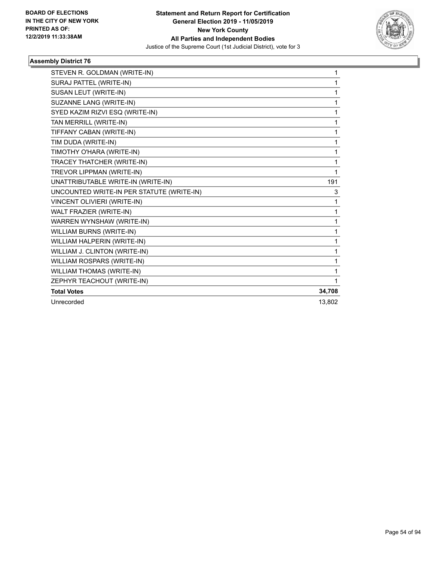

| STEVEN R. GOLDMAN (WRITE-IN)              | 1      |
|-------------------------------------------|--------|
| SURAJ PATTEL (WRITE-IN)                   | 1      |
| SUSAN LEUT (WRITE-IN)                     | 1      |
| SUZANNE LANG (WRITE-IN)                   | 1      |
| SYED KAZIM RIZVI ESQ (WRITE-IN)           | 1      |
| TAN MERRILL (WRITE-IN)                    | 1      |
| TIFFANY CABAN (WRITE-IN)                  | 1      |
| TIM DUDA (WRITE-IN)                       | 1      |
| TIMOTHY O'HARA (WRITE-IN)                 | 1      |
| TRACEY THATCHER (WRITE-IN)                | 1      |
| TREVOR LIPPMAN (WRITE-IN)                 | 1      |
| UNATTRIBUTABLE WRITE-IN (WRITE-IN)        | 191    |
| UNCOUNTED WRITE-IN PER STATUTE (WRITE-IN) | 3      |
| VINCENT OLIVIERI (WRITE-IN)               | 1      |
| WALT FRAZIER (WRITE-IN)                   | 1      |
| WARREN WYNSHAW (WRITE-IN)                 | 1      |
| WILLIAM BURNS (WRITE-IN)                  | 1      |
| WILLIAM HALPERIN (WRITE-IN)               | 1      |
| WILLIAM J. CLINTON (WRITE-IN)             | 1      |
| WILLIAM ROSPARS (WRITE-IN)                | 1      |
| WILLIAM THOMAS (WRITE-IN)                 | 1      |
| ZEPHYR TEACHOUT (WRITE-IN)                | 1      |
| <b>Total Votes</b>                        | 34,708 |
| Unrecorded                                | 13,802 |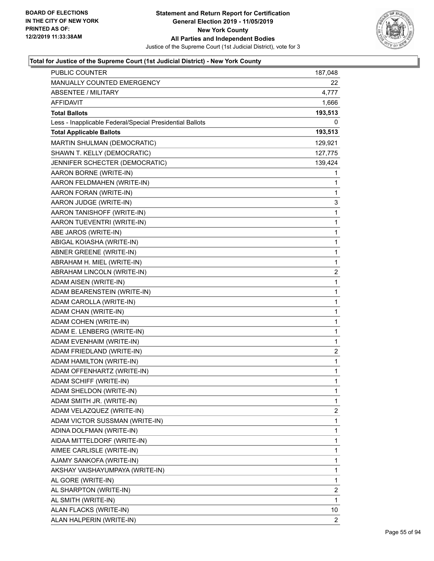

| MANUALLY COUNTED EMERGENCY<br>22<br>ABSENTEE / MILITARY<br>4,777<br>AFFIDAVIT<br>1,666<br><b>Total Ballots</b><br>193,513<br>Less - Inapplicable Federal/Special Presidential Ballots<br>0<br><b>Total Applicable Ballots</b><br>193,513<br>MARTIN SHULMAN (DEMOCRATIC)<br>129,921<br>SHAWN T. KELLY (DEMOCRATIC)<br>127,775<br>JENNIFER SCHECTER (DEMOCRATIC)<br>139,424<br>AARON BORNE (WRITE-IN)<br>1<br>AARON FELDMAHEN (WRITE-IN)<br>1<br>AARON FORAN (WRITE-IN)<br>1<br>AARON JUDGE (WRITE-IN)<br>3<br>AARON TANISHOFF (WRITE-IN)<br>1<br>1<br>AARON TUEVENTRI (WRITE-IN)<br>ABE JAROS (WRITE-IN)<br>1<br>ABIGAL KOIASHA (WRITE-IN)<br>1<br>1<br>ABNER GREENE (WRITE-IN)<br>ABRAHAM H. MIEL (WRITE-IN)<br>1<br>ABRAHAM LINCOLN (WRITE-IN)<br>$\overline{2}$<br>1<br>ADAM AISEN (WRITE-IN)<br>ADAM BEARENSTEIN (WRITE-IN)<br>1<br>ADAM CAROLLA (WRITE-IN)<br>1<br>1<br>ADAM CHAN (WRITE-IN)<br>ADAM COHEN (WRITE-IN)<br>1<br>ADAM E. LENBERG (WRITE-IN)<br>1<br>1<br>ADAM EVENHAIM (WRITE-IN)<br>ADAM FRIEDLAND (WRITE-IN)<br>$\overline{2}$<br>ADAM HAMILTON (WRITE-IN)<br>1<br>ADAM OFFENHARTZ (WRITE-IN)<br>1<br>ADAM SCHIFF (WRITE-IN)<br>1<br>ADAM SHELDON (WRITE-IN)<br>1<br>ADAM SMITH JR. (WRITE-IN)<br>1<br>ADAM VELAZQUEZ (WRITE-IN)<br>$\overline{2}$<br>ADAM VICTOR SUSSMAN (WRITE-IN)<br>1<br>1<br>ADINA DOLFMAN (WRITE-IN)<br>AIDAA MITTELDORF (WRITE-IN)<br>1<br>AIMEE CARLISLE (WRITE-IN)<br>1<br>AJAMY SANKOFA (WRITE-IN)<br>1<br>AKSHAY VAISHAYUMPAYA (WRITE-IN)<br>1<br>1<br>AL GORE (WRITE-IN)<br>2<br>AL SHARPTON (WRITE-IN)<br>AL SMITH (WRITE-IN)<br>1<br>ALAN FLACKS (WRITE-IN)<br>10<br>ALAN HALPERIN (WRITE-IN)<br>2 | <b>PUBLIC COUNTER</b> | 187,048 |
|-----------------------------------------------------------------------------------------------------------------------------------------------------------------------------------------------------------------------------------------------------------------------------------------------------------------------------------------------------------------------------------------------------------------------------------------------------------------------------------------------------------------------------------------------------------------------------------------------------------------------------------------------------------------------------------------------------------------------------------------------------------------------------------------------------------------------------------------------------------------------------------------------------------------------------------------------------------------------------------------------------------------------------------------------------------------------------------------------------------------------------------------------------------------------------------------------------------------------------------------------------------------------------------------------------------------------------------------------------------------------------------------------------------------------------------------------------------------------------------------------------------------------------------------------------------------------------------------------------------------------------------------------------|-----------------------|---------|
|                                                                                                                                                                                                                                                                                                                                                                                                                                                                                                                                                                                                                                                                                                                                                                                                                                                                                                                                                                                                                                                                                                                                                                                                                                                                                                                                                                                                                                                                                                                                                                                                                                                     |                       |         |
|                                                                                                                                                                                                                                                                                                                                                                                                                                                                                                                                                                                                                                                                                                                                                                                                                                                                                                                                                                                                                                                                                                                                                                                                                                                                                                                                                                                                                                                                                                                                                                                                                                                     |                       |         |
|                                                                                                                                                                                                                                                                                                                                                                                                                                                                                                                                                                                                                                                                                                                                                                                                                                                                                                                                                                                                                                                                                                                                                                                                                                                                                                                                                                                                                                                                                                                                                                                                                                                     |                       |         |
|                                                                                                                                                                                                                                                                                                                                                                                                                                                                                                                                                                                                                                                                                                                                                                                                                                                                                                                                                                                                                                                                                                                                                                                                                                                                                                                                                                                                                                                                                                                                                                                                                                                     |                       |         |
|                                                                                                                                                                                                                                                                                                                                                                                                                                                                                                                                                                                                                                                                                                                                                                                                                                                                                                                                                                                                                                                                                                                                                                                                                                                                                                                                                                                                                                                                                                                                                                                                                                                     |                       |         |
|                                                                                                                                                                                                                                                                                                                                                                                                                                                                                                                                                                                                                                                                                                                                                                                                                                                                                                                                                                                                                                                                                                                                                                                                                                                                                                                                                                                                                                                                                                                                                                                                                                                     |                       |         |
|                                                                                                                                                                                                                                                                                                                                                                                                                                                                                                                                                                                                                                                                                                                                                                                                                                                                                                                                                                                                                                                                                                                                                                                                                                                                                                                                                                                                                                                                                                                                                                                                                                                     |                       |         |
|                                                                                                                                                                                                                                                                                                                                                                                                                                                                                                                                                                                                                                                                                                                                                                                                                                                                                                                                                                                                                                                                                                                                                                                                                                                                                                                                                                                                                                                                                                                                                                                                                                                     |                       |         |
|                                                                                                                                                                                                                                                                                                                                                                                                                                                                                                                                                                                                                                                                                                                                                                                                                                                                                                                                                                                                                                                                                                                                                                                                                                                                                                                                                                                                                                                                                                                                                                                                                                                     |                       |         |
|                                                                                                                                                                                                                                                                                                                                                                                                                                                                                                                                                                                                                                                                                                                                                                                                                                                                                                                                                                                                                                                                                                                                                                                                                                                                                                                                                                                                                                                                                                                                                                                                                                                     |                       |         |
|                                                                                                                                                                                                                                                                                                                                                                                                                                                                                                                                                                                                                                                                                                                                                                                                                                                                                                                                                                                                                                                                                                                                                                                                                                                                                                                                                                                                                                                                                                                                                                                                                                                     |                       |         |
|                                                                                                                                                                                                                                                                                                                                                                                                                                                                                                                                                                                                                                                                                                                                                                                                                                                                                                                                                                                                                                                                                                                                                                                                                                                                                                                                                                                                                                                                                                                                                                                                                                                     |                       |         |
|                                                                                                                                                                                                                                                                                                                                                                                                                                                                                                                                                                                                                                                                                                                                                                                                                                                                                                                                                                                                                                                                                                                                                                                                                                                                                                                                                                                                                                                                                                                                                                                                                                                     |                       |         |
|                                                                                                                                                                                                                                                                                                                                                                                                                                                                                                                                                                                                                                                                                                                                                                                                                                                                                                                                                                                                                                                                                                                                                                                                                                                                                                                                                                                                                                                                                                                                                                                                                                                     |                       |         |
|                                                                                                                                                                                                                                                                                                                                                                                                                                                                                                                                                                                                                                                                                                                                                                                                                                                                                                                                                                                                                                                                                                                                                                                                                                                                                                                                                                                                                                                                                                                                                                                                                                                     |                       |         |
|                                                                                                                                                                                                                                                                                                                                                                                                                                                                                                                                                                                                                                                                                                                                                                                                                                                                                                                                                                                                                                                                                                                                                                                                                                                                                                                                                                                                                                                                                                                                                                                                                                                     |                       |         |
|                                                                                                                                                                                                                                                                                                                                                                                                                                                                                                                                                                                                                                                                                                                                                                                                                                                                                                                                                                                                                                                                                                                                                                                                                                                                                                                                                                                                                                                                                                                                                                                                                                                     |                       |         |
|                                                                                                                                                                                                                                                                                                                                                                                                                                                                                                                                                                                                                                                                                                                                                                                                                                                                                                                                                                                                                                                                                                                                                                                                                                                                                                                                                                                                                                                                                                                                                                                                                                                     |                       |         |
|                                                                                                                                                                                                                                                                                                                                                                                                                                                                                                                                                                                                                                                                                                                                                                                                                                                                                                                                                                                                                                                                                                                                                                                                                                                                                                                                                                                                                                                                                                                                                                                                                                                     |                       |         |
|                                                                                                                                                                                                                                                                                                                                                                                                                                                                                                                                                                                                                                                                                                                                                                                                                                                                                                                                                                                                                                                                                                                                                                                                                                                                                                                                                                                                                                                                                                                                                                                                                                                     |                       |         |
|                                                                                                                                                                                                                                                                                                                                                                                                                                                                                                                                                                                                                                                                                                                                                                                                                                                                                                                                                                                                                                                                                                                                                                                                                                                                                                                                                                                                                                                                                                                                                                                                                                                     |                       |         |
|                                                                                                                                                                                                                                                                                                                                                                                                                                                                                                                                                                                                                                                                                                                                                                                                                                                                                                                                                                                                                                                                                                                                                                                                                                                                                                                                                                                                                                                                                                                                                                                                                                                     |                       |         |
|                                                                                                                                                                                                                                                                                                                                                                                                                                                                                                                                                                                                                                                                                                                                                                                                                                                                                                                                                                                                                                                                                                                                                                                                                                                                                                                                                                                                                                                                                                                                                                                                                                                     |                       |         |
|                                                                                                                                                                                                                                                                                                                                                                                                                                                                                                                                                                                                                                                                                                                                                                                                                                                                                                                                                                                                                                                                                                                                                                                                                                                                                                                                                                                                                                                                                                                                                                                                                                                     |                       |         |
|                                                                                                                                                                                                                                                                                                                                                                                                                                                                                                                                                                                                                                                                                                                                                                                                                                                                                                                                                                                                                                                                                                                                                                                                                                                                                                                                                                                                                                                                                                                                                                                                                                                     |                       |         |
|                                                                                                                                                                                                                                                                                                                                                                                                                                                                                                                                                                                                                                                                                                                                                                                                                                                                                                                                                                                                                                                                                                                                                                                                                                                                                                                                                                                                                                                                                                                                                                                                                                                     |                       |         |
|                                                                                                                                                                                                                                                                                                                                                                                                                                                                                                                                                                                                                                                                                                                                                                                                                                                                                                                                                                                                                                                                                                                                                                                                                                                                                                                                                                                                                                                                                                                                                                                                                                                     |                       |         |
|                                                                                                                                                                                                                                                                                                                                                                                                                                                                                                                                                                                                                                                                                                                                                                                                                                                                                                                                                                                                                                                                                                                                                                                                                                                                                                                                                                                                                                                                                                                                                                                                                                                     |                       |         |
|                                                                                                                                                                                                                                                                                                                                                                                                                                                                                                                                                                                                                                                                                                                                                                                                                                                                                                                                                                                                                                                                                                                                                                                                                                                                                                                                                                                                                                                                                                                                                                                                                                                     |                       |         |
|                                                                                                                                                                                                                                                                                                                                                                                                                                                                                                                                                                                                                                                                                                                                                                                                                                                                                                                                                                                                                                                                                                                                                                                                                                                                                                                                                                                                                                                                                                                                                                                                                                                     |                       |         |
|                                                                                                                                                                                                                                                                                                                                                                                                                                                                                                                                                                                                                                                                                                                                                                                                                                                                                                                                                                                                                                                                                                                                                                                                                                                                                                                                                                                                                                                                                                                                                                                                                                                     |                       |         |
|                                                                                                                                                                                                                                                                                                                                                                                                                                                                                                                                                                                                                                                                                                                                                                                                                                                                                                                                                                                                                                                                                                                                                                                                                                                                                                                                                                                                                                                                                                                                                                                                                                                     |                       |         |
|                                                                                                                                                                                                                                                                                                                                                                                                                                                                                                                                                                                                                                                                                                                                                                                                                                                                                                                                                                                                                                                                                                                                                                                                                                                                                                                                                                                                                                                                                                                                                                                                                                                     |                       |         |
|                                                                                                                                                                                                                                                                                                                                                                                                                                                                                                                                                                                                                                                                                                                                                                                                                                                                                                                                                                                                                                                                                                                                                                                                                                                                                                                                                                                                                                                                                                                                                                                                                                                     |                       |         |
|                                                                                                                                                                                                                                                                                                                                                                                                                                                                                                                                                                                                                                                                                                                                                                                                                                                                                                                                                                                                                                                                                                                                                                                                                                                                                                                                                                                                                                                                                                                                                                                                                                                     |                       |         |
|                                                                                                                                                                                                                                                                                                                                                                                                                                                                                                                                                                                                                                                                                                                                                                                                                                                                                                                                                                                                                                                                                                                                                                                                                                                                                                                                                                                                                                                                                                                                                                                                                                                     |                       |         |
|                                                                                                                                                                                                                                                                                                                                                                                                                                                                                                                                                                                                                                                                                                                                                                                                                                                                                                                                                                                                                                                                                                                                                                                                                                                                                                                                                                                                                                                                                                                                                                                                                                                     |                       |         |
|                                                                                                                                                                                                                                                                                                                                                                                                                                                                                                                                                                                                                                                                                                                                                                                                                                                                                                                                                                                                                                                                                                                                                                                                                                                                                                                                                                                                                                                                                                                                                                                                                                                     |                       |         |
|                                                                                                                                                                                                                                                                                                                                                                                                                                                                                                                                                                                                                                                                                                                                                                                                                                                                                                                                                                                                                                                                                                                                                                                                                                                                                                                                                                                                                                                                                                                                                                                                                                                     |                       |         |
|                                                                                                                                                                                                                                                                                                                                                                                                                                                                                                                                                                                                                                                                                                                                                                                                                                                                                                                                                                                                                                                                                                                                                                                                                                                                                                                                                                                                                                                                                                                                                                                                                                                     |                       |         |
|                                                                                                                                                                                                                                                                                                                                                                                                                                                                                                                                                                                                                                                                                                                                                                                                                                                                                                                                                                                                                                                                                                                                                                                                                                                                                                                                                                                                                                                                                                                                                                                                                                                     |                       |         |
|                                                                                                                                                                                                                                                                                                                                                                                                                                                                                                                                                                                                                                                                                                                                                                                                                                                                                                                                                                                                                                                                                                                                                                                                                                                                                                                                                                                                                                                                                                                                                                                                                                                     |                       |         |
|                                                                                                                                                                                                                                                                                                                                                                                                                                                                                                                                                                                                                                                                                                                                                                                                                                                                                                                                                                                                                                                                                                                                                                                                                                                                                                                                                                                                                                                                                                                                                                                                                                                     |                       |         |
|                                                                                                                                                                                                                                                                                                                                                                                                                                                                                                                                                                                                                                                                                                                                                                                                                                                                                                                                                                                                                                                                                                                                                                                                                                                                                                                                                                                                                                                                                                                                                                                                                                                     |                       |         |
|                                                                                                                                                                                                                                                                                                                                                                                                                                                                                                                                                                                                                                                                                                                                                                                                                                                                                                                                                                                                                                                                                                                                                                                                                                                                                                                                                                                                                                                                                                                                                                                                                                                     |                       |         |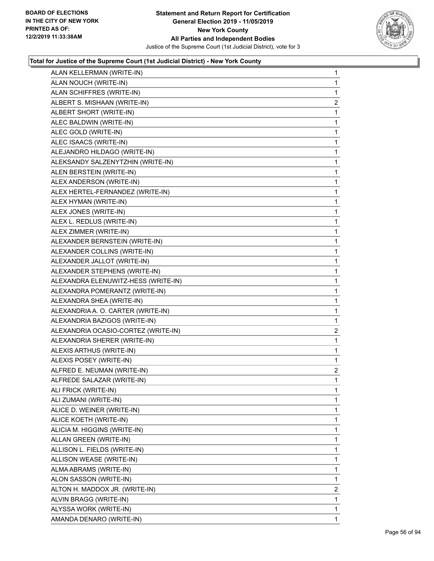

| ALAN KELLERMAN (WRITE-IN)           | $\mathbf{1}$   |
|-------------------------------------|----------------|
| ALAN NOUCH (WRITE-IN)               | $\mathbf{1}$   |
| ALAN SCHIFFRES (WRITE-IN)           | 1              |
| ALBERT S. MISHAAN (WRITE-IN)        | 2              |
| ALBERT SHORT (WRITE-IN)             | 1              |
| ALEC BALDWIN (WRITE-IN)             | $\mathbf{1}$   |
| ALEC GOLD (WRITE-IN)                | 1              |
| ALEC ISAACS (WRITE-IN)              | $\mathbf{1}$   |
| ALEJANDRO HILDAGO (WRITE-IN)        | 1              |
| ALEKSANDY SALZENYTZHIN (WRITE-IN)   | 1              |
| ALEN BERSTEIN (WRITE-IN)            | 1              |
| ALEX ANDERSON (WRITE-IN)            | $\mathbf{1}$   |
| ALEX HERTEL-FERNANDEZ (WRITE-IN)    | 1              |
| ALEX HYMAN (WRITE-IN)               | $\mathbf{1}$   |
| ALEX JONES (WRITE-IN)               | 1              |
| ALEX L. REDLUS (WRITE-IN)           | 1              |
| ALEX ZIMMER (WRITE-IN)              | 1              |
| ALEXANDER BERNSTEIN (WRITE-IN)      | $\mathbf{1}$   |
| ALEXANDER COLLINS (WRITE-IN)        | 1              |
| ALEXANDER JALLOT (WRITE-IN)         | $\mathbf{1}$   |
| ALEXANDER STEPHENS (WRITE-IN)       | 1              |
| ALEXANDRA ELENUWITZ-HESS (WRITE-IN) | 1              |
| ALEXANDRA POMERANTZ (WRITE-IN)      | 1              |
| ALEXANDRA SHEA (WRITE-IN)           | $\mathbf{1}$   |
| ALEXANDRIA A. O. CARTER (WRITE-IN)  | 1              |
| ALEXANDRIA BAZIGOS (WRITE-IN)       | $\mathbf{1}$   |
| ALEXANDRIA OCASIO-CORTEZ (WRITE-IN) | $\overline{2}$ |
| ALEXANDRIA SHERER (WRITE-IN)        | 1              |
| ALEXIS ARTHUS (WRITE-IN)            | 1              |
| ALEXIS POSEY (WRITE-IN)             | $\mathbf{1}$   |
| ALFRED E. NEUMAN (WRITE-IN)         | $\overline{2}$ |
| ALFREDE SALAZAR (WRITE-IN)          | $\mathbf{1}$   |
| ALI FRICK (WRITE-IN)                | 1              |
| ALI ZUMANI (WRITE-IN)               | 1              |
| ALICE D. WEINER (WRITE-IN)          | $\mathbf 1$    |
| ALICE KOETH (WRITE-IN)              | 1              |
| ALICIA M. HIGGINS (WRITE-IN)        | 1              |
| ALLAN GREEN (WRITE-IN)              | $\mathbf 1$    |
| ALLISON L. FIELDS (WRITE-IN)        | 1              |
| ALLISON WEASE (WRITE-IN)            | 1              |
| ALMA ABRAMS (WRITE-IN)              | $\mathbf 1$    |
| ALON SASSON (WRITE-IN)              | 1              |
| ALTON H. MADDOX JR. (WRITE-IN)      | 2              |
| ALVIN BRAGG (WRITE-IN)              | $\mathbf 1$    |
| ALYSSA WORK (WRITE-IN)              | 1              |
| AMANDA DENARO (WRITE-IN)            | $\mathbf 1$    |
|                                     |                |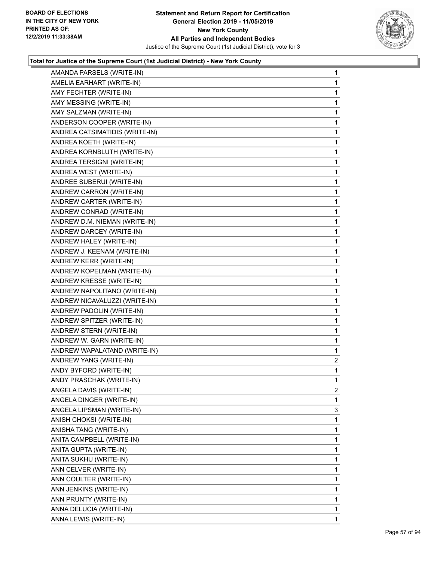

| AMANDA PARSELS (WRITE-IN)      | 1              |
|--------------------------------|----------------|
| AMELIA EARHART (WRITE-IN)      | 1              |
| AMY FECHTER (WRITE-IN)         | 1              |
| AMY MESSING (WRITE-IN)         | 1              |
| AMY SALZMAN (WRITE-IN)         | 1              |
| ANDERSON COOPER (WRITE-IN)     | 1              |
| ANDREA CATSIMATIDIS (WRITE-IN) | 1              |
| ANDREA KOETH (WRITE-IN)        | 1              |
| ANDREA KORNBLUTH (WRITE-IN)    | 1              |
| ANDREA TERSIGNI (WRITE-IN)     | 1              |
| ANDREA WEST (WRITE-IN)         | 1              |
| ANDREE SUBERUI (WRITE-IN)      | 1              |
| ANDREW CARRON (WRITE-IN)       | 1              |
| ANDREW CARTER (WRITE-IN)       | 1              |
| ANDREW CONRAD (WRITE-IN)       | 1              |
| ANDREW D.M. NIEMAN (WRITE-IN)  | 1              |
| ANDREW DARCEY (WRITE-IN)       | 1              |
| ANDREW HALEY (WRITE-IN)        | 1              |
| ANDREW J. KEENAM (WRITE-IN)    | 1              |
| ANDREW KERR (WRITE-IN)         | 1              |
| ANDREW KOPELMAN (WRITE-IN)     | 1              |
| ANDREW KRESSE (WRITE-IN)       | 1              |
| ANDREW NAPOLITANO (WRITE-IN)   | 1              |
| ANDREW NICAVALUZZI (WRITE-IN)  | 1              |
| ANDREW PADOLIN (WRITE-IN)      | 1              |
| ANDREW SPITZER (WRITE-IN)      | 1              |
| ANDREW STERN (WRITE-IN)        | 1              |
| ANDREW W. GARN (WRITE-IN)      | 1              |
| ANDREW WAPALATAND (WRITE-IN)   | 1              |
| ANDREW YANG (WRITE-IN)         | $\overline{2}$ |
| ANDY BYFORD (WRITE-IN)         | 1              |
| ANDY PRASCHAK (WRITE-IN)       | $\mathbf{1}$   |
| ANGELA DAVIS (WRITE-IN)        | 2              |
| ANGELA DINGER (WRITE-IN)       | 1              |
| ANGELA LIPSMAN (WRITE-IN)      | 3              |
| ANISH CHOKSI (WRITE-IN)        | 1              |
| ANISHA TANG (WRITE-IN)         | 1              |
| ANITA CAMPBELL (WRITE-IN)      | 1              |
| ANITA GUPTA (WRITE-IN)         | 1              |
| ANITA SUKHU (WRITE-IN)         | 1              |
| ANN CELVER (WRITE-IN)          | 1              |
| ANN COULTER (WRITE-IN)         | 1              |
| ANN JENKINS (WRITE-IN)         | 1              |
| ANN PRUNTY (WRITE-IN)          | 1              |
| ANNA DELUCIA (WRITE-IN)        | 1              |
| ANNA LEWIS (WRITE-IN)          | 1              |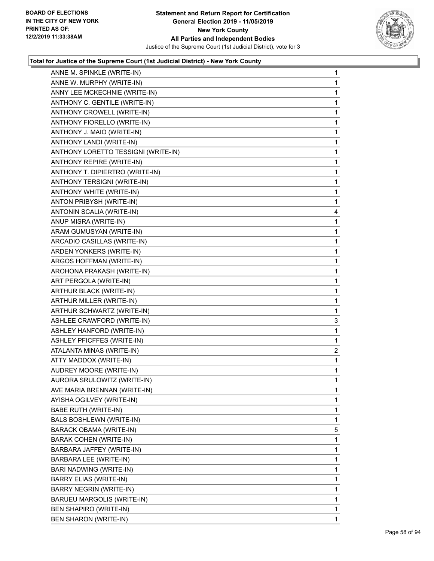

| ANNE M. SPINKLE (WRITE-IN)          | $\mathbf{1}$ |
|-------------------------------------|--------------|
| ANNE W. MURPHY (WRITE-IN)           | $\mathbf{1}$ |
| ANNY LEE MCKECHNIE (WRITE-IN)       | 1            |
| ANTHONY C. GENTILE (WRITE-IN)       | $\mathbf 1$  |
| ANTHONY CROWELL (WRITE-IN)          | 1            |
| ANTHONY FIORELLO (WRITE-IN)         | 1            |
| ANTHONY J. MAIO (WRITE-IN)          | $\mathbf 1$  |
| ANTHONY LANDI (WRITE-IN)            | $\mathbf{1}$ |
| ANTHONY LORETTO TESSIGNI (WRITE-IN) | 1            |
| ANTHONY REPIRE (WRITE-IN)           | $\mathbf 1$  |
| ANTHONY T. DIPIERTRO (WRITE-IN)     | $\mathbf{1}$ |
| ANTHONY TERSIGNI (WRITE-IN)         | 1            |
| ANTHONY WHITE (WRITE-IN)            | $\mathbf 1$  |
| ANTON PRIBYSH (WRITE-IN)            | $\mathbf{1}$ |
| ANTONIN SCALIA (WRITE-IN)           | 4            |
| ANUP MISRA (WRITE-IN)               | $\mathbf 1$  |
| ARAM GUMUSYAN (WRITE-IN)            | 1            |
| ARCADIO CASILLAS (WRITE-IN)         | 1            |
| ARDEN YONKERS (WRITE-IN)            | $\mathbf 1$  |
| ARGOS HOFFMAN (WRITE-IN)            | $\mathbf{1}$ |
| AROHONA PRAKASH (WRITE-IN)          | 1            |
| ART PERGOLA (WRITE-IN)              | $\mathbf 1$  |
| ARTHUR BLACK (WRITE-IN)             | $\mathbf{1}$ |
| ARTHUR MILLER (WRITE-IN)            | 1            |
| ARTHUR SCHWARTZ (WRITE-IN)          | 1            |
| ASHLEE CRAWFORD (WRITE-IN)          | 3            |
| ASHLEY HANFORD (WRITE-IN)           | 1            |
| ASHLEY PFICFFES (WRITE-IN)          | 1            |
| ATALANTA MINAS (WRITE-IN)           | 2            |
| ATTY MADDOX (WRITE-IN)              | 1            |
| AUDREY MOORE (WRITE-IN)             | $\mathbf{1}$ |
| AURORA SRULOWITZ (WRITE-IN)         | $\mathbf{1}$ |
| AVE MARIA BRENNAN (WRITE-IN)        | 1            |
| AYISHA OGILVEY (WRITE-IN)           | 1            |
| BABE RUTH (WRITE-IN)                | 1            |
| BALS BOSHLEWN (WRITE-IN)            | 1            |
| BARACK OBAMA (WRITE-IN)             | 5            |
| <b>BARAK COHEN (WRITE-IN)</b>       | 1            |
| BARBARA JAFFEY (WRITE-IN)           | 1            |
| BARBARA LEE (WRITE-IN)              | 1            |
| BARI NADWING (WRITE-IN)             | 1            |
| BARRY ELIAS (WRITE-IN)              | 1            |
| <b>BARRY NEGRIN (WRITE-IN)</b>      | 1            |
| BARUEU MARGOLIS (WRITE-IN)          | 1            |
| BEN SHAPIRO (WRITE-IN)              | 1            |
| BEN SHARON (WRITE-IN)               | 1            |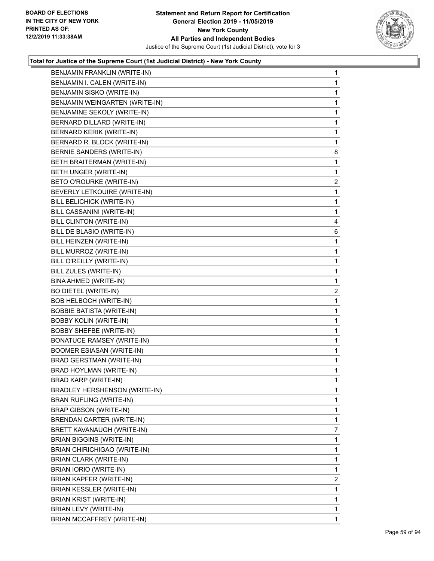

| BENJAMIN FRANKLIN (WRITE-IN)      | $\mathbf{1}$   |
|-----------------------------------|----------------|
| BENJAMIN I. CALEN (WRITE-IN)      | 1              |
| BENJAMIN SISKO (WRITE-IN)         | 1              |
| BENJAMIN WEINGARTEN (WRITE-IN)    | 1              |
| BENJAMINE SEKOLY (WRITE-IN)       | $\mathbf{1}$   |
| BERNARD DILLARD (WRITE-IN)        | 1              |
| <b>BERNARD KERIK (WRITE-IN)</b>   | 1              |
| BERNARD R. BLOCK (WRITE-IN)       | 1              |
| BERNIE SANDERS (WRITE-IN)         | 8              |
| BETH BRAITERMAN (WRITE-IN)        | 1              |
| BETH UNGER (WRITE-IN)             | 1              |
| BETO O'ROURKE (WRITE-IN)          | $\overline{2}$ |
| BEVERLY LETKOUIRE (WRITE-IN)      | 1              |
| BILL BELICHICK (WRITE-IN)         | 1              |
| BILL CASSANINI (WRITE-IN)         | 1              |
| BILL CLINTON (WRITE-IN)           | 4              |
| BILL DE BLASIO (WRITE-IN)         | 6              |
| BILL HEINZEN (WRITE-IN)           | 1              |
| BILL MURROZ (WRITE-IN)            | 1              |
| BILL O'REILLY (WRITE-IN)          | $\mathbf{1}$   |
| BILL ZULES (WRITE-IN)             | 1              |
| BINA AHMED (WRITE-IN)             | 1              |
| BO DIETEL (WRITE-IN)              | $\overline{c}$ |
| BOB HELBOCH (WRITE-IN)            | 1              |
| <b>BOBBIE BATISTA (WRITE-IN)</b>  | 1              |
| <b>BOBBY KOLIN (WRITE-IN)</b>     | $\mathbf{1}$   |
| <b>BOBBY SHEFBE (WRITE-IN)</b>    | 1              |
| <b>BONATUCE RAMSEY (WRITE-IN)</b> | 1              |
| <b>BOOMER ESIASAN (WRITE-IN)</b>  | 1              |
| <b>BRAD GERSTMAN (WRITE-IN)</b>   | 1              |
| <b>BRAD HOYLMAN (WRITE-IN)</b>    | 1              |
| BRAD KARP (WRITE-IN)              | 1              |
| BRADLEY HERSHENSON (WRITE-IN)     | 1              |
| <b>BRAN RUFLING (WRITE-IN)</b>    | 1              |
| <b>BRAP GIBSON (WRITE-IN)</b>     | 1              |
| BRENDAN CARTER (WRITE-IN)         | 1              |
| BRETT KAVANAUGH (WRITE-IN)        | 7              |
| <b>BRIAN BIGGINS (WRITE-IN)</b>   | 1              |
| BRIAN CHIRICHIGAO (WRITE-IN)      | 1              |
| BRIAN CLARK (WRITE-IN)            | 1              |
| BRIAN IORIO (WRITE-IN)            | 1              |
| BRIAN KAPFER (WRITE-IN)           | $\overline{2}$ |
| BRIAN KESSLER (WRITE-IN)          | 1              |
| BRIAN KRIST (WRITE-IN)            | 1              |
| BRIAN LEVY (WRITE-IN)             | 1              |
| BRIAN MCCAFFREY (WRITE-IN)        | 1              |
|                                   |                |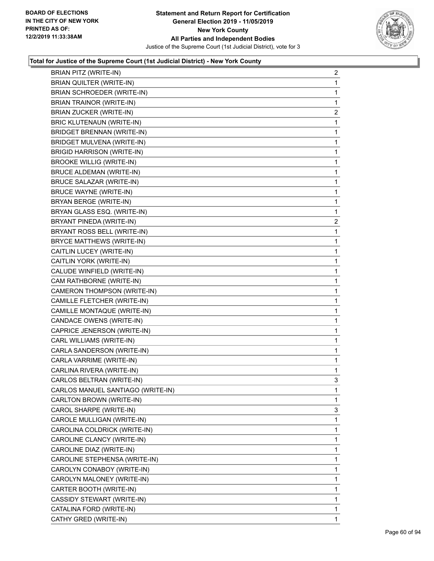

| BRIAN PITZ (WRITE-IN)             | $\overline{a}$ |
|-----------------------------------|----------------|
| BRIAN QUILTER (WRITE-IN)          | 1              |
| BRIAN SCHROEDER (WRITE-IN)        | 1              |
| <b>BRIAN TRAINOR (WRITE-IN)</b>   | 1              |
| <b>BRIAN ZUCKER (WRITE-IN)</b>    | $\overline{2}$ |
| <b>BRIC KLUTENAUN (WRITE-IN)</b>  | 1              |
| BRIDGET BRENNAN (WRITE-IN)        | 1              |
| <b>BRIDGET MULVENA (WRITE-IN)</b> | 1              |
| <b>BRIGID HARRISON (WRITE-IN)</b> | 1              |
| <b>BROOKE WILLIG (WRITE-IN)</b>   | 1              |
| <b>BRUCE ALDEMAN (WRITE-IN)</b>   | 1              |
| <b>BRUCE SALAZAR (WRITE-IN)</b>   | 1              |
| <b>BRUCE WAYNE (WRITE-IN)</b>     | 1              |
| BRYAN BERGE (WRITE-IN)            | 1              |
| BRYAN GLASS ESQ. (WRITE-IN)       | 1              |
| BRYANT PINEDA (WRITE-IN)          | $\overline{a}$ |
| BRYANT ROSS BELL (WRITE-IN)       | 1              |
| BRYCE MATTHEWS (WRITE-IN)         | 1              |
| CAITLIN LUCEY (WRITE-IN)          | 1              |
| CAITLIN YORK (WRITE-IN)           | 1              |
| CALUDE WINFIELD (WRITE-IN)        | 1              |
| CAM RATHBORNE (WRITE-IN)          | 1              |
| CAMERON THOMPSON (WRITE-IN)       | 1              |
| CAMILLE FLETCHER (WRITE-IN)       | 1              |
| CAMILLE MONTAQUE (WRITE-IN)       | 1              |
| CANDACE OWENS (WRITE-IN)          | 1              |
| CAPRICE JENERSON (WRITE-IN)       | 1              |
| CARL WILLIAMS (WRITE-IN)          | 1              |
| CARLA SANDERSON (WRITE-IN)        | 1              |
| CARLA VARRIME (WRITE-IN)          | 1              |
| CARLINA RIVERA (WRITE-IN)         | 1              |
| CARLOS BELTRAN (WRITE-IN)         | 3              |
| CARLOS MANUEL SANTIAGO (WRITE-IN) | 1              |
| CARLTON BROWN (WRITE-IN)          | 1              |
| CAROL SHARPE (WRITE-IN)           | 3              |
| CAROLE MULLIGAN (WRITE-IN)        | 1              |
| CAROLINA COLDRICK (WRITE-IN)      | 1              |
| CAROLINE CLANCY (WRITE-IN)        | 1              |
| CAROLINE DIAZ (WRITE-IN)          | 1              |
| CAROLINE STEPHENSA (WRITE-IN)     | 1              |
| CAROLYN CONABOY (WRITE-IN)        | 1              |
| CAROLYN MALONEY (WRITE-IN)        | 1              |
| CARTER BOOTH (WRITE-IN)           | 1              |
| CASSIDY STEWART (WRITE-IN)        | 1              |
| CATALINA FORD (WRITE-IN)          | 1              |
| CATHY GRED (WRITE-IN)             | 1              |
|                                   |                |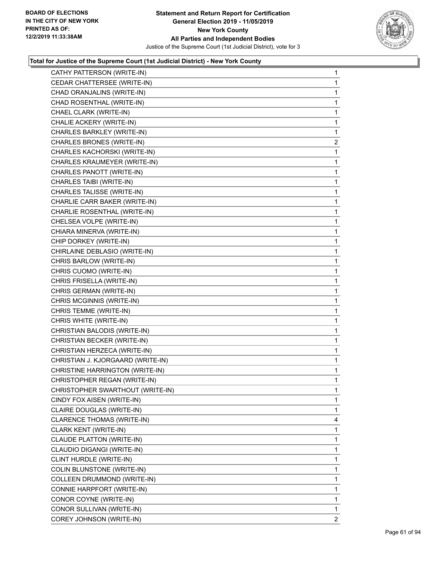

| CATHY PATTERSON (WRITE-IN)        | 1              |
|-----------------------------------|----------------|
| CEDAR CHATTERSEE (WRITE-IN)       | 1              |
| CHAD ORANJALINS (WRITE-IN)        | 1              |
| CHAD ROSENTHAL (WRITE-IN)         | 1              |
| CHAEL CLARK (WRITE-IN)            | $\mathbf{1}$   |
| CHALIE ACKERY (WRITE-IN)          | 1              |
| CHARLES BARKLEY (WRITE-IN)        | 1              |
| CHARLES BRONES (WRITE-IN)         | $\overline{a}$ |
| CHARLES KACHORSKI (WRITE-IN)      | 1              |
| CHARLES KRAUMEYER (WRITE-IN)      | 1              |
| CHARLES PANOTT (WRITE-IN)         | 1              |
| CHARLES TAIBI (WRITE-IN)          | 1              |
| CHARLES TALISSE (WRITE-IN)        | 1              |
| CHARLIE CARR BAKER (WRITE-IN)     | $\mathbf{1}$   |
| CHARLIE ROSENTHAL (WRITE-IN)      | 1              |
| CHELSEA VOLPE (WRITE-IN)          | 1              |
| CHIARA MINERVA (WRITE-IN)         | 1              |
| CHIP DORKEY (WRITE-IN)            | 1              |
| CHIRLAINE DEBLASIO (WRITE-IN)     | 1              |
| CHRIS BARLOW (WRITE-IN)           | 1              |
| CHRIS CUOMO (WRITE-IN)            | 1              |
| CHRIS FRISELLA (WRITE-IN)         | 1              |
| CHRIS GERMAN (WRITE-IN)           | 1              |
| CHRIS MCGINNIS (WRITE-IN)         | 1              |
| CHRIS TEMME (WRITE-IN)            | 1              |
| CHRIS WHITE (WRITE-IN)            | 1              |
| CHRISTIAN BALODIS (WRITE-IN)      | 1              |
| CHRISTIAN BECKER (WRITE-IN)       | 1              |
| CHRISTIAN HERZECA (WRITE-IN)      | 1              |
| CHRISTIAN J. KJORGAARD (WRITE-IN) | 1              |
| CHRISTINE HARRINGTON (WRITE-IN)   | 1              |
| CHRISTOPHER REGAN (WRITE-IN)      | 1              |
| CHRISTOPHER SWARTHOUT (WRITE-IN)  | 1              |
| CINDY FOX AISEN (WRITE-IN)        | 1.             |
| CLAIRE DOUGLAS (WRITE-IN)         | 1              |
| CLARENCE THOMAS (WRITE-IN)        | 4              |
| CLARK KENT (WRITE-IN)             | 1              |
| CLAUDE PLATTON (WRITE-IN)         | 1              |
| CLAUDIO DIGANGI (WRITE-IN)        | 1              |
| CLINT HURDLE (WRITE-IN)           | 1              |
| COLIN BLUNSTONE (WRITE-IN)        | 1              |
| COLLEEN DRUMMOND (WRITE-IN)       | 1              |
| CONNIE HARPFORT (WRITE-IN)        | 1              |
| CONOR COYNE (WRITE-IN)            | 1              |
| CONOR SULLIVAN (WRITE-IN)         | 1              |
| COREY JOHNSON (WRITE-IN)          | 2              |
|                                   |                |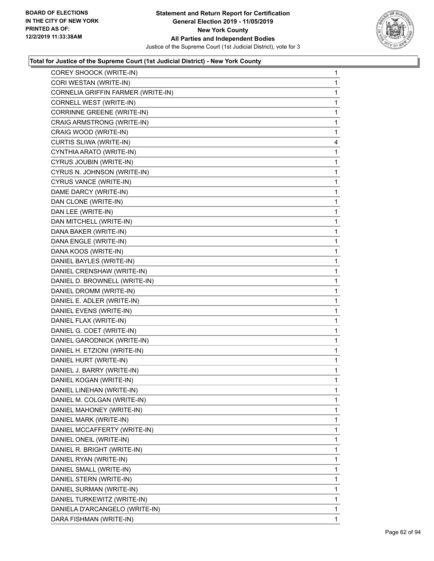

| COREY SHOOCK (WRITE-IN)            | $\mathbf{1}$ |
|------------------------------------|--------------|
| CORI WESTAN (WRITE-IN)             | $\mathbf{1}$ |
| CORNELIA GRIFFIN FARMER (WRITE-IN) | $\mathbf 1$  |
| CORNELL WEST (WRITE-IN)            | 1            |
| CORRINNE GREENE (WRITE-IN)         | 1            |
| CRAIG ARMSTRONG (WRITE-IN)         | 1            |
| CRAIG WOOD (WRITE-IN)              | 1            |
| CURTIS SLIWA (WRITE-IN)            | 4            |
| CYNTHIA ARATO (WRITE-IN)           | 1            |
| CYRUS JOUBIN (WRITE-IN)            | 1            |
| CYRUS N. JOHNSON (WRITE-IN)        | 1            |
| CYRUS VANCE (WRITE-IN)             | 1            |
| DAME DARCY (WRITE-IN)              | 1            |
| DAN CLONE (WRITE-IN)               | $\mathbf{1}$ |
| DAN LEE (WRITE-IN)                 | 1            |
| DAN MITCHELL (WRITE-IN)            | 1            |
| DANA BAKER (WRITE-IN)              | 1            |
| DANA ENGLE (WRITE-IN)              | $\mathbf{1}$ |
| DANA KOOS (WRITE-IN)               | 1            |
| DANIEL BAYLES (WRITE-IN)           | $\mathbf{1}$ |
| DANIEL CRENSHAW (WRITE-IN)         | 1            |
| DANIEL D. BROWNELL (WRITE-IN)      | 1            |
| DANIEL DROMM (WRITE-IN)            | 1            |
| DANIEL E. ADLER (WRITE-IN)         | $\mathbf{1}$ |
| DANIEL EVENS (WRITE-IN)            | 1            |
| DANIEL FLAX (WRITE-IN)             | $\mathbf{1}$ |
| DANIEL G. COET (WRITE-IN)          | 1            |
| DANIEL GARODNICK (WRITE-IN)        | 1            |
| DANIEL H. ETZIONI (WRITE-IN)       | 1            |
| DANIEL HURT (WRITE-IN)             | $\mathbf{1}$ |
| DANIEL J. BARRY (WRITE-IN)         | 1            |
| DANIEL KOGAN (WRITE-IN)            | $\mathbf{1}$ |
| DANIEL LINEHAN (WRITE-IN)          | 1            |
| DANIEL M. COLGAN (WRITE-IN)        | 1            |
| DANIEL MAHONEY (WRITE-IN)          | $\mathbf 1$  |
| DANIEL MARK (WRITE-IN)             | 1            |
| DANIEL MCCAFFERTY (WRITE-IN)       | 1            |
| DANIEL ONEIL (WRITE-IN)            | $\mathbf 1$  |
| DANIEL R. BRIGHT (WRITE-IN)        | 1            |
| DANIEL RYAN (WRITE-IN)             | 1            |
| DANIEL SMALL (WRITE-IN)            | $\mathbf 1$  |
| DANIEL STERN (WRITE-IN)            | 1            |
| DANIEL SURMAN (WRITE-IN)           | 1            |
| DANIEL TURKEWITZ (WRITE-IN)        | $\mathbf 1$  |
| DANIELA D'ARCANGELO (WRITE-IN)     | $\mathbf{1}$ |
| DARA FISHMAN (WRITE-IN)            | 1            |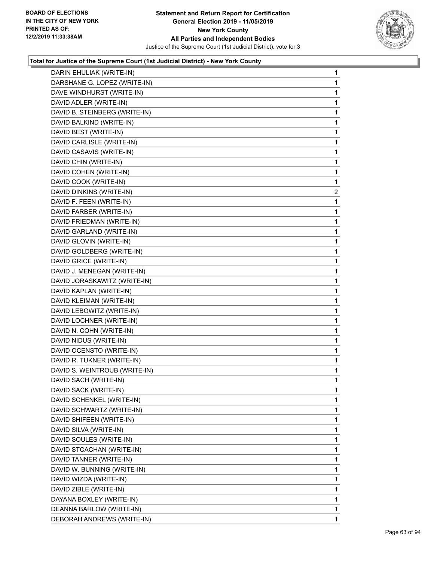

| DARIN EHULIAK (WRITE-IN)      | 1              |
|-------------------------------|----------------|
| DARSHANE G. LOPEZ (WRITE-IN)  | 1              |
| DAVE WINDHURST (WRITE-IN)     | 1              |
| DAVID ADLER (WRITE-IN)        | 1              |
| DAVID B. STEINBERG (WRITE-IN) | 1              |
| DAVID BALKIND (WRITE-IN)      | 1              |
| DAVID BEST (WRITE-IN)         | 1              |
| DAVID CARLISLE (WRITE-IN)     | 1              |
| DAVID CASAVIS (WRITE-IN)      | 1              |
| DAVID CHIN (WRITE-IN)         | 1              |
| DAVID COHEN (WRITE-IN)        | 1              |
| DAVID COOK (WRITE-IN)         | 1              |
| DAVID DINKINS (WRITE-IN)      | $\overline{a}$ |
| DAVID F. FEEN (WRITE-IN)      | 1              |
| DAVID FARBER (WRITE-IN)       | 1              |
| DAVID FRIEDMAN (WRITE-IN)     | 1              |
| DAVID GARLAND (WRITE-IN)      | 1              |
| DAVID GLOVIN (WRITE-IN)       | 1              |
| DAVID GOLDBERG (WRITE-IN)     | 1              |
| DAVID GRICE (WRITE-IN)        | 1              |
| DAVID J. MENEGAN (WRITE-IN)   | 1              |
| DAVID JORASKAWITZ (WRITE-IN)  | 1              |
| DAVID KAPLAN (WRITE-IN)       | 1              |
| DAVID KLEIMAN (WRITE-IN)      | 1              |
| DAVID LEBOWITZ (WRITE-IN)     | 1              |
| DAVID LOCHNER (WRITE-IN)      | 1              |
| DAVID N. COHN (WRITE-IN)      | 1              |
| DAVID NIDUS (WRITE-IN)        | 1              |
| DAVID OCENSTO (WRITE-IN)      | $\mathbf{1}$   |
| DAVID R. TUKNER (WRITE-IN)    | 1              |
| DAVID S. WEINTROUB (WRITE-IN) | 1              |
| DAVID SACH (WRITE-IN)         | 1              |
| DAVID SACK (WRITE-IN)         | 1              |
| DAVID SCHENKEL (WRITE-IN)     | 1              |
| DAVID SCHWARTZ (WRITE-IN)     | 1              |
| DAVID SHIFEEN (WRITE-IN)      | 1              |
| DAVID SILVA (WRITE-IN)        | 1              |
| DAVID SOULES (WRITE-IN)       | 1              |
| DAVID STCACHAN (WRITE-IN)     | 1              |
| DAVID TANNER (WRITE-IN)       | 1              |
| DAVID W. BUNNING (WRITE-IN)   | 1              |
| DAVID WIZDA (WRITE-IN)        | 1              |
| DAVID ZIBLE (WRITE-IN)        | 1              |
| DAYANA BOXLEY (WRITE-IN)      | 1              |
| DEANNA BARLOW (WRITE-IN)      | 1              |
| DEBORAH ANDREWS (WRITE-IN)    | 1              |
|                               |                |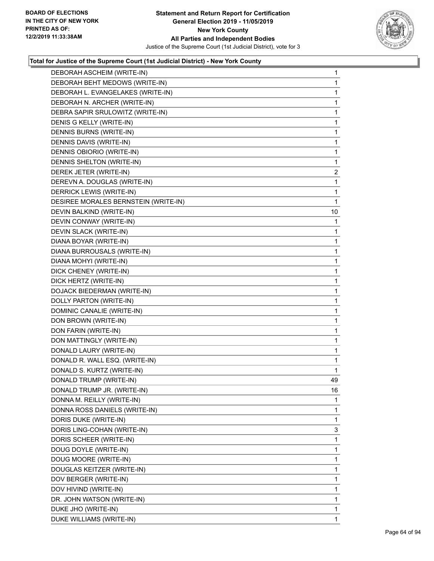

| DEBORAH ASCHEIM (WRITE-IN)           | 1  |
|--------------------------------------|----|
| DEBORAH BEHT MEDOWS (WRITE-IN)       | 1  |
| DEBORAH L. EVANGELAKES (WRITE-IN)    | 1  |
| DEBORAH N. ARCHER (WRITE-IN)         | 1  |
| DEBRA SAPIR SRULOWITZ (WRITE-IN)     | 1  |
| DENIS G KELLY (WRITE-IN)             | 1  |
| DENNIS BURNS (WRITE-IN)              | 1  |
| DENNIS DAVIS (WRITE-IN)              | 1  |
| DENNIS OBIORIO (WRITE-IN)            | 1  |
| DENNIS SHELTON (WRITE-IN)            | 1  |
| DEREK JETER (WRITE-IN)               | 2  |
| DEREVN A. DOUGLAS (WRITE-IN)         | 1  |
| DERRICK LEWIS (WRITE-IN)             | 1  |
| DESIREE MORALES BERNSTEIN (WRITE-IN) | 1  |
| DEVIN BALKIND (WRITE-IN)             | 10 |
| DEVIN CONWAY (WRITE-IN)              | 1  |
| DEVIN SLACK (WRITE-IN)               | 1  |
| DIANA BOYAR (WRITE-IN)               | 1  |
| DIANA BURROUSALS (WRITE-IN)          | 1  |
| DIANA MOHYI (WRITE-IN)               | 1  |
| DICK CHENEY (WRITE-IN)               | 1  |
| DICK HERTZ (WRITE-IN)                | 1  |
| DOJACK BIEDERMAN (WRITE-IN)          | 1  |
| DOLLY PARTON (WRITE-IN)              | 1  |
| DOMINIC CANALIE (WRITE-IN)           | 1  |
| DON BROWN (WRITE-IN)                 | 1  |
| DON FARIN (WRITE-IN)                 | 1  |
| DON MATTINGLY (WRITE-IN)             | 1  |
| DONALD LAURY (WRITE-IN)              | 1  |
| DONALD R. WALL ESQ. (WRITE-IN)       | 1  |
| DONALD S. KURTZ (WRITE-IN)           | 1  |
| DONALD TRUMP (WRITE-IN)              | 49 |
| DONALD TRUMP JR. (WRITE-IN)          | 16 |
| DONNA M. REILLY (WRITE-IN)           | 1  |
| DONNA ROSS DANIELS (WRITE-IN)        | 1  |
| DORIS DUKE (WRITE-IN)                | 1  |
| DORIS LING-COHAN (WRITE-IN)          | 3  |
| DORIS SCHEER (WRITE-IN)              | 1  |
| DOUG DOYLE (WRITE-IN)                | 1  |
| DOUG MOORE (WRITE-IN)                | 1  |
| DOUGLAS KEITZER (WRITE-IN)           | 1  |
| DOV BERGER (WRITE-IN)                | 1  |
| DOV HIVIND (WRITE-IN)                | 1  |
| DR. JOHN WATSON (WRITE-IN)           | 1  |
| DUKE JHO (WRITE-IN)                  | 1  |
| DUKE WILLIAMS (WRITE-IN)             | 1  |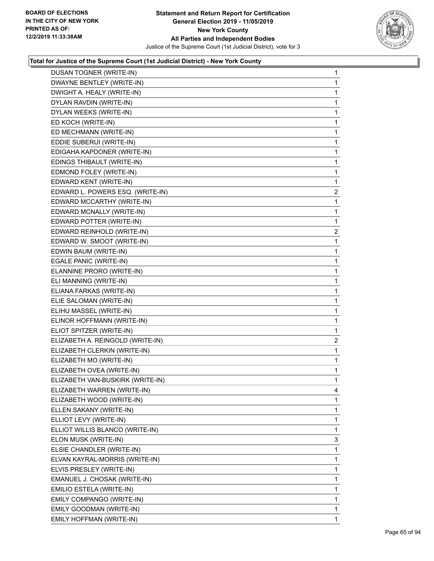

| DUSAN TOGNER (WRITE-IN)          | $\mathbf{1}$            |
|----------------------------------|-------------------------|
| DWAYNE BENTLEY (WRITE-IN)        | $\mathbf{1}$            |
| DWIGHT A. HEALY (WRITE-IN)       | $\mathbf{1}$            |
| DYLAN RAVDIN (WRITE-IN)          | 1                       |
| DYLAN WEEKS (WRITE-IN)           | $\mathbf{1}$            |
| ED KOCH (WRITE-IN)               | 1                       |
| ED MECHMANN (WRITE-IN)           | 1                       |
| EDDIE SUBERUI (WRITE-IN)         | $\mathbf{1}$            |
| EDIGAHA KAPDONER (WRITE-IN)      | 1                       |
| EDINGS THIBAULT (WRITE-IN)       | 1                       |
| EDMOND FOLEY (WRITE-IN)          | $\mathbf{1}$            |
| EDWARD KENT (WRITE-IN)           | $\mathbf{1}$            |
| EDWARD L. POWERS ESQ. (WRITE-IN) | $\overline{c}$          |
| EDWARD MCCARTHY (WRITE-IN)       | $\mathbf{1}$            |
| EDWARD MCNALLY (WRITE-IN)        | 1                       |
| EDWARD POTTER (WRITE-IN)         | 1                       |
| EDWARD REINHOLD (WRITE-IN)       | $\overline{\mathbf{c}}$ |
| EDWARD W. SMOOT (WRITE-IN)       | $\mathbf{1}$            |
| EDWIN BAUM (WRITE-IN)            | 1                       |
| EGALE PANIC (WRITE-IN)           | $\mathbf{1}$            |
| ELANNINE PRORO (WRITE-IN)        | 1                       |
| ELI MANNING (WRITE-IN)           | 1                       |
| ELIANA FARKAS (WRITE-IN)         | $\mathbf{1}$            |
| ELIE SALOMAN (WRITE-IN)          | $\mathbf{1}$            |
| ELIHU MASSEL (WRITE-IN)          | 1                       |
| ELINOR HOFFMANN (WRITE-IN)       | $\mathbf{1}$            |
| ELIOT SPITZER (WRITE-IN)         | 1                       |
| ELIZABETH A. REINGOLD (WRITE-IN) | 2                       |
| ELIZABETH CLERKIN (WRITE-IN)     | $\mathbf{1}$            |
| ELIZABETH MO (WRITE-IN)          | $\mathbf{1}$            |
| ELIZABETH OVEA (WRITE-IN)        | 1                       |
| ELIZABETH VAN-BUSKIRK (WRITE-IN) | $\mathbf{1}$            |
| ELIZABETH WARREN (WRITE-IN)      | 4                       |
| ELIZABETH WOOD (WRITE-IN)        | 1                       |
| ELLEN SAKANY (WRITE-IN)          | $\mathbf 1$             |
| ELLIOT LEVY (WRITE-IN)           | 1                       |
| ELLIOT WILLIS BLANCO (WRITE-IN)  | 1                       |
| ELON MUSK (WRITE-IN)             | 3                       |
| ELSIE CHANDLER (WRITE-IN)        | 1                       |
| ELVAN KAYRAL-MORRIS (WRITE-IN)   | 1                       |
| ELVIS PRESLEY (WRITE-IN)         | $\mathbf 1$             |
| EMANUEL J. CHOSAK (WRITE-IN)     | 1                       |
| EMILIO ESTELA (WRITE-IN)         | 1                       |
| EMILY COMPANGO (WRITE-IN)        | $\mathbf 1$             |
| EMILY GOODMAN (WRITE-IN)         | $\mathbf{1}$            |
| EMILY HOFFMAN (WRITE-IN)         | 1                       |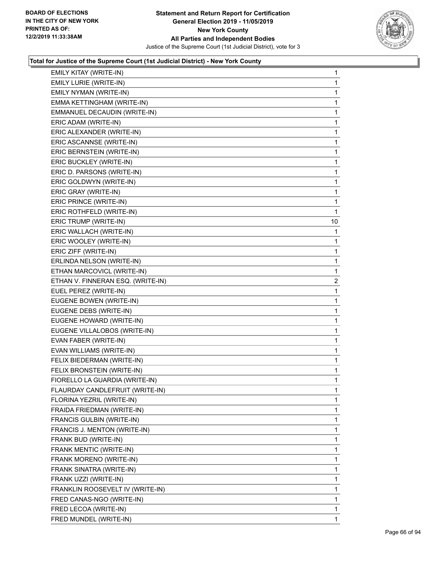

| EMILY KITAY (WRITE-IN)            | $\mathbf{1}$   |
|-----------------------------------|----------------|
| EMILY LURIE (WRITE-IN)            | 1              |
| EMILY NYMAN (WRITE-IN)            | 1              |
| EMMA KETTINGHAM (WRITE-IN)        | 1              |
| EMMANUEL DECAUDIN (WRITE-IN)      | 1              |
| ERIC ADAM (WRITE-IN)              | 1              |
| ERIC ALEXANDER (WRITE-IN)         | $\mathbf{1}$   |
| ERIC ASCANNSE (WRITE-IN)          | 1              |
| ERIC BERNSTEIN (WRITE-IN)         | 1              |
| ERIC BUCKLEY (WRITE-IN)           | 1              |
| ERIC D. PARSONS (WRITE-IN)        | 1              |
| ERIC GOLDWYN (WRITE-IN)           | 1              |
| ERIC GRAY (WRITE-IN)              | $\mathbf{1}$   |
| ERIC PRINCE (WRITE-IN)            | 1              |
| ERIC ROTHFELD (WRITE-IN)          | 1              |
| ERIC TRUMP (WRITE-IN)             | 10             |
| ERIC WALLACH (WRITE-IN)           | 1              |
| ERIC WOOLEY (WRITE-IN)            | 1              |
| ERIC ZIFF (WRITE-IN)              | $\mathbf{1}$   |
| ERLINDA NELSON (WRITE-IN)         | 1              |
| ETHAN MARCOVICL (WRITE-IN)        | 1              |
| ETHAN V. FINNERAN ESQ. (WRITE-IN) | $\overline{c}$ |
| EUEL PEREZ (WRITE-IN)             | 1              |
| EUGENE BOWEN (WRITE-IN)           | 1              |
| EUGENE DEBS (WRITE-IN)            | 1              |
| EUGENE HOWARD (WRITE-IN)          | 1              |
| EUGENE VILLALOBOS (WRITE-IN)      | 1              |
| EVAN FABER (WRITE-IN)             | 1              |
| EVAN WILLIAMS (WRITE-IN)          | 1              |
| FELIX BIEDERMAN (WRITE-IN)        | 1              |
| FELIX BRONSTEIN (WRITE-IN)        | 1              |
| FIORELLO LA GUARDIA (WRITE-IN)    | 1              |
| FLAURDAY CANDLEFRUIT (WRITE-IN)   | 1              |
| FLORINA YEZRIL (WRITE-IN)         | 1              |
| FRAIDA FRIEDMAN (WRITE-IN)        | 1              |
| FRANCIS GULBIN (WRITE-IN)         | 1              |
| FRANCIS J. MENTON (WRITE-IN)      | 1              |
| FRANK BUD (WRITE-IN)              | 1              |
| FRANK MENTIC (WRITE-IN)           | 1              |
| FRANK MORENO (WRITE-IN)           | 1              |
| FRANK SINATRA (WRITE-IN)          | 1              |
| FRANK UZZI (WRITE-IN)             | 1              |
| FRANKLIN ROOSEVELT IV (WRITE-IN)  | 1              |
| FRED CANAS-NGO (WRITE-IN)         | 1              |
| FRED LECOA (WRITE-IN)             | 1              |
| FRED MUNDEL (WRITE-IN)            | 1              |
|                                   |                |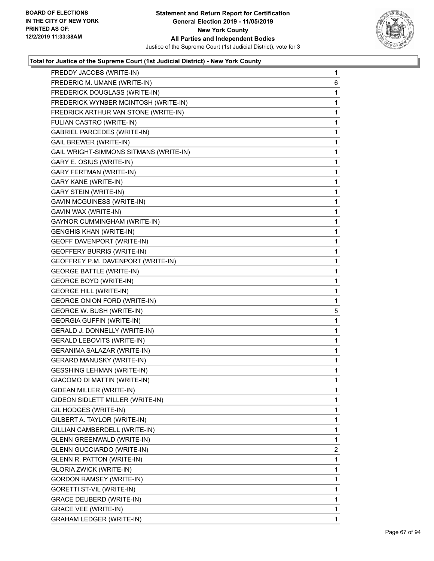

| FREDDY JACOBS (WRITE-IN)               | 1 |
|----------------------------------------|---|
| FREDERIC M. UMANE (WRITE-IN)           | 6 |
| FREDERICK DOUGLASS (WRITE-IN)          | 1 |
| FREDERICK WYNBER MCINTOSH (WRITE-IN)   | 1 |
| FREDRICK ARTHUR VAN STONE (WRITE-IN)   | 1 |
| FULIAN CASTRO (WRITE-IN)               | 1 |
| <b>GABRIEL PARCEDES (WRITE-IN)</b>     | 1 |
| <b>GAIL BREWER (WRITE-IN)</b>          | 1 |
| GAIL WRIGHT-SIMMONS SITMANS (WRITE-IN) | 1 |
| GARY E. OSIUS (WRITE-IN)               | 1 |
| <b>GARY FERTMAN (WRITE-IN)</b>         | 1 |
| <b>GARY KANE (WRITE-IN)</b>            | 1 |
| <b>GARY STEIN (WRITE-IN)</b>           | 1 |
| GAVIN MCGUINESS (WRITE-IN)             | 1 |
| GAVIN WAX (WRITE-IN)                   | 1 |
| GAYNOR CUMMINGHAM (WRITE-IN)           | 1 |
| <b>GENGHIS KHAN (WRITE-IN)</b>         | 1 |
| GEOFF DAVENPORT (WRITE-IN)             | 1 |
| <b>GEOFFERY BURRIS (WRITE-IN)</b>      | 1 |
| GEOFFREY P.M. DAVENPORT (WRITE-IN)     | 1 |
| <b>GEORGE BATTLE (WRITE-IN)</b>        | 1 |
| <b>GEORGE BOYD (WRITE-IN)</b>          | 1 |
| <b>GEORGE HILL (WRITE-IN)</b>          | 1 |
| <b>GEORGE ONION FORD (WRITE-IN)</b>    | 1 |
| GEORGE W. BUSH (WRITE-IN)              | 5 |
| <b>GEORGIA GUFFIN (WRITE-IN)</b>       | 1 |
| GERALD J. DONNELLY (WRITE-IN)          | 1 |
| <b>GERALD LEBOVITS (WRITE-IN)</b>      | 1 |
| GERANIMA SALAZAR (WRITE-IN)            | 1 |
| <b>GERARD MANUSKY (WRITE-IN)</b>       | 1 |
| <b>GESSHING LEHMAN (WRITE-IN)</b>      | 1 |
| GIACOMO DI MATTIN (WRITE-IN)           | 1 |
| GIDEAN MILLER (WRITE-IN)               | 1 |
| GIDEON SIDLETT MILLER (WRITE-IN)       | 1 |
| GIL HODGES (WRITE-IN)                  | 1 |
| GILBERT A. TAYLOR (WRITE-IN)           | 1 |
| GILLIAN CAMBERDELL (WRITE-IN)          | 1 |
| GLENN GREENWALD (WRITE-IN)             | 1 |
| <b>GLENN GUCCIARDO (WRITE-IN)</b>      | 2 |
| GLENN R. PATTON (WRITE-IN)             | 1 |
| <b>GLORIA ZWICK (WRITE-IN)</b>         | 1 |
| GORDON RAMSEY (WRITE-IN)               | 1 |
| GORETTI ST-VIL (WRITE-IN)              | 1 |
| GRACE DEUBERD (WRITE-IN)               | 1 |
| <b>GRACE VEE (WRITE-IN)</b>            | 1 |
| <b>GRAHAM LEDGER (WRITE-IN)</b>        | 1 |
|                                        |   |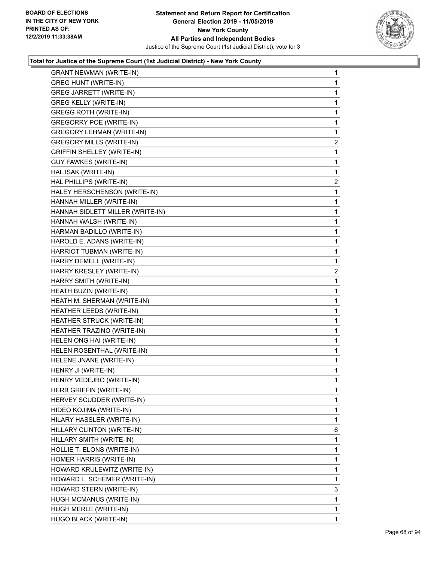

| <b>GRANT NEWMAN (WRITE-IN)</b>    | $\mathbf{1}$   |
|-----------------------------------|----------------|
| <b>GREG HUNT (WRITE-IN)</b>       | 1              |
| GREG JARRETT (WRITE-IN)           | 1              |
| <b>GREG KELLY (WRITE-IN)</b>      | 1              |
| <b>GREGG ROTH (WRITE-IN)</b>      | 1              |
| <b>GREGORRY POE (WRITE-IN)</b>    | 1              |
| <b>GREGORY LEHMAN (WRITE-IN)</b>  | 1              |
| <b>GREGORY MILLS (WRITE-IN)</b>   | $\overline{2}$ |
| <b>GRIFFIN SHELLEY (WRITE-IN)</b> | 1              |
| GUY FAWKES (WRITE-IN)             | 1              |
| HAL ISAK (WRITE-IN)               | 1              |
| HAL PHILLIPS (WRITE-IN)           | $\mathbf{2}$   |
| HALEY HERSCHENSON (WRITE-IN)      | 1              |
| HANNAH MILLER (WRITE-IN)          | 1              |
| HANNAH SIDLETT MILLER (WRITE-IN)  | 1              |
| HANNAH WALSH (WRITE-IN)           | 1              |
| HARMAN BADILLO (WRITE-IN)         | 1              |
| HAROLD E. ADANS (WRITE-IN)        | 1              |
| HARRIOT TUBMAN (WRITE-IN)         | 1              |
| HARRY DEMELL (WRITE-IN)           | 1              |
| HARRY KRESLEY (WRITE-IN)          | $\overline{2}$ |
| HARRY SMITH (WRITE-IN)            | 1              |
| HEATH BUZIN (WRITE-IN)            | 1              |
| HEATH M. SHERMAN (WRITE-IN)       | 1              |
| HEATHER LEEDS (WRITE-IN)          | 1              |
| HEATHER STRUCK (WRITE-IN)         | 1              |
| HEATHER TRAZINO (WRITE-IN)        | 1              |
| HELEN ONG HAI (WRITE-IN)          | 1              |
| HELEN ROSENTHAL (WRITE-IN)        | 1              |
| HELENE JNANE (WRITE-IN)           | $\mathbf{1}$   |
| HENRY JI (WRITE-IN)               | 1              |
| HENRY VEDEJRO (WRITE-IN)          | 1              |
| HERB GRIFFIN (WRITE-IN)           | 1              |
| HERVEY SCUDDER (WRITE-IN)         | 1              |
| HIDEO KOJIMA (WRITE-IN)           | 1              |
| HILARY HASSLER (WRITE-IN)         | 1              |
| HILLARY CLINTON (WRITE-IN)        | 6              |
| HILLARY SMITH (WRITE-IN)          | 1              |
| HOLLIE T. ELONS (WRITE-IN)        | 1              |
| HOMER HARRIS (WRITE-IN)           | 1              |
| HOWARD KRULEWITZ (WRITE-IN)       | 1              |
| HOWARD L. SCHEMER (WRITE-IN)      | 1              |
| HOWARD STERN (WRITE-IN)           | 3              |
| HUGH MCMANUS (WRITE-IN)           | 1              |
| HUGH MERLE (WRITE-IN)             | 1              |
|                                   |                |
| HUGO BLACK (WRITE-IN)             | 1              |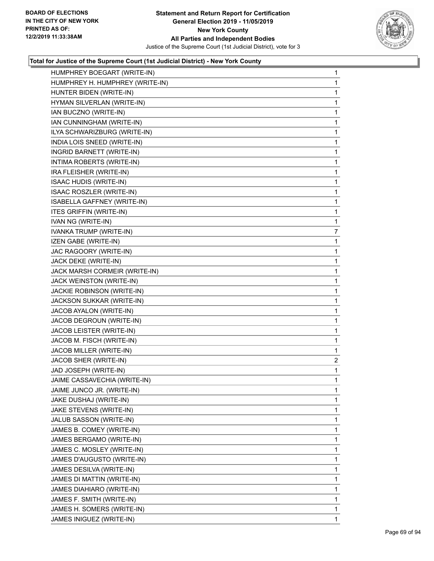

| HUMPHREY BOEGART (WRITE-IN)      | 1              |
|----------------------------------|----------------|
| HUMPHREY H. HUMPHREY (WRITE-IN)  | 1              |
| HUNTER BIDEN (WRITE-IN)          | 1              |
| HYMAN SILVERLAN (WRITE-IN)       | 1              |
| IAN BUCZNO (WRITE-IN)            | 1              |
| IAN CUNNINGHAM (WRITE-IN)        | 1              |
| ILYA SCHWARIZBURG (WRITE-IN)     | 1              |
| INDIA LOIS SNEED (WRITE-IN)      | 1              |
| <b>INGRID BARNETT (WRITE-IN)</b> | 1              |
| INTIMA ROBERTS (WRITE-IN)        | 1              |
| IRA FLEISHER (WRITE-IN)          | 1              |
| <b>ISAAC HUDIS (WRITE-IN)</b>    | 1              |
| ISAAC ROSZLER (WRITE-IN)         | 1              |
| ISABELLA GAFFNEY (WRITE-IN)      | 1              |
| <b>ITES GRIFFIN (WRITE-IN)</b>   | 1              |
| IVAN NG (WRITE-IN)               | 1              |
| <b>IVANKA TRUMP (WRITE-IN)</b>   | 7              |
| IZEN GABE (WRITE-IN)             | 1              |
| JAC RAGOORY (WRITE-IN)           | 1              |
| JACK DEKE (WRITE-IN)             | 1              |
| JACK MARSH CORMEIR (WRITE-IN)    | 1              |
| JACK WEINSTON (WRITE-IN)         | 1              |
| JACKIE ROBINSON (WRITE-IN)       | 1              |
| JACKSON SUKKAR (WRITE-IN)        | 1              |
| JACOB AYALON (WRITE-IN)          | 1              |
| JACOB DEGROUN (WRITE-IN)         | 1              |
| JACOB LEISTER (WRITE-IN)         | 1              |
| JACOB M. FISCH (WRITE-IN)        | 1              |
| JACOB MILLER (WRITE-IN)          | 1              |
| JACOB SHER (WRITE-IN)            | $\overline{a}$ |
| JAD JOSEPH (WRITE-IN)            | 1              |
| JAIME CASSAVECHIA (WRITE-IN)     | 1              |
| JAIME JUNCO JR. (WRITE-IN)       | 1              |
| JAKE DUSHAJ (WRITE-IN)           | 1              |
| JAKE STEVENS (WRITE-IN)          | 1              |
| JALUB SASSON (WRITE-IN)          | 1              |
| JAMES B. COMEY (WRITE-IN)        | 1              |
| JAMES BERGAMO (WRITE-IN)         | 1              |
| JAMES C. MOSLEY (WRITE-IN)       | 1              |
| JAMES D'AUGUSTO (WRITE-IN)       | 1              |
| JAMES DESILVA (WRITE-IN)         | 1              |
| JAMES DI MATTIN (WRITE-IN)       | 1              |
| JAMES DIAHIARO (WRITE-IN)        | 1              |
| JAMES F. SMITH (WRITE-IN)        | 1              |
| JAMES H. SOMERS (WRITE-IN)       | 1              |
| JAMES INIGUEZ (WRITE-IN)         | 1              |
|                                  |                |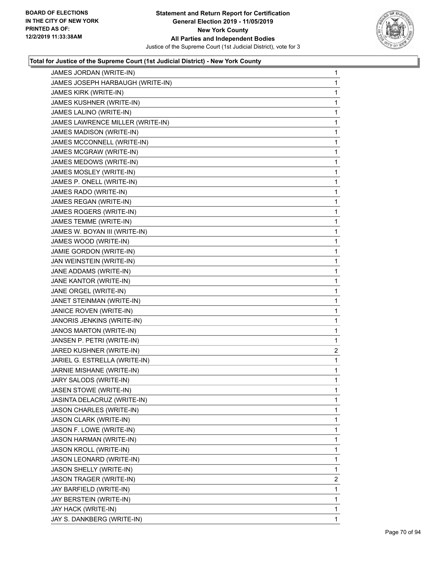

| JAMES JORDAN (WRITE-IN)          | 1                       |
|----------------------------------|-------------------------|
| JAMES JOSEPH HARBAUGH (WRITE-IN) | 1                       |
| JAMES KIRK (WRITE-IN)            | 1                       |
| JAMES KUSHNER (WRITE-IN)         | 1                       |
| JAMES LALINO (WRITE-IN)          | 1                       |
| JAMES LAWRENCE MILLER (WRITE-IN) | 1                       |
| JAMES MADISON (WRITE-IN)         | 1                       |
| JAMES MCCONNELL (WRITE-IN)       | 1                       |
| JAMES MCGRAW (WRITE-IN)          | 1                       |
| JAMES MEDOWS (WRITE-IN)          | 1                       |
| JAMES MOSLEY (WRITE-IN)          | 1                       |
| JAMES P. ONELL (WRITE-IN)        | 1                       |
| JAMES RADO (WRITE-IN)            | 1                       |
| JAMES REGAN (WRITE-IN)           | $\mathbf{1}$            |
| JAMES ROGERS (WRITE-IN)          | 1                       |
| JAMES TEMME (WRITE-IN)           | 1                       |
| JAMES W. BOYAN III (WRITE-IN)    | 1                       |
| JAMES WOOD (WRITE-IN)            | 1                       |
| JAMIE GORDON (WRITE-IN)          | 1                       |
| JAN WEINSTEIN (WRITE-IN)         | $\mathbf{1}$            |
| JANE ADDAMS (WRITE-IN)           | 1                       |
| JANE KANTOR (WRITE-IN)           | 1                       |
| JANE ORGEL (WRITE-IN)            | 1                       |
| JANET STEINMAN (WRITE-IN)        | 1                       |
| JANICE ROVEN (WRITE-IN)          | 1                       |
| JANORIS JENKINS (WRITE-IN)       | 1                       |
| JANOS MARTON (WRITE-IN)          | 1                       |
| JANSEN P. PETRI (WRITE-IN)       | 1                       |
| JARED KUSHNER (WRITE-IN)         | $\overline{\mathbf{c}}$ |
| JARIEL G. ESTRELLA (WRITE-IN)    | 1                       |
| JARNIE MISHANE (WRITE-IN)        | 1                       |
| JARY SALODS (WRITE-IN)           | 1                       |
| JASEN STOWE (WRITE-IN)           | 1                       |
| JASINTA DELACRUZ (WRITE-IN)      | 1                       |
| JASON CHARLES (WRITE-IN)         | 1                       |
| JASON CLARK (WRITE-IN)           | 1                       |
| JASON F. LOWE (WRITE-IN)         | 1                       |
| JASON HARMAN (WRITE-IN)          | 1                       |
| JASON KROLL (WRITE-IN)           | 1                       |
| JASON LEONARD (WRITE-IN)         | 1                       |
| JASON SHELLY (WRITE-IN)          | 1                       |
| JASON TRAGER (WRITE-IN)          | $\overline{2}$          |
| JAY BARFIELD (WRITE-IN)          | 1                       |
| JAY BERSTEIN (WRITE-IN)          | 1                       |
| JAY HACK (WRITE-IN)              | 1                       |
| JAY S. DANKBERG (WRITE-IN)       | 1                       |
|                                  |                         |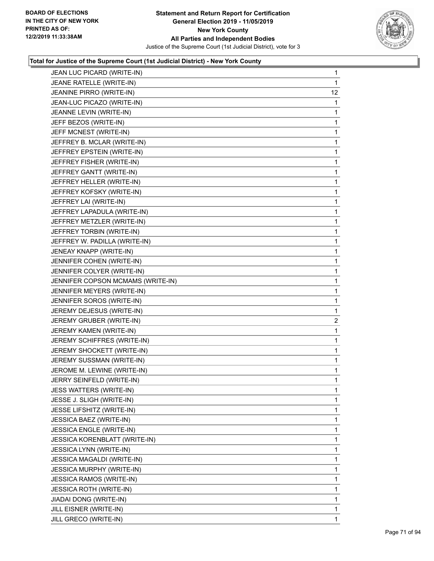

| JEAN LUC PICARD (WRITE-IN)        | 1              |
|-----------------------------------|----------------|
| JEANE RATELLE (WRITE-IN)          | 1              |
| JEANINE PIRRO (WRITE-IN)          | 12             |
| JEAN-LUC PICAZO (WRITE-IN)        | 1              |
| JEANNE LEVIN (WRITE-IN)           | 1              |
| JEFF BEZOS (WRITE-IN)             | 1              |
| JEFF MCNEST (WRITE-IN)            | 1              |
| JEFFREY B. MCLAR (WRITE-IN)       | 1              |
| JEFFREY EPSTEIN (WRITE-IN)        | 1              |
| JEFFREY FISHER (WRITE-IN)         | 1              |
| JEFFREY GANTT (WRITE-IN)          | 1              |
| JEFFREY HELLER (WRITE-IN)         | 1              |
| JEFFREY KOFSKY (WRITE-IN)         | 1              |
| JEFFREY LAI (WRITE-IN)            | 1              |
| JEFFREY LAPADULA (WRITE-IN)       | 1              |
| JEFFREY METZLER (WRITE-IN)        | 1              |
| JEFFREY TORBIN (WRITE-IN)         | 1              |
| JEFFREY W. PADILLA (WRITE-IN)     | 1              |
| JENEAY KNAPP (WRITE-IN)           | 1              |
| JENNIFER COHEN (WRITE-IN)         | 1              |
| JENNIFER COLYER (WRITE-IN)        | 1              |
| JENNIFER COPSON MCMAMS (WRITE-IN) | 1              |
| JENNIFER MEYERS (WRITE-IN)        | 1              |
| JENNIFER SOROS (WRITE-IN)         | 1              |
| JEREMY DEJESUS (WRITE-IN)         | 1              |
| JEREMY GRUBER (WRITE-IN)          | $\overline{2}$ |
| JEREMY KAMEN (WRITE-IN)           | 1              |
| JEREMY SCHIFFRES (WRITE-IN)       | 1              |
| JEREMY SHOCKETT (WRITE-IN)        | 1              |
| JEREMY SUSSMAN (WRITE-IN)         | 1              |
| JEROME M. LEWINE (WRITE-IN)       | 1              |
| JERRY SEINFELD (WRITE-IN)         | 1              |
| JESS WATTERS (WRITE-IN)           | 1              |
| JESSE J. SLIGH (WRITE-IN)         | 1              |
| JESSE LIFSHITZ (WRITE-IN)         | 1              |
| JESSICA BAEZ (WRITE-IN)           | 1              |
| <b>JESSICA ENGLE (WRITE-IN)</b>   | 1              |
| JESSICA KORENBLATT (WRITE-IN)     | 1              |
| <b>JESSICA LYNN (WRITE-IN)</b>    | 1              |
| JESSICA MAGALDI (WRITE-IN)        | 1              |
| <b>JESSICA MURPHY (WRITE-IN)</b>  | 1              |
| <b>JESSICA RAMOS (WRITE-IN)</b>   | 1              |
| JESSICA ROTH (WRITE-IN)           | 1              |
| JIADAI DONG (WRITE-IN)            | 1              |
| JILL EISNER (WRITE-IN)            | 1              |
| JILL GRECO (WRITE-IN)             | 1              |
|                                   |                |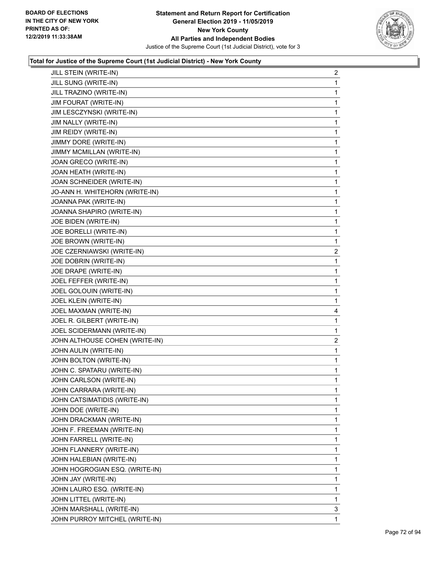

| JILL STEIN (WRITE-IN)          | $\overline{a}$          |
|--------------------------------|-------------------------|
| JILL SUNG (WRITE-IN)           | $\mathbf{1}$            |
| JILL TRAZINO (WRITE-IN)        | 1                       |
| <b>JIM FOURAT (WRITE-IN)</b>   | 1                       |
| JIM LESCZYNSKI (WRITE-IN)      | 1                       |
| JIM NALLY (WRITE-IN)           | 1                       |
| JIM REIDY (WRITE-IN)           | 1                       |
| JIMMY DORE (WRITE-IN)          | 1                       |
| JIMMY MCMILLAN (WRITE-IN)      | 1                       |
| JOAN GRECO (WRITE-IN)          | 1                       |
| JOAN HEATH (WRITE-IN)          | 1                       |
| JOAN SCHNEIDER (WRITE-IN)      | 1                       |
| JO-ANN H. WHITEHORN (WRITE-IN) | 1                       |
| JOANNA PAK (WRITE-IN)          | 1                       |
| JOANNA SHAPIRO (WRITE-IN)      | 1                       |
| JOE BIDEN (WRITE-IN)           | 1                       |
| JOE BORELLI (WRITE-IN)         | 1                       |
| JOE BROWN (WRITE-IN)           | 1                       |
| JOE CZERNIAWSKI (WRITE-IN)     | $\overline{c}$          |
| JOE DOBRIN (WRITE-IN)          | 1                       |
| JOE DRAPE (WRITE-IN)           | 1                       |
| JOEL FEFFER (WRITE-IN)         | 1                       |
| JOEL GOLOUIN (WRITE-IN)        | 1                       |
| JOEL KLEIN (WRITE-IN)          | 1                       |
| JOEL MAXMAN (WRITE-IN)         | 4                       |
| JOEL R. GILBERT (WRITE-IN)     | 1                       |
| JOEL SCIDERMANN (WRITE-IN)     | 1                       |
| JOHN ALTHOUSE COHEN (WRITE-IN) | $\overline{\mathbf{c}}$ |
| JOHN AULIN (WRITE-IN)          | 1                       |
| JOHN BOLTON (WRITE-IN)         | 1                       |
| JOHN C. SPATARU (WRITE-IN)     | 1                       |
| JOHN CARLSON (WRITE-IN)        | 1                       |
| JOHN CARRARA (WRITE-IN)        | 1                       |
| JOHN CATSIMATIDIS (WRITE-IN)   | 1                       |
| JOHN DOE (WRITE-IN)            | 1                       |
| JOHN DRACKMAN (WRITE-IN)       | 1                       |
| JOHN F. FREEMAN (WRITE-IN)     | 1                       |
| JOHN FARRELL (WRITE-IN)        | 1                       |
| JOHN FLANNERY (WRITE-IN)       | 1                       |
| JOHN HALEBIAN (WRITE-IN)       | 1                       |
| JOHN HOGROGIAN ESQ. (WRITE-IN) | 1                       |
| JOHN JAY (WRITE-IN)            | 1                       |
| JOHN LAURO ESQ. (WRITE-IN)     | 1                       |
| JOHN LITTEL (WRITE-IN)         | 1                       |
| JOHN MARSHALL (WRITE-IN)       | 3                       |
| JOHN PURROY MITCHEL (WRITE-IN) | 1                       |
|                                |                         |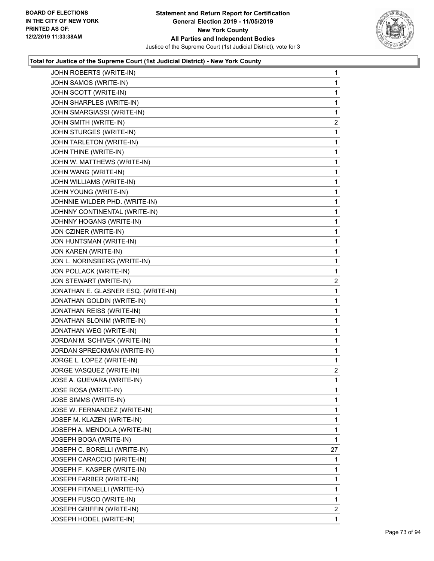

| JOHN ROBERTS (WRITE-IN)             | $\mathbf{1}$            |
|-------------------------------------|-------------------------|
| JOHN SAMOS (WRITE-IN)               | 1                       |
| JOHN SCOTT (WRITE-IN)               | 1                       |
| JOHN SHARPLES (WRITE-IN)            | 1                       |
| JOHN SMARGIASSI (WRITE-IN)          | 1                       |
| JOHN SMITH (WRITE-IN)               | 2                       |
| JOHN STURGES (WRITE-IN)             | $\mathbf{1}$            |
| JOHN TARLETON (WRITE-IN)            | 1                       |
| JOHN THINE (WRITE-IN)               | 1                       |
| JOHN W. MATTHEWS (WRITE-IN)         | 1                       |
| JOHN WANG (WRITE-IN)                | 1                       |
| JOHN WILLIAMS (WRITE-IN)            | 1                       |
| JOHN YOUNG (WRITE-IN)               | $\mathbf{1}$            |
| JOHNNIE WILDER PHD. (WRITE-IN)      | 1                       |
| JOHNNY CONTINENTAL (WRITE-IN)       | 1                       |
| JOHNNY HOGANS (WRITE-IN)            | 1                       |
| JON CZINER (WRITE-IN)               | 1                       |
| JON HUNTSMAN (WRITE-IN)             | 1                       |
| JON KAREN (WRITE-IN)                | $\mathbf{1}$            |
| JON L. NORINSBERG (WRITE-IN)        | 1                       |
| JON POLLACK (WRITE-IN)              | 1                       |
| JON STEWART (WRITE-IN)              | $\overline{\mathbf{c}}$ |
| JONATHAN E. GLASNER ESQ. (WRITE-IN) | 1                       |
| JONATHAN GOLDIN (WRITE-IN)          | 1                       |
| JONATHAN REISS (WRITE-IN)           | $\mathbf{1}$            |
| JONATHAN SLONIM (WRITE-IN)          | 1                       |
| JONATHAN WEG (WRITE-IN)             | 1                       |
| JORDAN M. SCHIVEK (WRITE-IN)        | 1                       |
| JORDAN SPRECKMAN (WRITE-IN)         | 1                       |
| JORGE L. LOPEZ (WRITE-IN)           | 1                       |
| JORGE VASQUEZ (WRITE-IN)            | $\overline{2}$          |
| JOSE A. GUEVARA (WRITE-IN)          | 1                       |
| JOSE ROSA (WRITE-IN)                | 1                       |
| JOSE SIMMS (WRITE-IN)               | $\mathbf{1}$            |
| JOSE W. FERNANDEZ (WRITE-IN)        | 1                       |
| JOSEF M. KLAZEN (WRITE-IN)          | 1                       |
| JOSEPH A. MENDOLA (WRITE-IN)        | $\mathbf{1}$            |
| JOSEPH BOGA (WRITE-IN)              | 1                       |
| JOSEPH C. BORELLI (WRITE-IN)        | 27                      |
| JOSEPH CARACCIO (WRITE-IN)          | 1                       |
| JOSEPH F. KASPER (WRITE-IN)         | 1                       |
| JOSEPH FARBER (WRITE-IN)            | 1                       |
| JOSEPH FITANELLI (WRITE-IN)         | 1                       |
| JOSEPH FUSCO (WRITE-IN)             | 1                       |
| <b>JOSEPH GRIFFIN (WRITE-IN)</b>    | $\mathbf{2}$            |
| JOSEPH HODEL (WRITE-IN)             | $\mathbf{1}$            |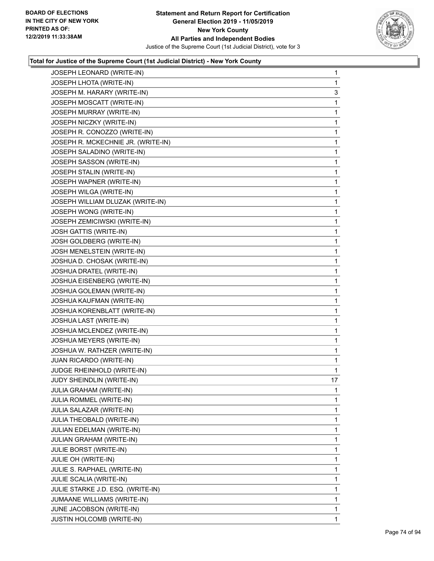

| JOSEPH LEONARD (WRITE-IN)          | $\mathbf{1}$ |
|------------------------------------|--------------|
| JOSEPH LHOTA (WRITE-IN)            | $\mathbf{1}$ |
| JOSEPH M. HARARY (WRITE-IN)        | 3            |
| JOSEPH MOSCATT (WRITE-IN)          | $\mathbf 1$  |
| JOSEPH MURRAY (WRITE-IN)           | 1            |
| JOSEPH NICZKY (WRITE-IN)           | 1            |
| JOSEPH R. CONOZZO (WRITE-IN)       | $\mathbf 1$  |
| JOSEPH R. MCKECHNIE JR. (WRITE-IN) | 1            |
| JOSEPH SALADINO (WRITE-IN)         | 1            |
| JOSEPH SASSON (WRITE-IN)           | $\mathbf 1$  |
| JOSEPH STALIN (WRITE-IN)           | $\mathbf 1$  |
| JOSEPH WAPNER (WRITE-IN)           | 1            |
| JOSEPH WILGA (WRITE-IN)            | $\mathbf 1$  |
| JOSEPH WILLIAM DLUZAK (WRITE-IN)   | $\mathbf{1}$ |
| JOSEPH WONG (WRITE-IN)             | 1            |
| JOSEPH ZEMICIWSKI (WRITE-IN)       | $\mathbf 1$  |
| JOSH GATTIS (WRITE-IN)             | $\mathbf{1}$ |
| JOSH GOLDBERG (WRITE-IN)           | 1            |
| JOSH MENELSTEIN (WRITE-IN)         | $\mathbf 1$  |
| JOSHUA D. CHOSAK (WRITE-IN)        | $\mathbf{1}$ |
| JOSHUA DRATEL (WRITE-IN)           | 1            |
| JOSHUA EISENBERG (WRITE-IN)        | $\mathbf 1$  |
| JOSHUA GOLEMAN (WRITE-IN)          | $\mathbf{1}$ |
| JOSHUA KAUFMAN (WRITE-IN)          | 1            |
| JOSHUA KORENBLATT (WRITE-IN)       | $\mathbf 1$  |
| JOSHUA LAST (WRITE-IN)             | $\mathbf{1}$ |
| JOSHUA MCLENDEZ (WRITE-IN)         | 1            |
| JOSHUA MEYERS (WRITE-IN)           | $\mathbf 1$  |
| JOSHUA W. RATHZER (WRITE-IN)       | $\mathbf{1}$ |
| JUAN RICARDO (WRITE-IN)            | 1            |
| JUDGE RHEINHOLD (WRITE-IN)         | 1            |
| JUDY SHEINDLIN (WRITE-IN)          | 17           |
| <b>JULIA GRAHAM (WRITE-IN)</b>     | 1            |
| JULIA ROMMEL (WRITE-IN)            | $\mathbf{1}$ |
| JULIA SALAZAR (WRITE-IN)           | $\mathbf 1$  |
| JULIA THEOBALD (WRITE-IN)          | 1            |
| JULIAN EDELMAN (WRITE-IN)          | $\mathbf 1$  |
| JULIAN GRAHAM (WRITE-IN)           | $\mathbf 1$  |
| JULIE BORST (WRITE-IN)             | 1            |
| <b>JULIE OH (WRITE-IN)</b>         | 1            |
| JULIE S. RAPHAEL (WRITE-IN)        | $\mathbf{1}$ |
| JULIE SCALIA (WRITE-IN)            | 1            |
| JULIE STARKE J.D. ESQ. (WRITE-IN)  | $\mathbf 1$  |
| JUMAANE WILLIAMS (WRITE-IN)        | $\mathbf{1}$ |
| JUNE JACOBSON (WRITE-IN)           | 1            |
| JUSTIN HOLCOMB (WRITE-IN)          | $\mathbf{1}$ |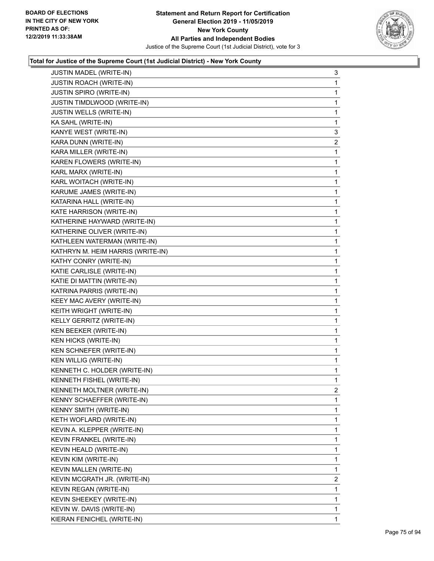

| JUSTIN MADEL (WRITE-IN)           | 3              |
|-----------------------------------|----------------|
| JUSTIN ROACH (WRITE-IN)           | 1              |
| JUSTIN SPIRO (WRITE-IN)           | 1              |
| JUSTIN TIMDLWOOD (WRITE-IN)       | 1              |
| JUSTIN WELLS (WRITE-IN)           | 1              |
| KA SAHL (WRITE-IN)                | 1              |
| KANYE WEST (WRITE-IN)             | 3              |
| KARA DUNN (WRITE-IN)              | $\overline{2}$ |
| KARA MILLER (WRITE-IN)            | 1              |
| KAREN FLOWERS (WRITE-IN)          | 1              |
| KARL MARX (WRITE-IN)              | 1              |
| KARL WOITACH (WRITE-IN)           | 1              |
| KARUME JAMES (WRITE-IN)           | 1              |
| KATARINA HALL (WRITE-IN)          | 1              |
| KATE HARRISON (WRITE-IN)          | 1              |
| KATHERINE HAYWARD (WRITE-IN)      | 1              |
| KATHERINE OLIVER (WRITE-IN)       | 1              |
| KATHLEEN WATERMAN (WRITE-IN)      | 1              |
| KATHRYN M. HEIM HARRIS (WRITE-IN) | 1              |
| KATHY CONRY (WRITE-IN)            | 1              |
| KATIE CARLISLE (WRITE-IN)         | 1              |
| KATIE DI MATTIN (WRITE-IN)        | 1              |
| KATRINA PARRIS (WRITE-IN)         | 1              |
| KEEY MAC AVERY (WRITE-IN)         | 1              |
| KEITH WRIGHT (WRITE-IN)           | 1              |
| KELLY GERRITZ (WRITE-IN)          | 1              |
| KEN BEEKER (WRITE-IN)             | 1              |
| <b>KEN HICKS (WRITE-IN)</b>       | 1              |
| KEN SCHNEFER (WRITE-IN)           | 1              |
| KEN WILLIG (WRITE-IN)             | 1              |
| KENNETH C. HOLDER (WRITE-IN)      | 1              |
| KENNETH FISHEL (WRITE-IN)         | 1              |
| KENNETH MOLTNER (WRITE-IN)        | 2              |
| KENNY SCHAEFFER (WRITE-IN)        | 1              |
| <b>KENNY SMITH (WRITE-IN)</b>     | 1              |
| KETH WOFLARD (WRITE-IN)           | 1              |
| KEVIN A. KLEPPER (WRITE-IN)       | 1              |
| KEVIN FRANKEL (WRITE-IN)          | 1              |
| KEVIN HEALD (WRITE-IN)            | 1              |
| KEVIN KIM (WRITE-IN)              | 1              |
| KEVIN MALLEN (WRITE-IN)           | 1              |
| KEVIN MCGRATH JR. (WRITE-IN)      | $\overline{2}$ |
| KEVIN REGAN (WRITE-IN)            | 1              |
| KEVIN SHEEKEY (WRITE-IN)          | 1              |
| KEVIN W. DAVIS (WRITE-IN)         | 1              |
| KIERAN FENICHEL (WRITE-IN)        | 1              |
|                                   |                |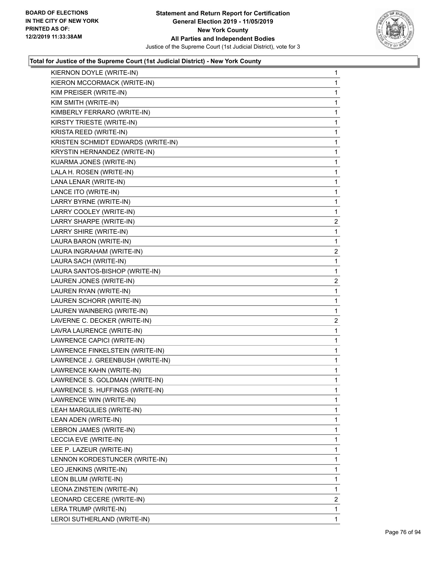

| $\mathbf{1}$            |
|-------------------------|
| $\mathbf{1}$            |
| 1                       |
| $\mathbf{1}$            |
| 1                       |
| 1                       |
| $\mathbf 1$             |
| $\mathbf 1$             |
| 1                       |
| $\mathbf{1}$            |
| 1                       |
| 1                       |
| $\mathbf 1$             |
| $\mathbf 1$             |
| 1                       |
| $\overline{\mathbf{c}}$ |
| 1                       |
| 1                       |
| $\overline{c}$          |
| $\mathbf 1$             |
| 1                       |
| $\overline{\mathbf{c}}$ |
| 1                       |
| 1                       |
| $\mathbf 1$             |
| 2                       |
| 1                       |
| $\mathbf{1}$            |
| 1                       |
| 1                       |
| $\mathbf 1$             |
| 1                       |
| 1                       |
| 1                       |
| 1                       |
| 1                       |
| $\mathbf 1$             |
| 1                       |
| 1                       |
| $\mathbf{1}$            |
| 1                       |
| 1                       |
| $\mathbf 1$             |
| 2                       |
| 1                       |
| $\mathbf{1}$            |
|                         |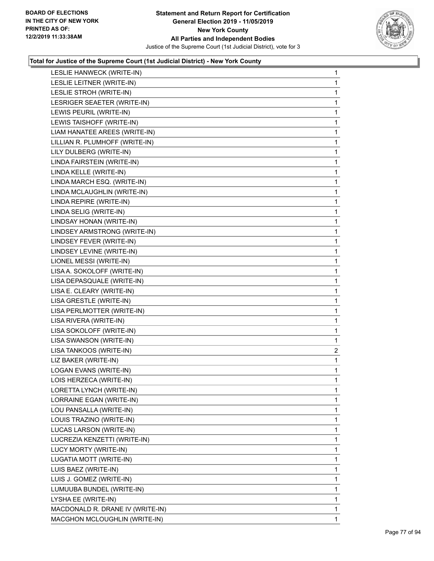

| LESLIE HANWECK (WRITE-IN)        | $\mathbf{1}$ |
|----------------------------------|--------------|
| LESLIE LEITNER (WRITE-IN)        | $\mathbf{1}$ |
| LESLIE STROH (WRITE-IN)          | 1            |
| LESRIGER SEAETER (WRITE-IN)      | $\mathbf 1$  |
| LEWIS PEURIL (WRITE-IN)          | $\mathbf{1}$ |
| LEWIS TAISHOFF (WRITE-IN)        | 1            |
| LIAM HANATEE AREES (WRITE-IN)    | 1            |
| LILLIAN R. PLUMHOFF (WRITE-IN)   | $\mathbf{1}$ |
| LILY DULBERG (WRITE-IN)          | 1            |
| LINDA FAIRSTEIN (WRITE-IN)       | $\mathbf{1}$ |
| LINDA KELLE (WRITE-IN)           | $\mathbf{1}$ |
| LINDA MARCH ESQ. (WRITE-IN)      | $\mathbf{1}$ |
| LINDA MCLAUGHLIN (WRITE-IN)      | 1            |
| LINDA REPIRE (WRITE-IN)          | $\mathbf{1}$ |
| LINDA SELIG (WRITE-IN)           | $\mathbf{1}$ |
| LINDSAY HONAN (WRITE-IN)         | $\mathbf{1}$ |
| LINDSEY ARMSTRONG (WRITE-IN)     | $\mathbf{1}$ |
| LINDSEY FEVER (WRITE-IN)         | $\mathbf{1}$ |
| LINDSEY LEVINE (WRITE-IN)        | 1            |
| LIONEL MESSI (WRITE-IN)          | $\mathbf{1}$ |
| LISA A. SOKOLOFF (WRITE-IN)      | $\mathbf{1}$ |
| LISA DEPASQUALE (WRITE-IN)       | $\mathbf{1}$ |
| LISA E. CLEARY (WRITE-IN)        | $\mathbf{1}$ |
| LISA GRESTLE (WRITE-IN)          | $\mathbf{1}$ |
| LISA PERLMOTTER (WRITE-IN)       | 1            |
| LISA RIVERA (WRITE-IN)           | $\mathbf{1}$ |
| LISA SOKOLOFF (WRITE-IN)         | $\mathbf{1}$ |
| LISA SWANSON (WRITE-IN)          | 1            |
| LISA TANKOOS (WRITE-IN)          | 2            |
| LIZ BAKER (WRITE-IN)             | $\mathbf{1}$ |
| LOGAN EVANS (WRITE-IN)           | $\mathbf 1$  |
| LOIS HERZECA (WRITE-IN)          | $\mathbf{1}$ |
| LORETTA LYNCH (WRITE-IN)         | $\mathbf{1}$ |
| LORRAINE EGAN (WRITE-IN)         | 1            |
| LOU PANSALLA (WRITE-IN)          | $\mathbf{1}$ |
| LOUIS TRAZINO (WRITE-IN)         | 1            |
| LUCAS LARSON (WRITE-IN)          | 1            |
| LUCREZIA KENZETTI (WRITE-IN)     | 1            |
| LUCY MORTY (WRITE-IN)            | 1            |
| LUGATIA MOTT (WRITE-IN)          | 1            |
| LUIS BAEZ (WRITE-IN)             | $\mathbf{1}$ |
| LUIS J. GOMEZ (WRITE-IN)         | 1            |
| LUMUUBA BUNDEL (WRITE-IN)        | 1            |
| LYSHA EE (WRITE-IN)              | 1            |
| MACDONALD R. DRANE IV (WRITE-IN) | 1            |
| MACGHON MCLOUGHLIN (WRITE-IN)    | 1            |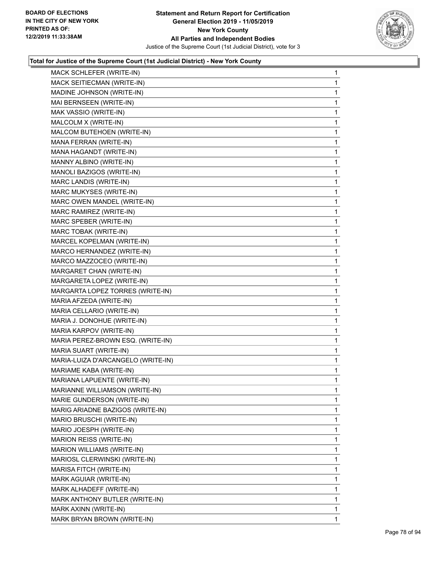

| MACK SCHLEFER (WRITE-IN)           | $\mathbf{1}$ |
|------------------------------------|--------------|
| MACK SEITIECMAN (WRITE-IN)         | $\mathbf{1}$ |
| MADINE JOHNSON (WRITE-IN)          | 1            |
| MAI BERNSEEN (WRITE-IN)            | $\mathbf{1}$ |
| MAK VASSIO (WRITE-IN)              | 1            |
| MALCOLM X (WRITE-IN)               | 1            |
| MALCOM BUTEHOEN (WRITE-IN)         | $\mathbf{1}$ |
| MANA FERRAN (WRITE-IN)             | $\mathbf{1}$ |
| MANA HAGANDT (WRITE-IN)            | 1            |
| MANNY ALBINO (WRITE-IN)            | $\mathbf 1$  |
| MANOLI BAZIGOS (WRITE-IN)          | 1            |
| MARC LANDIS (WRITE-IN)             | 1            |
| MARC MUKYSES (WRITE-IN)            | $\mathbf{1}$ |
| MARC OWEN MANDEL (WRITE-IN)        | 1            |
| MARC RAMIREZ (WRITE-IN)            | 1            |
| MARC SPEBER (WRITE-IN)             | $\mathbf 1$  |
| MARC TOBAK (WRITE-IN)              | 1            |
| MARCEL KOPELMAN (WRITE-IN)         | 1            |
| MARCO HERNANDEZ (WRITE-IN)         | $\mathbf{1}$ |
| MARCO MAZZOCEO (WRITE-IN)          | 1            |
| MARGARET CHAN (WRITE-IN)           | 1            |
| MARGARETA LOPEZ (WRITE-IN)         | $\mathbf 1$  |
| MARGARTA LOPEZ TORRES (WRITE-IN)   | 1            |
| MARIA AFZEDA (WRITE-IN)            | 1            |
| MARIA CELLARIO (WRITE-IN)          | $\mathbf{1}$ |
| MARIA J. DONOHUE (WRITE-IN)        | 1            |
| MARIA KARPOV (WRITE-IN)            | 1            |
| MARIA PEREZ-BROWN ESQ. (WRITE-IN)  | $\mathbf 1$  |
| MARIA SUART (WRITE-IN)             | 1            |
| MARIA-LUIZA D'ARCANGELO (WRITE-IN) | 1            |
| MARIAME KABA (WRITE-IN)            | $\mathbf{1}$ |
| MARIANA LAPUENTE (WRITE-IN)        | 1            |
| MARIANNE WILLIAMSON (WRITE-IN)     | 1            |
| MARIE GUNDERSON (WRITE-IN)         | $\mathbf{1}$ |
| MARIG ARIADNE BAZIGOS (WRITE-IN)   | 1            |
| MARIO BRUSCHI (WRITE-IN)           | 1            |
| MARIO JOESPH (WRITE-IN)            | 1            |
| MARION REISS (WRITE-IN)            | 1            |
| MARION WILLIAMS (WRITE-IN)         | 1            |
| MARIOSL CLERWINSKI (WRITE-IN)      | 1            |
| MARISA FITCH (WRITE-IN)            | 1            |
| MARK AGUIAR (WRITE-IN)             | 1            |
| MARK ALHADEFF (WRITE-IN)           | 1            |
| MARK ANTHONY BUTLER (WRITE-IN)     | 1            |
| MARK AXINN (WRITE-IN)              | 1            |
| MARK BRYAN BROWN (WRITE-IN)        | $\mathbf{1}$ |
|                                    |              |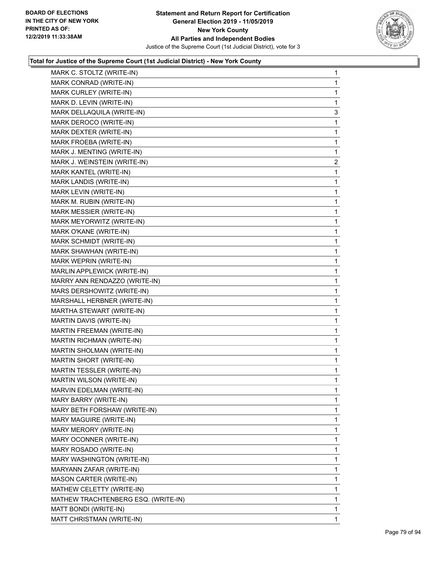

| MARK C. STOLTZ (WRITE-IN)           | $\mathbf 1$    |
|-------------------------------------|----------------|
| MARK CONRAD (WRITE-IN)              | 1              |
| MARK CURLEY (WRITE-IN)              | 1              |
| MARK D. LEVIN (WRITE-IN)            | 1              |
| MARK DELLAQUILA (WRITE-IN)          | 3              |
| MARK DEROCO (WRITE-IN)              | 1              |
| MARK DEXTER (WRITE-IN)              | 1              |
| MARK FROEBA (WRITE-IN)              | 1              |
| MARK J. MENTING (WRITE-IN)          | 1              |
| MARK J. WEINSTEIN (WRITE-IN)        | $\overline{c}$ |
| MARK KANTEL (WRITE-IN)              | 1              |
| MARK LANDIS (WRITE-IN)              | 1              |
| MARK LEVIN (WRITE-IN)               | 1              |
| MARK M. RUBIN (WRITE-IN)            | 1              |
| MARK MESSIER (WRITE-IN)             | 1              |
| MARK MEYORWITZ (WRITE-IN)           | 1              |
| MARK O'KANE (WRITE-IN)              | 1              |
| MARK SCHMIDT (WRITE-IN)             | 1              |
| MARK SHAWHAN (WRITE-IN)             | 1              |
| MARK WEPRIN (WRITE-IN)              | 1              |
| MARLIN APPLEWICK (WRITE-IN)         | 1              |
| MARRY ANN RENDAZZO (WRITE-IN)       | 1              |
| MARS DERSHOWITZ (WRITE-IN)          | 1              |
| MARSHALL HERBNER (WRITE-IN)         | 1              |
| MARTHA STEWART (WRITE-IN)           | 1              |
| MARTIN DAVIS (WRITE-IN)             | 1              |
| MARTIN FREEMAN (WRITE-IN)           | 1              |
| MARTIN RICHMAN (WRITE-IN)           | 1              |
| MARTIN SHOLMAN (WRITE-IN)           | 1              |
| MARTIN SHORT (WRITE-IN)             | 1              |
| <b>MARTIN TESSLER (WRITE-IN)</b>    | 1              |
| MARTIN WILSON (WRITE-IN)            | 1              |
| MARVIN EDELMAN (WRITE-IN)           | 1              |
| MARY BARRY (WRITE-IN)               | 1              |
| MARY BETH FORSHAW (WRITE-IN)        | 1              |
| MARY MAGUIRE (WRITE-IN)             | 1              |
| MARY MERORY (WRITE-IN)              | 1              |
| MARY OCONNER (WRITE-IN)             | 1              |
| MARY ROSADO (WRITE-IN)              | 1              |
| MARY WASHINGTON (WRITE-IN)          | 1              |
| MARYANN ZAFAR (WRITE-IN)            | 1              |
| <b>MASON CARTER (WRITE-IN)</b>      | 1              |
| MATHEW CELETTY (WRITE-IN)           | 1              |
| MATHEW TRACHTENBERG ESQ. (WRITE-IN) | 1              |
| MATT BONDI (WRITE-IN)               | 1              |
| MATT CHRISTMAN (WRITE-IN)           | 1              |
|                                     |                |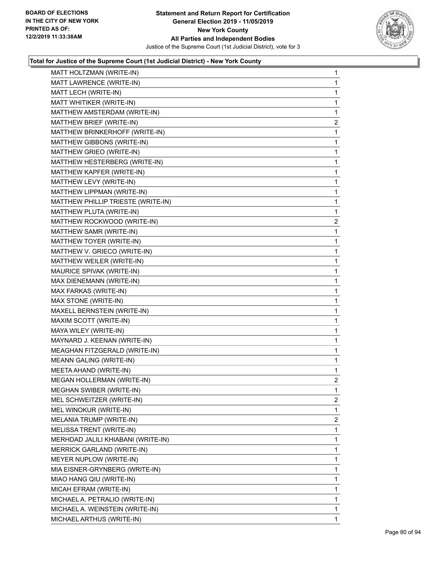

| MATT HOLTZMAN (WRITE-IN)           | $\mathbf{1}$   |
|------------------------------------|----------------|
| MATT LAWRENCE (WRITE-IN)           | $\mathbf{1}$   |
| MATT LECH (WRITE-IN)               | 1              |
| MATT WHITIKER (WRITE-IN)           | $\mathbf 1$    |
| MATTHEW AMSTERDAM (WRITE-IN)       | 1              |
| MATTHEW BRIEF (WRITE-IN)           | 2              |
| MATTHEW BRINKERHOFF (WRITE-IN)     | $\mathbf{1}$   |
| MATTHEW GIBBONS (WRITE-IN)         | 1              |
| MATTHEW GRIEO (WRITE-IN)           | 1              |
| MATTHEW HESTERBERG (WRITE-IN)      | $\mathbf 1$    |
| MATTHEW KAPFER (WRITE-IN)          | 1              |
| MATTHEW LEVY (WRITE-IN)            | 1              |
| MATTHEW LIPPMAN (WRITE-IN)         | $\mathbf{1}$   |
| MATTHEW PHILLIP TRIESTE (WRITE-IN) | 1              |
| MATTHEW PLUTA (WRITE-IN)           | 1              |
| MATTHEW ROCKWOOD (WRITE-IN)        | $\overline{c}$ |
| MATTHEW SAMR (WRITE-IN)            | 1              |
| MATTHEW TOYER (WRITE-IN)           | 1              |
| MATTHEW V. GRIECO (WRITE-IN)       | $\mathbf 1$    |
| MATTHEW WEILER (WRITE-IN)          | 1              |
| MAURICE SPIVAK (WRITE-IN)          | 1              |
| MAX DIENEMANN (WRITE-IN)           | $\mathbf{1}$   |
| MAX FARKAS (WRITE-IN)              | 1              |
| MAX STONE (WRITE-IN)               | 1              |
| MAXELL BERNSTEIN (WRITE-IN)        | $\mathbf 1$    |
| MAXIM SCOTT (WRITE-IN)             | 1              |
| MAYA WILEY (WRITE-IN)              | 1              |
| MAYNARD J. KEENAN (WRITE-IN)       | $\mathbf 1$    |
| MEAGHAN FITZGERALD (WRITE-IN)      | 1              |
| <b>MEANN GALING (WRITE-IN)</b>     | 1              |
| MEETA AHAND (WRITE-IN)             | $\mathbf{1}$   |
| MEGAN HOLLERMAN (WRITE-IN)         | $\overline{2}$ |
| MEGHAN SWIBER (WRITE-IN)           | 1              |
| MEL SCHWEITZER (WRITE-IN)          | $\overline{2}$ |
| MEL WINOKUR (WRITE-IN)             | 1              |
| MELANIA TRUMP (WRITE-IN)           | 2              |
| MELISSA TRENT (WRITE-IN)           | 1              |
| MERHDAD JALILI KHIABANI (WRITE-IN) | 1              |
| MERRICK GARLAND (WRITE-IN)         | 1              |
| MEYER NUPLOW (WRITE-IN)            | 1              |
| MIA EISNER-GRYNBERG (WRITE-IN)     | 1              |
| MIAO HANG QIU (WRITE-IN)           | 1              |
| MICAH EFRAM (WRITE-IN)             | 1              |
| MICHAEL A. PETRALIO (WRITE-IN)     | 1              |
| MICHAEL A. WEINSTEIN (WRITE-IN)    | 1              |
| MICHAEL ARTHUS (WRITE-IN)          | $\mathbf{1}$   |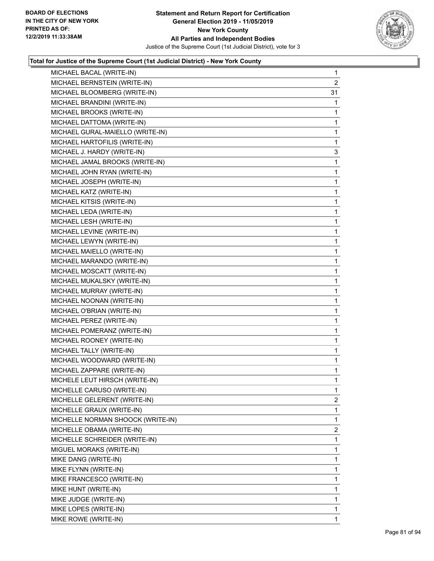

| MICHAEL BACAL (WRITE-IN)          | 1              |
|-----------------------------------|----------------|
| MICHAEL BERNSTEIN (WRITE-IN)      | $\overline{2}$ |
| MICHAEL BLOOMBERG (WRITE-IN)      | 31             |
| MICHAEL BRANDINI (WRITE-IN)       | 1              |
| MICHAEL BROOKS (WRITE-IN)         | 1              |
| MICHAEL DATTOMA (WRITE-IN)        | 1              |
| MICHAEL GURAL-MAIELLO (WRITE-IN)  | 1              |
| MICHAEL HARTOFILIS (WRITE-IN)     | 1              |
| MICHAEL J. HARDY (WRITE-IN)       | 3              |
| MICHAEL JAMAL BROOKS (WRITE-IN)   | 1              |
| MICHAEL JOHN RYAN (WRITE-IN)      | 1              |
| MICHAEL JOSEPH (WRITE-IN)         | 1              |
| MICHAEL KATZ (WRITE-IN)           | 1              |
| MICHAEL KITSIS (WRITE-IN)         | 1              |
| MICHAEL LEDA (WRITE-IN)           | 1              |
| MICHAEL LESH (WRITE-IN)           | 1              |
| MICHAEL LEVINE (WRITE-IN)         | 1              |
| MICHAEL LEWYN (WRITE-IN)          | 1              |
| MICHAEL MAIELLO (WRITE-IN)        | 1              |
| MICHAEL MARANDO (WRITE-IN)        | 1              |
| MICHAEL MOSCATT (WRITE-IN)        | 1              |
| MICHAEL MUKALSKY (WRITE-IN)       | 1              |
| MICHAEL MURRAY (WRITE-IN)         | 1              |
| MICHAEL NOONAN (WRITE-IN)         | 1              |
| MICHAEL O'BRIAN (WRITE-IN)        | 1              |
| MICHAEL PEREZ (WRITE-IN)          | 1              |
| MICHAEL POMERANZ (WRITE-IN)       | 1              |
| MICHAEL ROONEY (WRITE-IN)         | 1              |
| MICHAEL TALLY (WRITE-IN)          | 1              |
| MICHAEL WOODWARD (WRITE-IN)       | 1              |
| MICHAEL ZAPPARE (WRITE-IN)        | 1              |
| MICHELE LEUT HIRSCH (WRITE-IN)    | 1              |
| MICHELLE CARUSO (WRITE-IN)        | 1              |
| MICHELLE GELERENT (WRITE-IN)      | 2              |
| MICHELLE GRAUX (WRITE-IN)         | 1              |
| MICHELLE NORMAN SHOOCK (WRITE-IN) | 1              |
| MICHELLE OBAMA (WRITE-IN)         | $\overline{2}$ |
| MICHELLE SCHREIDER (WRITE-IN)     | 1              |
| MIGUEL MORAKS (WRITE-IN)          | 1              |
| MIKE DANG (WRITE-IN)              | 1              |
| MIKE FLYNN (WRITE-IN)             | 1              |
| MIKE FRANCESCO (WRITE-IN)         | 1              |
| MIKE HUNT (WRITE-IN)              | 1              |
| MIKE JUDGE (WRITE-IN)             | 1              |
| MIKE LOPES (WRITE-IN)             | 1              |
| MIKE ROWE (WRITE-IN)              | 1.             |
|                                   |                |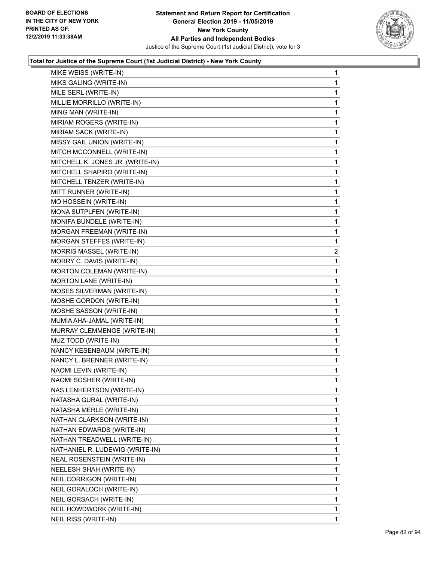

| MIKE WEISS (WRITE-IN)            | $\mathbf 1$    |
|----------------------------------|----------------|
| MIKS GALING (WRITE-IN)           | 1              |
| MILE SERL (WRITE-IN)             | 1              |
| MILLIE MORRILLO (WRITE-IN)       | 1              |
| MING MAN (WRITE-IN)              | 1              |
| MIRIAM ROGERS (WRITE-IN)         | 1              |
| MIRIAM SACK (WRITE-IN)           | 1              |
| MISSY GAIL UNION (WRITE-IN)      | 1              |
| MITCH MCCONNELL (WRITE-IN)       | 1              |
| MITCHELL K. JONES JR. (WRITE-IN) | 1              |
| MITCHELL SHAPIRO (WRITE-IN)      | 1              |
| MITCHELL TENZER (WRITE-IN)       | 1              |
| MITT RUNNER (WRITE-IN)           | 1              |
| MO HOSSEIN (WRITE-IN)            | 1              |
| MONA SUTPLFEN (WRITE-IN)         | 1              |
| MONIFA BUNDELE (WRITE-IN)        | 1              |
| MORGAN FREEMAN (WRITE-IN)        | 1              |
| MORGAN STEFFES (WRITE-IN)        | 1              |
| MORRIS MASSEL (WRITE-IN)         | $\overline{a}$ |
| MORRY C. DAVIS (WRITE-IN)        | 1              |
| MORTON COLEMAN (WRITE-IN)        | 1              |
| MORTON LANE (WRITE-IN)           | 1              |
| MOSES SILVERMAN (WRITE-IN)       | 1              |
| MOSHE GORDON (WRITE-IN)          | 1              |
| MOSHE SASSON (WRITE-IN)          | 1              |
| MUMIA AHA-JAMAL (WRITE-IN)       | 1              |
| MURRAY CLEMMENGE (WRITE-IN)      | 1              |
| MUZ TODD (WRITE-IN)              | 1              |
| NANCY KESENBAUM (WRITE-IN)       | 1              |
| NANCY L. BRENNER (WRITE-IN)      | 1              |
| NAOMI LEVIN (WRITE-IN)           | 1              |
| NAOMI SOSHER (WRITE-IN)          | 1              |
| NAS LENHERTSON (WRITE-IN)        | 1              |
| NATASHA GURAL (WRITE-IN)         | 1              |
| NATASHA MERLE (WRITE-IN)         | 1              |
| NATHAN CLARKSON (WRITE-IN)       | 1              |
| NATHAN EDWARDS (WRITE-IN)        | 1              |
| NATHAN TREADWELL (WRITE-IN)      | 1              |
| NATHANIEL R. LUDEWIG (WRITE-IN)  | 1              |
| NEAL ROSENSTEIN (WRITE-IN)       | 1              |
| NEELESH SHAH (WRITE-IN)          | 1              |
| NEIL CORRIGON (WRITE-IN)         | 1              |
| NEIL GORALOCH (WRITE-IN)         | 1              |
| NEIL GORSACH (WRITE-IN)          | 1              |
| NEIL HOWDWORK (WRITE-IN)         | 1              |
| NEIL RISS (WRITE-IN)             | 1              |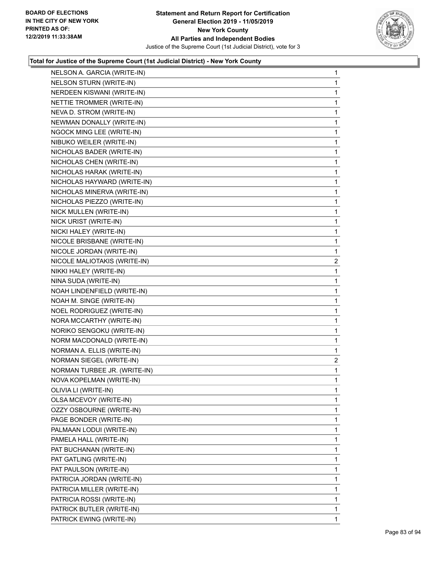

| NELSON A. GARCIA (WRITE-IN)    | $\mathbf{1}$   |
|--------------------------------|----------------|
| <b>NELSON STURN (WRITE-IN)</b> | $\mathbf{1}$   |
| NERDEEN KISWANI (WRITE-IN)     | 1              |
| NETTIE TROMMER (WRITE-IN)      | $\mathbf 1$    |
| NEVA D. STROM (WRITE-IN)       | $\mathbf 1$    |
| NEWMAN DONALLY (WRITE-IN)      | 1              |
| NGOCK MING LEE (WRITE-IN)      | 1              |
| NIBUKO WEILER (WRITE-IN)       | $\mathbf{1}$   |
| NICHOLAS BADER (WRITE-IN)      | 1              |
| NICHOLAS CHEN (WRITE-IN)       | $\mathbf 1$    |
| NICHOLAS HARAK (WRITE-IN)      | $\mathbf 1$    |
| NICHOLAS HAYWARD (WRITE-IN)    | 1              |
| NICHOLAS MINERVA (WRITE-IN)    | 1              |
| NICHOLAS PIEZZO (WRITE-IN)     | $\mathbf{1}$   |
| NICK MULLEN (WRITE-IN)         | 1              |
| NICK URIST (WRITE-IN)          | $\mathbf 1$    |
| NICKI HALEY (WRITE-IN)         | $\mathbf 1$    |
| NICOLE BRISBANE (WRITE-IN)     | 1              |
| NICOLE JORDAN (WRITE-IN)       | 1              |
| NICOLE MALIOTAKIS (WRITE-IN)   | 2              |
| NIKKI HALEY (WRITE-IN)         | 1              |
| NINA SUDA (WRITE-IN)           | $\mathbf 1$    |
| NOAH LINDENFIELD (WRITE-IN)    | $\mathbf 1$    |
| NOAH M. SINGE (WRITE-IN)       | 1              |
| NOEL RODRIGUEZ (WRITE-IN)      | 1              |
| NORA MCCARTHY (WRITE-IN)       | $\mathbf{1}$   |
| NORIKO SENGOKU (WRITE-IN)      | 1              |
| NORM MACDONALD (WRITE-IN)      | $\mathbf 1$    |
| NORMAN A. ELLIS (WRITE-IN)     | $\mathbf 1$    |
| NORMAN SIEGEL (WRITE-IN)       | $\overline{2}$ |
| NORMAN TURBEE JR. (WRITE-IN)   | 1              |
| NOVA KOPELMAN (WRITE-IN)       | $\mathbf{1}$   |
| OLIVIA LI (WRITE-IN)           | 1              |
| OLSA MCEVOY (WRITE-IN)         | 1              |
| OZZY OSBOURNE (WRITE-IN)       | 1              |
| PAGE BONDER (WRITE-IN)         | 1              |
| PALMAAN LODUI (WRITE-IN)       | 1              |
| PAMELA HALL (WRITE-IN)         | 1              |
| PAT BUCHANAN (WRITE-IN)        | 1              |
| PAT GATLING (WRITE-IN)         | 1              |
| PAT PAULSON (WRITE-IN)         | 1              |
| PATRICIA JORDAN (WRITE-IN)     | 1              |
| PATRICIA MILLER (WRITE-IN)     | 1              |
| PATRICIA ROSSI (WRITE-IN)      | 1              |
| PATRICK BUTLER (WRITE-IN)      | 1              |
| PATRICK EWING (WRITE-IN)       | 1              |
|                                |                |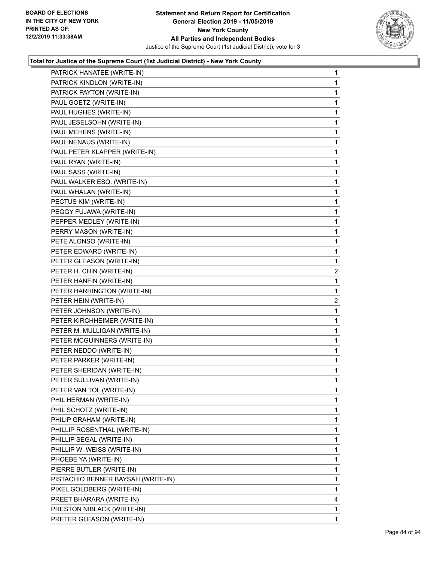

| PATRICK HANATEE (WRITE-IN)         | 1              |
|------------------------------------|----------------|
| PATRICK KINDLON (WRITE-IN)         | 1              |
| PATRICK PAYTON (WRITE-IN)          | 1              |
| PAUL GOETZ (WRITE-IN)              | $\mathbf{1}$   |
| PAUL HUGHES (WRITE-IN)             | 1              |
| PAUL JESELSOHN (WRITE-IN)          | 1              |
| PAUL MEHENS (WRITE-IN)             | 1              |
| PAUL NENAUS (WRITE-IN)             | 1              |
| PAUL PETER KLAPPER (WRITE-IN)      | 1              |
| PAUL RYAN (WRITE-IN)               | 1              |
| PAUL SASS (WRITE-IN)               | 1              |
| PAUL WALKER ESQ. (WRITE-IN)        | 1              |
| PAUL WHALAN (WRITE-IN)             | 1              |
| PECTUS KIM (WRITE-IN)              | 1              |
| PEGGY FUJAWA (WRITE-IN)            | 1              |
| PEPPER MEDLEY (WRITE-IN)           | 1              |
| PERRY MASON (WRITE-IN)             | 1              |
| PETE ALONSO (WRITE-IN)             | 1              |
| PETER EDWARD (WRITE-IN)            | 1              |
| PETER GLEASON (WRITE-IN)           | 1              |
| PETER H. CHIN (WRITE-IN)           | $\overline{2}$ |
| PETER HANFIN (WRITE-IN)            | $\mathbf{1}$   |
| PETER HARRINGTON (WRITE-IN)        | 1              |
| PETER HEIN (WRITE-IN)              | $\overline{2}$ |
| PETER JOHNSON (WRITE-IN)           | 1              |
| PETER KIRCHHEIMER (WRITE-IN)       | 1              |
| PETER M. MULLIGAN (WRITE-IN)       | 1              |
| PETER MCGUINNERS (WRITE-IN)        | 1              |
| PETER NEDDO (WRITE-IN)             | 1              |
| PETER PARKER (WRITE-IN)            | 1              |
| PETER SHERIDAN (WRITE-IN)          | 1              |
| PETER SULLIVAN (WRITE-IN)          | 1              |
| PETER VAN TOL (WRITE-IN)           | 1              |
| PHIL HERMAN (WRITE-IN)             | 1              |
| PHIL SCHOTZ (WRITE-IN)             | 1              |
| PHILIP GRAHAM (WRITE-IN)           | 1              |
| PHILLIP ROSENTHAL (WRITE-IN)       | 1              |
| PHILLIP SEGAL (WRITE-IN)           | 1              |
| PHILLIP W. WEISS (WRITE-IN)        | 1              |
| PHOEBE YA (WRITE-IN)               | 1              |
| PIERRE BUTLER (WRITE-IN)           | 1              |
| PISTACHIO BENNER BAYSAH (WRITE-IN) | 1              |
| PIXEL GOLDBERG (WRITE-IN)          | 1              |
| PREET BHARARA (WRITE-IN)           | 4              |
| PRESTON NIBLACK (WRITE-IN)         | 1              |
| PRETER GLEASON (WRITE-IN)          | 1              |
|                                    |                |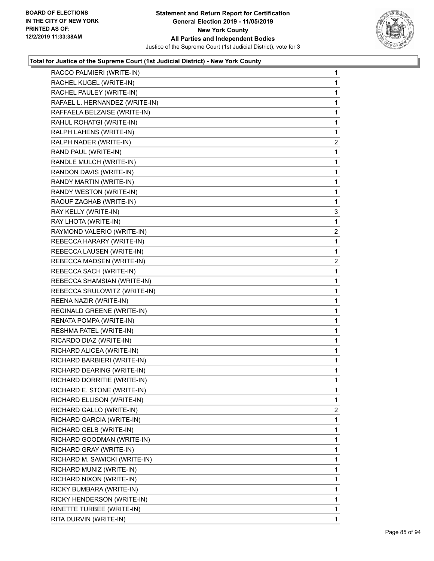

| RACCO PALMIERI (WRITE-IN)      | 1              |
|--------------------------------|----------------|
| RACHEL KUGEL (WRITE-IN)        | 1              |
| RACHEL PAULEY (WRITE-IN)       | 1              |
| RAFAEL L. HERNANDEZ (WRITE-IN) | 1              |
| RAFFAELA BELZAISE (WRITE-IN)   | 1              |
| RAHUL ROHATGI (WRITE-IN)       | 1              |
| RALPH LAHENS (WRITE-IN)        | 1              |
| RALPH NADER (WRITE-IN)         | $\overline{c}$ |
| RAND PAUL (WRITE-IN)           | 1              |
| RANDLE MULCH (WRITE-IN)        | 1              |
| RANDON DAVIS (WRITE-IN)        | 1              |
| RANDY MARTIN (WRITE-IN)        | 1              |
| RANDY WESTON (WRITE-IN)        | 1              |
| RAOUF ZAGHAB (WRITE-IN)        | 1              |
| RAY KELLY (WRITE-IN)           | 3              |
| RAY LHOTA (WRITE-IN)           | 1              |
| RAYMOND VALERIO (WRITE-IN)     | $\overline{c}$ |
| REBECCA HARARY (WRITE-IN)      | 1              |
| REBECCA LAUSEN (WRITE-IN)      | 1              |
| REBECCA MADSEN (WRITE-IN)      | $\overline{c}$ |
| REBECCA SACH (WRITE-IN)        | 1              |
| REBECCA SHAMSIAN (WRITE-IN)    | 1              |
| REBECCA SRULOWITZ (WRITE-IN)   | 1              |
| REENA NAZIR (WRITE-IN)         | 1              |
| REGINALD GREENE (WRITE-IN)     | 1              |
| RENATA POMPA (WRITE-IN)        | 1              |
| RESHMA PATEL (WRITE-IN)        | 1              |
| RICARDO DIAZ (WRITE-IN)        | 1              |
| RICHARD ALICEA (WRITE-IN)      | $\mathbf{1}$   |
| RICHARD BARBIERI (WRITE-IN)    | 1              |
| RICHARD DEARING (WRITE-IN)     | 1              |
| RICHARD DORRITIE (WRITE-IN)    | 1              |
| RICHARD E. STONE (WRITE-IN)    | 1              |
| RICHARD ELLISON (WRITE-IN)     | 1              |
| RICHARD GALLO (WRITE-IN)       | $\overline{2}$ |
| RICHARD GARCIA (WRITE-IN)      | 1              |
|                                | 1              |
| RICHARD GELB (WRITE-IN)        |                |
| RICHARD GOODMAN (WRITE-IN)     | 1              |
| RICHARD GRAY (WRITE-IN)        | 1              |
| RICHARD M. SAWICKI (WRITE-IN)  | 1              |
| RICHARD MUNIZ (WRITE-IN)       | 1              |
| RICHARD NIXON (WRITE-IN)       | 1              |
| RICKY BUMBARA (WRITE-IN)       | 1              |
| RICKY HENDERSON (WRITE-IN)     | 1              |
| RINETTE TURBEE (WRITE-IN)      | 1              |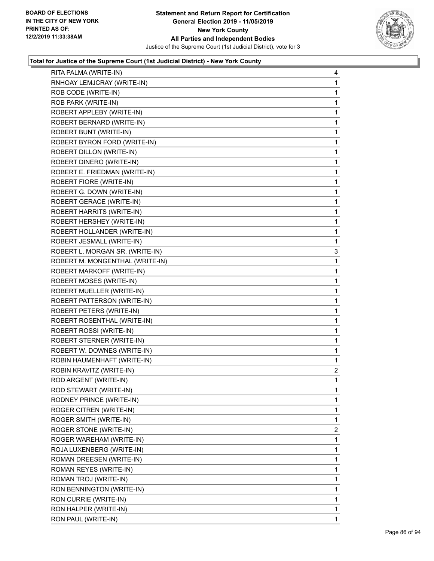

| RITA PALMA (WRITE-IN)            | 4              |
|----------------------------------|----------------|
| RNHOAY LEMJCRAY (WRITE-IN)       | 1              |
| ROB CODE (WRITE-IN)              | 1              |
| ROB PARK (WRITE-IN)              | 1              |
| ROBERT APPLEBY (WRITE-IN)        | 1              |
| ROBERT BERNARD (WRITE-IN)        | 1              |
| ROBERT BUNT (WRITE-IN)           | 1              |
| ROBERT BYRON FORD (WRITE-IN)     | 1              |
| ROBERT DILLON (WRITE-IN)         | 1              |
| ROBERT DINERO (WRITE-IN)         | 1              |
| ROBERT E. FRIEDMAN (WRITE-IN)    | 1              |
| ROBERT FIORE (WRITE-IN)          | 1              |
| ROBERT G. DOWN (WRITE-IN)        | 1              |
| ROBERT GERACE (WRITE-IN)         | 1              |
| <b>ROBERT HARRITS (WRITE-IN)</b> | 1              |
| ROBERT HERSHEY (WRITE-IN)        | 1              |
| ROBERT HOLLANDER (WRITE-IN)      | 1              |
| ROBERT JESMALL (WRITE-IN)        | 1              |
| ROBERT L. MORGAN SR. (WRITE-IN)  | 3              |
| ROBERT M. MONGENTHAL (WRITE-IN)  | 1              |
| ROBERT MARKOFF (WRITE-IN)        | 1              |
| ROBERT MOSES (WRITE-IN)          | 1              |
| ROBERT MUELLER (WRITE-IN)        | 1              |
| ROBERT PATTERSON (WRITE-IN)      | 1              |
| ROBERT PETERS (WRITE-IN)         | 1              |
| ROBERT ROSENTHAL (WRITE-IN)      | 1              |
| ROBERT ROSSI (WRITE-IN)          | 1              |
| ROBERT STERNER (WRITE-IN)        | 1              |
| ROBERT W. DOWNES (WRITE-IN)      | 1              |
| ROBIN HAUMENHAFT (WRITE-IN)      | 1              |
| ROBIN KRAVITZ (WRITE-IN)         | $\overline{c}$ |
| ROD ARGENT (WRITE-IN)            | 1              |
| ROD STEWART (WRITE-IN)           | 1              |
| RODNEY PRINCE (WRITE-IN)         | 1              |
| ROGER CITREN (WRITE-IN)          | 1              |
| ROGER SMITH (WRITE-IN)           | 1              |
| ROGER STONE (WRITE-IN)           | $\overline{2}$ |
| ROGER WAREHAM (WRITE-IN)         | 1              |
| ROJA LUXENBERG (WRITE-IN)        | 1              |
| ROMAN DREESEN (WRITE-IN)         | 1              |
| ROMAN REYES (WRITE-IN)           | 1              |
| ROMAN TROJ (WRITE-IN)            | 1              |
| RON BENNINGTON (WRITE-IN)        | 1              |
| RON CURRIE (WRITE-IN)            | 1              |
| RON HALPER (WRITE-IN)            | 1              |
| RON PAUL (WRITE-IN)              | 1              |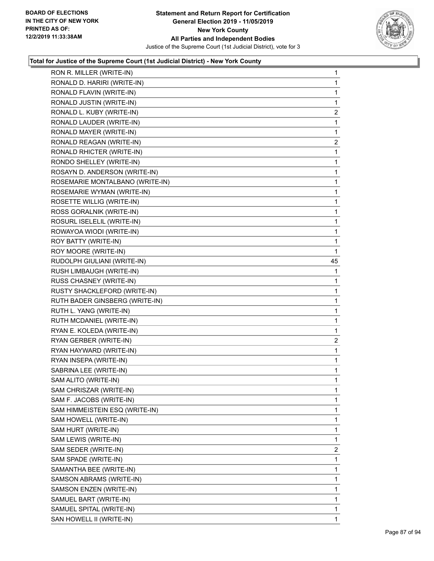

| RON R. MILLER (WRITE-IN)        | $\mathbf{1}$            |
|---------------------------------|-------------------------|
| RONALD D. HARIRI (WRITE-IN)     | $\mathbf{1}$            |
| RONALD FLAVIN (WRITE-IN)        | 1                       |
| RONALD JUSTIN (WRITE-IN)        | 1                       |
| RONALD L. KUBY (WRITE-IN)       | 2                       |
| RONALD LAUDER (WRITE-IN)        | 1                       |
| RONALD MAYER (WRITE-IN)         | 1                       |
| RONALD REAGAN (WRITE-IN)        | 2                       |
| RONALD RHICTER (WRITE-IN)       | 1                       |
| RONDO SHELLEY (WRITE-IN)        | $\mathbf{1}$            |
| ROSAYN D. ANDERSON (WRITE-IN)   | $\mathbf{1}$            |
| ROSEMARIE MONTALBANO (WRITE-IN) | 1                       |
| ROSEMARIE WYMAN (WRITE-IN)      | 1                       |
| ROSETTE WILLIG (WRITE-IN)       | $\mathbf{1}$            |
| ROSS GORALNIK (WRITE-IN)        | 1                       |
| ROSURL ISELELIL (WRITE-IN)      | $\mathbf{1}$            |
| ROWAYOA WIODI (WRITE-IN)        | $\mathbf{1}$            |
| ROY BATTY (WRITE-IN)            | 1                       |
| ROY MOORE (WRITE-IN)            | 1                       |
| RUDOLPH GIULIANI (WRITE-IN)     | 45                      |
| RUSH LIMBAUGH (WRITE-IN)        | 1                       |
| RUSS CHASNEY (WRITE-IN)         | 1                       |
| RUSTY SHACKLEFORD (WRITE-IN)    | $\mathbf{1}$            |
| RUTH BADER GINSBERG (WRITE-IN)  | 1                       |
| RUTH L. YANG (WRITE-IN)         | 1                       |
| RUTH MCDANIEL (WRITE-IN)        | $\mathbf{1}$            |
| RYAN E. KOLEDA (WRITE-IN)       | 1                       |
| RYAN GERBER (WRITE-IN)          | $\overline{\mathbf{c}}$ |
| RYAN HAYWARD (WRITE-IN)         | $\mathbf 1$             |
| RYAN INSEPA (WRITE-IN)          | $\mathbf 1$             |
| SABRINA LEE (WRITE-IN)          | 1                       |
| SAM ALITO (WRITE-IN)            | $\mathbf{1}$            |
| SAM CHRISZAR (WRITE-IN)         | 1                       |
| SAM F. JACOBS (WRITE-IN)        | 1                       |
| SAM HIMMEISTEIN ESQ (WRITE-IN)  | 1                       |
| SAM HOWELL (WRITE-IN)           | 1                       |
| SAM HURT (WRITE-IN)             | 1                       |
| SAM LEWIS (WRITE-IN)            | 1                       |
| SAM SEDER (WRITE-IN)            | $\overline{2}$          |
| SAM SPADE (WRITE-IN)            | 1                       |
| SAMANTHA BEE (WRITE-IN)         | 1                       |
| SAMSON ABRAMS (WRITE-IN)        | 1                       |
| SAMSON ENZEN (WRITE-IN)         | 1                       |
| SAMUEL BART (WRITE-IN)          | 1                       |
| SAMUEL SPITAL (WRITE-IN)        | 1                       |
| SAN HOWELL II (WRITE-IN)        | 1                       |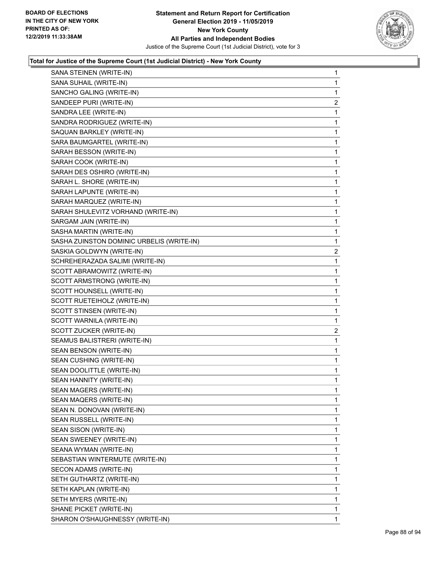

| SANA STEINEN (WRITE-IN)                   | $\mathbf{1}$            |
|-------------------------------------------|-------------------------|
| SANA SUHAIL (WRITE-IN)                    | $\mathbf{1}$            |
| SANCHO GALING (WRITE-IN)                  | 1                       |
| SANDEEP PURI (WRITE-IN)                   | $\overline{\mathbf{c}}$ |
| SANDRA LEE (WRITE-IN)                     | 1                       |
| SANDRA RODRIGUEZ (WRITE-IN)               | 1                       |
| SAQUAN BARKLEY (WRITE-IN)                 | $\mathbf 1$             |
| SARA BAUMGARTEL (WRITE-IN)                | $\mathbf 1$             |
| SARAH BESSON (WRITE-IN)                   | 1                       |
| SARAH COOK (WRITE-IN)                     | $\mathbf 1$             |
| SARAH DES OSHIRO (WRITE-IN)               | 1                       |
| SARAH L. SHORE (WRITE-IN)                 | 1                       |
| SARAH LAPUNTE (WRITE-IN)                  | $\mathbf 1$             |
| SARAH MARQUEZ (WRITE-IN)                  | $\mathbf 1$             |
| SARAH SHULEVITZ VORHAND (WRITE-IN)        | 1                       |
| SARGAM JAIN (WRITE-IN)                    | $\mathbf 1$             |
| SASHA MARTIN (WRITE-IN)                   | 1                       |
| SASHA ZUINSTON DOMINIC URBELIS (WRITE-IN) | 1                       |
| SASKIA GOLDWYN (WRITE-IN)                 | $\overline{c}$          |
| SCHREHERAZADA SALIMI (WRITE-IN)           | 1                       |
| SCOTT ABRAMOWITZ (WRITE-IN)               | 1                       |
| SCOTT ARMSTRONG (WRITE-IN)                | $\mathbf 1$             |
| SCOTT HOUNSELL (WRITE-IN)                 | 1                       |
| SCOTT RUETEIHOLZ (WRITE-IN)               | 1                       |
| SCOTT STINSEN (WRITE-IN)                  | $\mathbf 1$             |
| SCOTT WARNILA (WRITE-IN)                  | 1                       |
| SCOTT ZUCKER (WRITE-IN)                   | 2                       |
| SEAMUS BALISTRERI (WRITE-IN)              | $\mathbf 1$             |
| SEAN BENSON (WRITE-IN)                    | 1                       |
| SEAN CUSHING (WRITE-IN)                   | 1                       |
| SEAN DOOLITTLE (WRITE-IN)                 | $\mathbf 1$             |
| SEAN HANNITY (WRITE-IN)                   | 1                       |
| SEAN MAGERS (WRITE-IN)                    | 1                       |
| SEAN MAQERS (WRITE-IN)                    | 1                       |
| SEAN N. DONOVAN (WRITE-IN)                | 1                       |
| SEAN RUSSELL (WRITE-IN)                   | 1                       |
| SEAN SISON (WRITE-IN)                     | 1                       |
| SEAN SWEENEY (WRITE-IN)                   | 1                       |
| SEANA WYMAN (WRITE-IN)                    | 1                       |
| SEBASTIAN WINTERMUTE (WRITE-IN)           | 1                       |
| SECON ADAMS (WRITE-IN)                    | 1                       |
| SETH GUTHARTZ (WRITE-IN)                  | 1                       |
| SETH KAPLAN (WRITE-IN)                    | 1                       |
| SETH MYERS (WRITE-IN)                     | 1                       |
| SHANE PICKET (WRITE-IN)                   | 1                       |
| SHARON O'SHAUGHNESSY (WRITE-IN)           | 1                       |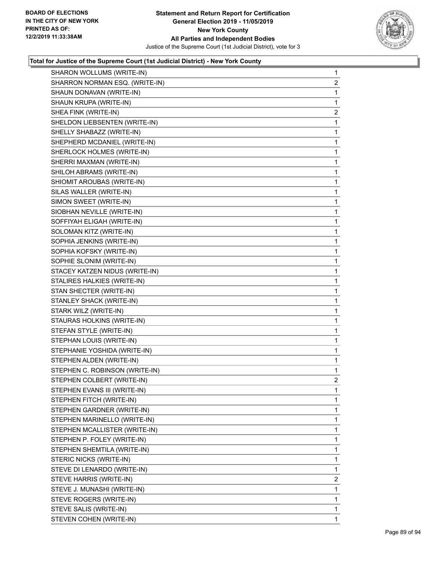

| SHARON WOLLUMS (WRITE-IN)      | $\mathbf{1}$   |
|--------------------------------|----------------|
| SHARRON NORMAN ESQ. (WRITE-IN) | 2              |
| SHAUN DONAVAN (WRITE-IN)       | 1              |
| SHAUN KRUPA (WRITE-IN)         | 1              |
| SHEA FINK (WRITE-IN)           | 2              |
| SHELDON LIEBSENTEN (WRITE-IN)  | 1              |
| SHELLY SHABAZZ (WRITE-IN)      | $\mathbf{1}$   |
| SHEPHERD MCDANIEL (WRITE-IN)   | $\mathbf{1}$   |
| SHERLOCK HOLMES (WRITE-IN)     | 1              |
| SHERRI MAXMAN (WRITE-IN)       | $\mathbf{1}$   |
| SHILOH ABRAMS (WRITE-IN)       | $\mathbf{1}$   |
| SHIOMIT AROUBAS (WRITE-IN)     | 1              |
| SILAS WALLER (WRITE-IN)        | $\mathbf{1}$   |
| SIMON SWEET (WRITE-IN)         | $\mathbf{1}$   |
| SIOBHAN NEVILLE (WRITE-IN)     | 1              |
| SOFFIYAH ELIGAH (WRITE-IN)     | $\mathbf{1}$   |
| SOLOMAN KITZ (WRITE-IN)        | $\mathbf{1}$   |
| SOPHIA JENKINS (WRITE-IN)      | 1              |
| SOPHIA KOFSKY (WRITE-IN)       | $\mathbf{1}$   |
| SOPHIE SLONIM (WRITE-IN)       | $\mathbf{1}$   |
| STACEY KATZEN NIDUS (WRITE-IN) | 1              |
| STALIRES HALKIES (WRITE-IN)    | $\mathbf{1}$   |
| STAN SHECTER (WRITE-IN)        | $\mathbf{1}$   |
| STANLEY SHACK (WRITE-IN)       | 1              |
| STARK WILZ (WRITE-IN)          | $\mathbf{1}$   |
| STAURAS HOLKINS (WRITE-IN)     | $\mathbf{1}$   |
| STEFAN STYLE (WRITE-IN)        | 1              |
| STEPHAN LOUIS (WRITE-IN)       | $\mathbf{1}$   |
| STEPHANIE YOSHIDA (WRITE-IN)   | $\mathbf{1}$   |
| STEPHEN ALDEN (WRITE-IN)       | 1              |
| STEPHEN C. ROBINSON (WRITE-IN) | 1              |
| STEPHEN COLBERT (WRITE-IN)     | $\overline{2}$ |
| STEPHEN EVANS III (WRITE-IN)   | 1              |
| STEPHEN FITCH (WRITE-IN)       | 1              |
| STEPHEN GARDNER (WRITE-IN)     | 1              |
| STEPHEN MARINELLO (WRITE-IN)   | 1              |
| STEPHEN MCALLISTER (WRITE-IN)  | 1              |
| STEPHEN P. FOLEY (WRITE-IN)    | 1              |
| STEPHEN SHEMTILA (WRITE-IN)    | 1              |
| STERIC NICKS (WRITE-IN)        | 1              |
| STEVE DI LENARDO (WRITE-IN)    | 1              |
| STEVE HARRIS (WRITE-IN)        | 2              |
| STEVE J. MUNASHI (WRITE-IN)    | 1              |
| STEVE ROGERS (WRITE-IN)        | 1              |
| STEVE SALIS (WRITE-IN)         | 1              |
| STEVEN COHEN (WRITE-IN)        | 1              |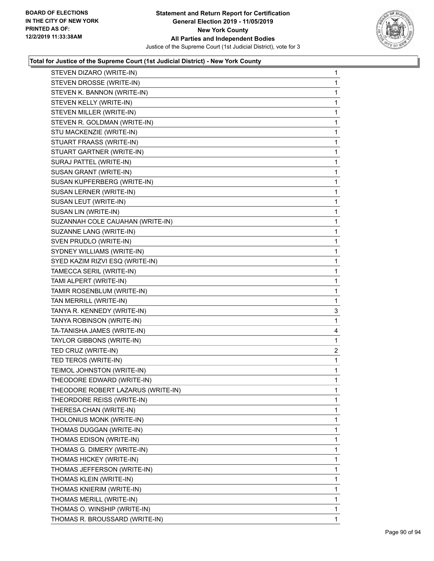

| STEVEN DIZARO (WRITE-IN)           | $\mathbf{1}$ |
|------------------------------------|--------------|
| STEVEN DROSSE (WRITE-IN)           | 1            |
| STEVEN K. BANNON (WRITE-IN)        | 1            |
| STEVEN KELLY (WRITE-IN)            | $\mathbf{1}$ |
| STEVEN MILLER (WRITE-IN)           | 1            |
| STEVEN R. GOLDMAN (WRITE-IN)       | 1            |
| STU MACKENZIE (WRITE-IN)           | $\mathbf{1}$ |
| STUART FRAASS (WRITE-IN)           | 1            |
| STUART GARTNER (WRITE-IN)          | 1            |
| SURAJ PATTEL (WRITE-IN)            | $\mathbf{1}$ |
| SUSAN GRANT (WRITE-IN)             | 1            |
| SUSAN KUPFERBERG (WRITE-IN)        | 1            |
| SUSAN LERNER (WRITE-IN)            | $\mathbf{1}$ |
| SUSAN LEUT (WRITE-IN)              | 1            |
| SUSAN LIN (WRITE-IN)               | 1            |
| SUZANNAH COLE CAUAHAN (WRITE-IN)   | $\mathbf{1}$ |
| SUZANNE LANG (WRITE-IN)            | 1            |
| SVEN PRUDLO (WRITE-IN)             | 1            |
| SYDNEY WILLIAMS (WRITE-IN)         | $\mathbf{1}$ |
| SYED KAZIM RIZVI ESQ (WRITE-IN)    | 1            |
| TAMECCA SERIL (WRITE-IN)           | 1            |
| TAMI ALPERT (WRITE-IN)             | $\mathbf{1}$ |
| TAMIR ROSENBLUM (WRITE-IN)         | 1            |
| TAN MERRILL (WRITE-IN)             | 1            |
| TANYA R. KENNEDY (WRITE-IN)        | 3            |
| TANYA ROBINSON (WRITE-IN)          | 1            |
| TA-TANISHA JAMES (WRITE-IN)        | 4            |
| TAYLOR GIBBONS (WRITE-IN)          | 1            |
| TED CRUZ (WRITE-IN)                | 2            |
| TED TEROS (WRITE-IN)               | 1            |
| TEIMOL JOHNSTON (WRITE-IN)         | $\mathbf 1$  |
| THEODORE EDWARD (WRITE-IN)         | 1            |
| THEODORE ROBERT LAZARUS (WRITE-IN) | $\mathbf 1$  |
| THEORDORE REISS (WRITE-IN)         | 1            |
| THERESA CHAN (WRITE-IN)            | 1            |
| THOLONIUS MONK (WRITE-IN)          | 1            |
| THOMAS DUGGAN (WRITE-IN)           | 1            |
| THOMAS EDISON (WRITE-IN)           | 1            |
| THOMAS G. DIMERY (WRITE-IN)        | 1            |
| THOMAS HICKEY (WRITE-IN)           | 1            |
| THOMAS JEFFERSON (WRITE-IN)        | 1            |
| THOMAS KLEIN (WRITE-IN)            | 1            |
| THOMAS KNIERIM (WRITE-IN)          | 1            |
| THOMAS MERILL (WRITE-IN)           | 1            |
| THOMAS O. WINSHIP (WRITE-IN)       | $\mathbf{1}$ |
| THOMAS R. BROUSSARD (WRITE-IN)     | 1            |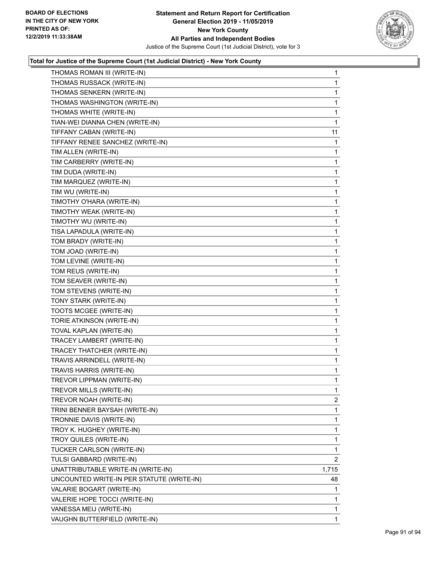

| THOMAS ROMAN III (WRITE-IN)               | 1              |
|-------------------------------------------|----------------|
| THOMAS RUSSACK (WRITE-IN)                 | 1              |
| THOMAS SENKERN (WRITE-IN)                 | $\mathbf{1}$   |
| THOMAS WASHINGTON (WRITE-IN)              | 1              |
| THOMAS WHITE (WRITE-IN)                   | 1              |
| TIAN-WEI DIANNA CHEN (WRITE-IN)           | 1              |
| TIFFANY CABAN (WRITE-IN)                  | 11             |
| TIFFANY RENEE SANCHEZ (WRITE-IN)          | 1              |
| TIM ALLEN (WRITE-IN)                      | 1              |
| TIM CARBERRY (WRITE-IN)                   | 1              |
| TIM DUDA (WRITE-IN)                       | 1              |
| TIM MARQUEZ (WRITE-IN)                    | 1              |
| TIM WU (WRITE-IN)                         | 1              |
| TIMOTHY O'HARA (WRITE-IN)                 | 1              |
| TIMOTHY WEAK (WRITE-IN)                   | 1              |
| TIMOTHY WU (WRITE-IN)                     | 1              |
| TISA LAPADULA (WRITE-IN)                  | 1              |
| TOM BRADY (WRITE-IN)                      | 1              |
| TOM JOAD (WRITE-IN)                       | 1              |
| TOM LEVINE (WRITE-IN)                     | 1              |
| TOM REUS (WRITE-IN)                       | 1              |
| TOM SEAVER (WRITE-IN)                     | 1              |
| TOM STEVENS (WRITE-IN)                    | 1              |
| TONY STARK (WRITE-IN)                     | 1              |
| TOOTS MCGEE (WRITE-IN)                    | 1              |
| TORIE ATKINSON (WRITE-IN)                 | 1              |
| TOVAL KAPLAN (WRITE-IN)                   | 1              |
| TRACEY LAMBERT (WRITE-IN)                 | 1              |
| TRACEY THATCHER (WRITE-IN)                | 1              |
| TRAVIS ARRINDELL (WRITE-IN)               | 1              |
| TRAVIS HARRIS (WRITE-IN)                  | 1              |
| TREVOR LIPPMAN (WRITE-IN)                 | 1              |
| TREVOR MILLS (WRITE-IN)                   | 1              |
| TREVOR NOAH (WRITE-IN)                    | $\overline{2}$ |
| TRINI BENNER BAYSAH (WRITE-IN)            | 1              |
| TRONNIE DAVIS (WRITE-IN)                  | 1              |
| TROY K. HUGHEY (WRITE-IN)                 | 1              |
| TROY QUILES (WRITE-IN)                    | 1              |
| TUCKER CARLSON (WRITE-IN)                 | 1              |
| TULSI GABBARD (WRITE-IN)                  | $\overline{2}$ |
| UNATTRIBUTABLE WRITE-IN (WRITE-IN)        | 1,715          |
| UNCOUNTED WRITE-IN PER STATUTE (WRITE-IN) | 48             |
| VALARIE BOGART (WRITE-IN)                 | 1              |
| VALERIE HOPE TOCCI (WRITE-IN)             | 1              |
| VANESSA MEIJ (WRITE-IN)                   | 1              |
| VAUGHN BUTTERFIELD (WRITE-IN)             | 1              |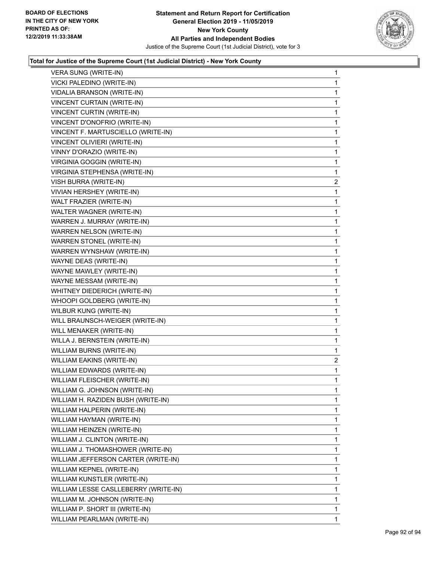

| VERA SUNG (WRITE-IN)                 | $\mathbf{1}$ |
|--------------------------------------|--------------|
| VICKI PALEDINO (WRITE-IN)            | $\mathbf{1}$ |
| VIDALIA BRANSON (WRITE-IN)           | $\mathbf 1$  |
| VINCENT CURTAIN (WRITE-IN)           | $\mathbf{1}$ |
| <b>VINCENT CURTIN (WRITE-IN)</b>     | 1            |
| VINCENT D'ONOFRIO (WRITE-IN)         | 1            |
| VINCENT F. MARTUSCIELLO (WRITE-IN)   | $\mathbf 1$  |
| VINCENT OLIVIERI (WRITE-IN)          | $\mathbf 1$  |
| VINNY D'ORAZIO (WRITE-IN)            | 1            |
| VIRGINIA GOGGIN (WRITE-IN)           | $\mathbf{1}$ |
| VIRGINIA STEPHENSA (WRITE-IN)        | 1            |
| VISH BURRA (WRITE-IN)                | 2            |
| VIVIAN HERSHEY (WRITE-IN)            | $\mathbf 1$  |
| WALT FRAZIER (WRITE-IN)              | $\mathbf 1$  |
| WALTER WAGNER (WRITE-IN)             | $\mathbf 1$  |
| WARREN J. MURRAY (WRITE-IN)          | $\mathbf{1}$ |
| WARREN NELSON (WRITE-IN)             | 1            |
| WARREN STONEL (WRITE-IN)             | 1            |
| WARREN WYNSHAW (WRITE-IN)            | $\mathbf 1$  |
| WAYNE DEAS (WRITE-IN)                | $\mathbf 1$  |
| WAYNE MAWLEY (WRITE-IN)              | $\mathbf 1$  |
| WAYNE MESSAM (WRITE-IN)              | $\mathbf 1$  |
| WHITNEY DIEDERICH (WRITE-IN)         | 1            |
| WHOOPI GOLDBERG (WRITE-IN)           | 1            |
| WILBUR KUNG (WRITE-IN)               | $\mathbf{1}$ |
| WILL BRAUNSCH-WEIGER (WRITE-IN)      | 1            |
| WILL MENAKER (WRITE-IN)              | $\mathbf{1}$ |
| WILLA J. BERNSTEIN (WRITE-IN)        | $\mathbf 1$  |
| WILLIAM BURNS (WRITE-IN)             | 1            |
| WILLIAM EAKINS (WRITE-IN)            | 2            |
| WILLIAM EDWARDS (WRITE-IN)           | $\mathbf{1}$ |
| WILLIAM FLEISCHER (WRITE-IN)         | 1            |
| WILLIAM G. JOHNSON (WRITE-IN)        | 1            |
| WILLIAM H. RAZIDEN BUSH (WRITE-IN)   | 1            |
| WILLIAM HALPERIN (WRITE-IN)          | 1            |
| WILLIAM HAYMAN (WRITE-IN)            | 1            |
| WILLIAM HEINZEN (WRITE-IN)           | 1            |
| WILLIAM J. CLINTON (WRITE-IN)        | 1            |
| WILLIAM J. THOMASHOWER (WRITE-IN)    | 1            |
| WILLIAM JEFFERSON CARTER (WRITE-IN)  | 1            |
| WILLIAM KEPNEL (WRITE-IN)            | 1            |
| WILLIAM KUNSTLER (WRITE-IN)          | 1            |
| WILLIAM LESSE CASLLEBERRY (WRITE-IN) | 1            |
| WILLIAM M. JOHNSON (WRITE-IN)        | 1            |
| WILLIAM P. SHORT III (WRITE-IN)      | 1            |
| WILLIAM PEARLMAN (WRITE-IN)          | $\mathbf{1}$ |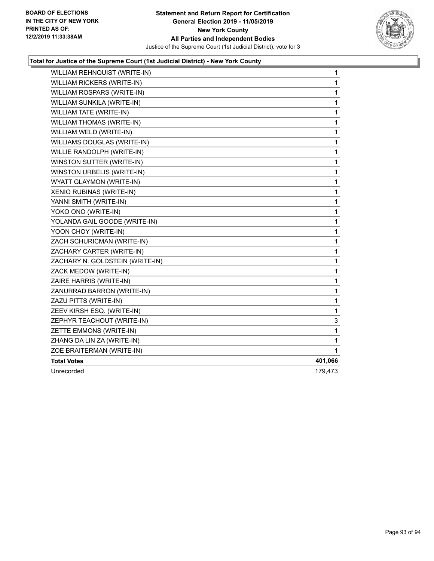

| WILLIAM REHNQUIST (WRITE-IN)    | 1            |
|---------------------------------|--------------|
| WILLIAM RICKERS (WRITE-IN)      | 1            |
| WILLIAM ROSPARS (WRITE-IN)      | 1            |
| WILLIAM SUNKILA (WRITE-IN)      | 1            |
| WILLIAM TATE (WRITE-IN)         | 1            |
| WILLIAM THOMAS (WRITE-IN)       | 1            |
| WILLIAM WELD (WRITE-IN)         | 1            |
| WILLIAMS DOUGLAS (WRITE-IN)     | 1            |
| WILLIE RANDOLPH (WRITE-IN)      | 1            |
| WINSTON SUTTER (WRITE-IN)       | 1            |
| WINSTON URBELIS (WRITE-IN)      | 1            |
| WYATT GLAYMON (WRITE-IN)        | $\mathbf{1}$ |
| XENIO RUBINAS (WRITE-IN)        | 1            |
| YANNI SMITH (WRITE-IN)          | 1            |
| YOKO ONO (WRITE-IN)             | 1            |
| YOLANDA GAIL GOODE (WRITE-IN)   | 1            |
| YOON CHOY (WRITE-IN)            | 1            |
| ZACH SCHURICMAN (WRITE-IN)      | 1            |
| ZACHARY CARTER (WRITE-IN)       | 1            |
| ZACHARY N. GOLDSTEIN (WRITE-IN) | 1            |
| ZACK MEDOW (WRITE-IN)           | 1            |
| ZAIRE HARRIS (WRITE-IN)         | 1            |
| ZANURRAD BARRON (WRITE-IN)      | 1            |
| ZAZU PITTS (WRITE-IN)           | 1            |
| ZEEV KIRSH ESQ. (WRITE-IN)      | 1            |
| ZEPHYR TEACHOUT (WRITE-IN)      | 3            |
| ZETTE EMMONS (WRITE-IN)         | 1            |
| ZHANG DA LIN ZA (WRITE-IN)      | 1            |
| ZOE BRAITERMAN (WRITE-IN)       | 1            |
| <b>Total Votes</b>              | 401,066      |
| Unrecorded                      | 179,473      |
|                                 |              |